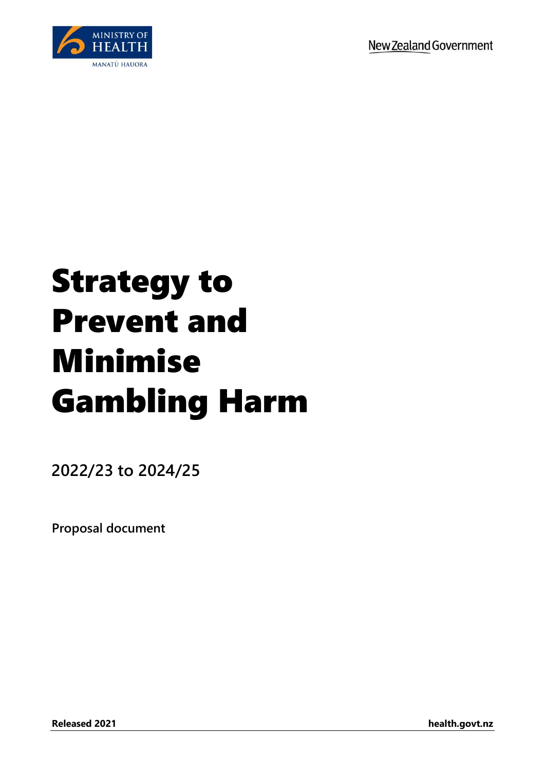

# Strategy to Prevent and Minimise Gambling Harm

**2022/23 to 2024/25**

**Proposal document**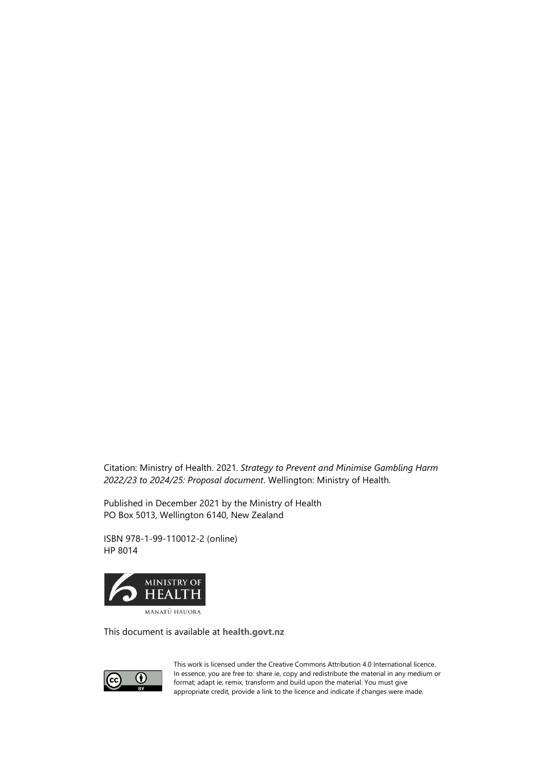Citation: Ministry of Health. 2021. *Strategy to Prevent and Minimise Gambling Harm 2022/23 to 2024/25: Proposal document*. Wellington: Ministry of Health.

Published in December 2021 by the Ministry of Health PO Box 5013, Wellington 6140, New Zealand

ISBN 978-1-99-110012-2 (online) HP 8014



This document is available at **[health.govt.nz](http://www.health.govt.nz/)**



This work is licensed under the Creative Commons Attribution 4.0 International licence. In essence, you are free to: share ie, copy and redistribute the material in any medium or format; adapt ie, remix, transform and build upon the material. You must give appropriate credit, provide a link to the licence and indicate if changes were made.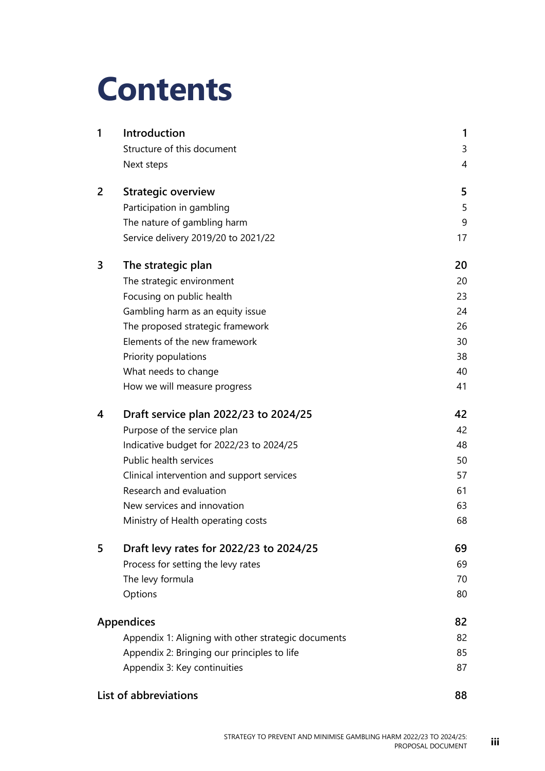# **Contents**

| 1 | Introduction                                        | 1  |
|---|-----------------------------------------------------|----|
|   | Structure of this document                          | 3  |
|   | Next steps                                          | 4  |
| 2 | <b>Strategic overview</b>                           | 5  |
|   | Participation in gambling                           | 5  |
|   | The nature of gambling harm                         | 9  |
|   | Service delivery 2019/20 to 2021/22                 | 17 |
| 3 | The strategic plan                                  | 20 |
|   | The strategic environment                           | 20 |
|   | Focusing on public health                           | 23 |
|   | Gambling harm as an equity issue                    | 24 |
|   | The proposed strategic framework                    | 26 |
|   | Elements of the new framework                       | 30 |
|   | Priority populations                                | 38 |
|   | What needs to change                                | 40 |
|   | How we will measure progress                        | 41 |
| 4 | Draft service plan 2022/23 to 2024/25               | 42 |
|   | Purpose of the service plan                         | 42 |
|   | Indicative budget for 2022/23 to 2024/25            | 48 |
|   | Public health services                              | 50 |
|   | Clinical intervention and support services          | 57 |
|   | Research and evaluation                             | 61 |
|   | New services and innovation                         | 63 |
|   | Ministry of Health operating costs                  | 68 |
| 5 | Draft levy rates for 2022/23 to 2024/25             | 69 |
|   | Process for setting the levy rates                  | 69 |
|   | The levy formula                                    | 70 |
|   | Options                                             | 80 |
|   | <b>Appendices</b>                                   | 82 |
|   | Appendix 1: Aligning with other strategic documents | 82 |
|   | Appendix 2: Bringing our principles to life         | 85 |
|   | Appendix 3: Key continuities                        | 87 |
|   | List of abbreviations                               | 88 |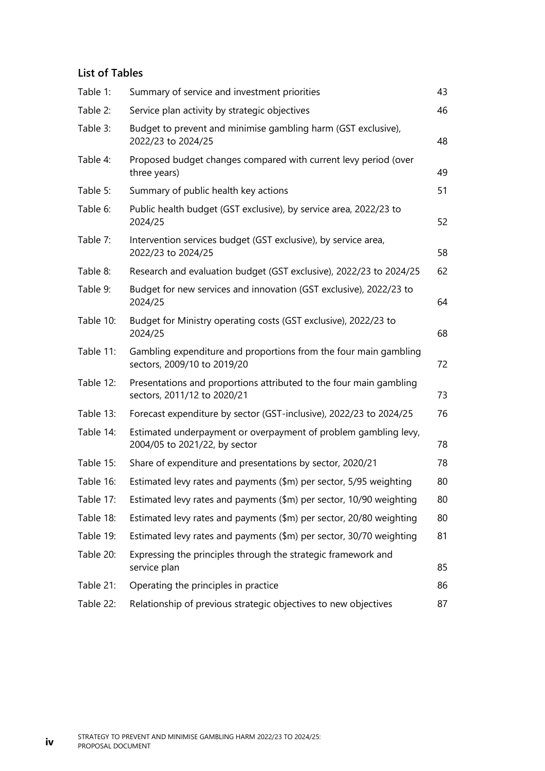#### **List of Tables**

| Table 1:  | Summary of service and investment priorities                                                      | 43 |
|-----------|---------------------------------------------------------------------------------------------------|----|
| Table 2:  | Service plan activity by strategic objectives                                                     | 46 |
| Table 3:  | Budget to prevent and minimise gambling harm (GST exclusive),<br>2022/23 to 2024/25               | 48 |
| Table 4:  | Proposed budget changes compared with current levy period (over<br>three years)                   | 49 |
| Table 5:  | Summary of public health key actions                                                              | 51 |
| Table 6:  | Public health budget (GST exclusive), by service area, 2022/23 to<br>2024/25                      | 52 |
| Table 7:  | Intervention services budget (GST exclusive), by service area,<br>2022/23 to 2024/25              | 58 |
| Table 8:  | Research and evaluation budget (GST exclusive), 2022/23 to 2024/25                                | 62 |
| Table 9:  | Budget for new services and innovation (GST exclusive), 2022/23 to<br>2024/25                     | 64 |
| Table 10: | Budget for Ministry operating costs (GST exclusive), 2022/23 to<br>2024/25                        | 68 |
| Table 11: | Gambling expenditure and proportions from the four main gambling<br>sectors, 2009/10 to 2019/20   | 72 |
| Table 12: | Presentations and proportions attributed to the four main gambling<br>sectors, 2011/12 to 2020/21 | 73 |
| Table 13: | Forecast expenditure by sector (GST-inclusive), 2022/23 to 2024/25                                | 76 |
| Table 14: | Estimated underpayment or overpayment of problem gambling levy,<br>2004/05 to 2021/22, by sector  | 78 |
| Table 15: | Share of expenditure and presentations by sector, 2020/21                                         | 78 |
| Table 16: | Estimated levy rates and payments (\$m) per sector, 5/95 weighting                                | 80 |
| Table 17: | Estimated levy rates and payments (\$m) per sector, 10/90 weighting                               | 80 |
| Table 18: | Estimated levy rates and payments (\$m) per sector, 20/80 weighting                               | 80 |
| Table 19: | Estimated levy rates and payments (\$m) per sector, 30/70 weighting                               | 81 |
| Table 20: | Expressing the principles through the strategic framework and<br>service plan                     | 85 |
| Table 21: | Operating the principles in practice                                                              | 86 |
| Table 22: | Relationship of previous strategic objectives to new objectives                                   | 87 |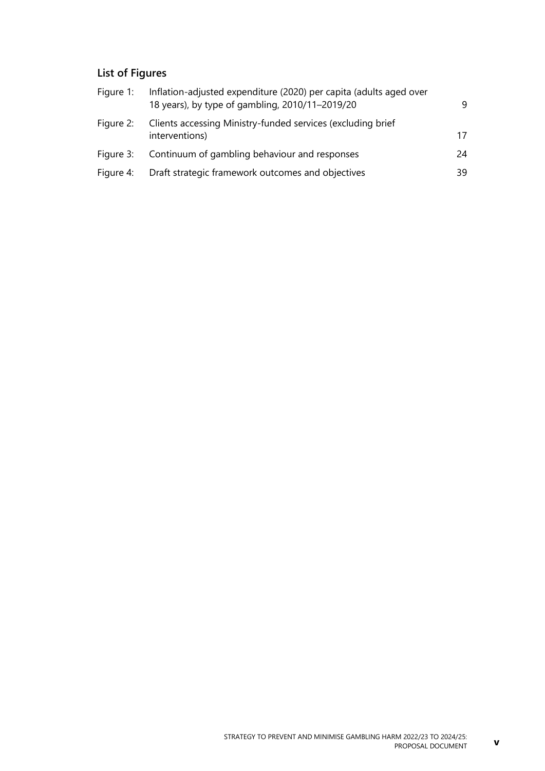### **List of Figures**

| Figure 1: | Inflation-adjusted expenditure (2020) per capita (adults aged over<br>18 years), by type of gambling, 2010/11-2019/20 | 9  |
|-----------|-----------------------------------------------------------------------------------------------------------------------|----|
| Figure 2: | Clients accessing Ministry-funded services (excluding brief<br>interventions)                                         | 17 |
| Figure 3: | Continuum of gambling behaviour and responses                                                                         | 24 |
| Figure 4: | Draft strategic framework outcomes and objectives                                                                     | 39 |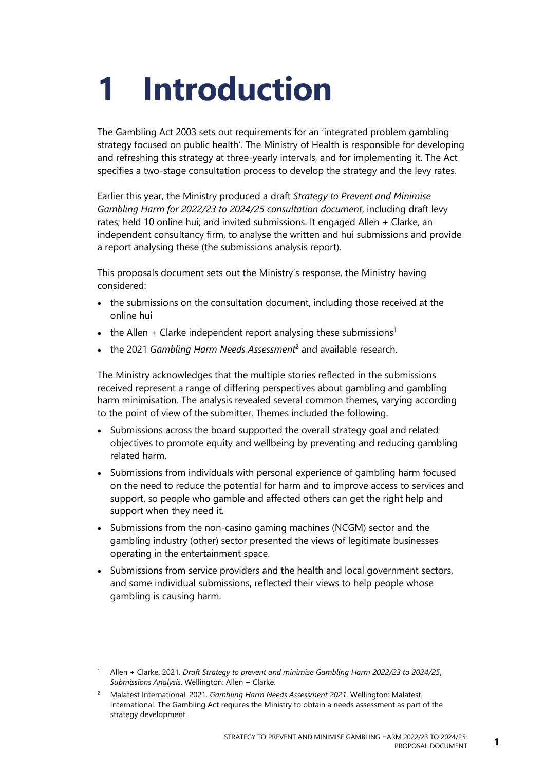# <span id="page-6-0"></span>**1 Introduction**

The Gambling Act 2003 sets out requirements for an 'integrated problem gambling strategy focused on public health'. The Ministry of Health is responsible for developing and refreshing this strategy at three-yearly intervals, and for implementing it. The Act specifies a two-stage consultation process to develop the strategy and the levy rates.

Earlier this year, the Ministry produced a draft *Strategy to Prevent and Minimise Gambling Harm for 2022/23 to 2024/25 consultation document*, including draft levy rates; held 10 online hui; and invited submissions. It engaged Allen + Clarke, an independent consultancy firm, to analyse the written and hui submissions and provide a report analysing these (the submissions analysis report).

This proposals document sets out the Ministry's response, the Ministry having considered:

- the submissions on the consultation document, including those received at the online hui
- the Allen  $+$  Clarke independent report analysing these submissions<sup>1</sup>
- the 2021 *Gambling Harm Needs Assessment*<sup>2</sup> and available research.

The Ministry acknowledges that the multiple stories reflected in the submissions received represent a range of differing perspectives about gambling and gambling harm minimisation. The analysis revealed several common themes, varying according to the point of view of the submitter. Themes included the following.

- Submissions across the board supported the overall strategy goal and related objectives to promote equity and wellbeing by preventing and reducing gambling related harm.
- Submissions from individuals with personal experience of gambling harm focused on the need to reduce the potential for harm and to improve access to services and support, so people who gamble and affected others can get the right help and support when they need it.
- Submissions from the non-casino gaming machines (NCGM) sector and the gambling industry (other) sector presented the views of legitimate businesses operating in the entertainment space.
- Submissions from service providers and the health and local government sectors, and some individual submissions, reflected their views to help people whose gambling is causing harm.

<sup>1</sup> Allen + Clarke. 2021. *Draft Strategy to prevent and minimise Gambling Harm 2022/23 to 2024/25*, *Submissions Analysis*. Wellington: Allen + Clarke.

<sup>2</sup> Malatest International. 2021. *Gambling Harm Needs Assessment 2021*. Wellington: Malatest International. The Gambling Act requires the Ministry to obtain a needs assessment as part of the strategy development.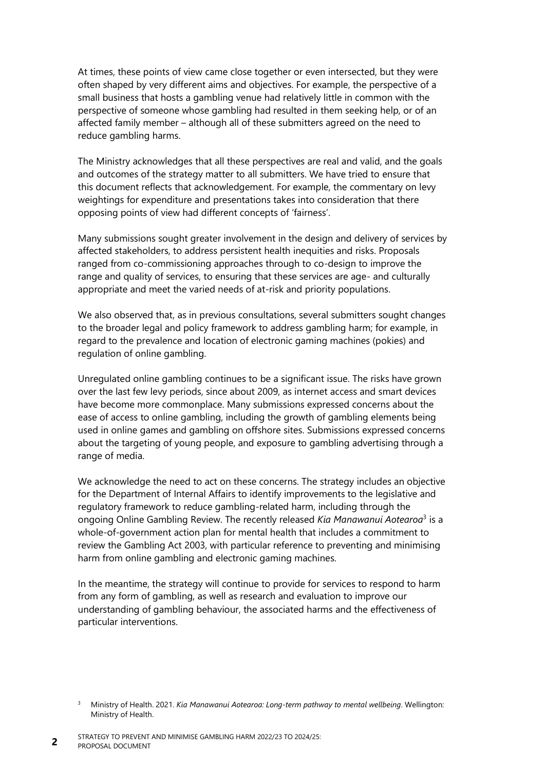At times, these points of view came close together or even intersected, but they were often shaped by very different aims and objectives. For example, the perspective of a small business that hosts a gambling venue had relatively little in common with the perspective of someone whose gambling had resulted in them seeking help, or of an affected family member – although all of these submitters agreed on the need to reduce gambling harms.

The Ministry acknowledges that all these perspectives are real and valid, and the goals and outcomes of the strategy matter to all submitters. We have tried to ensure that this document reflects that acknowledgement. For example, the commentary on levy weightings for expenditure and presentations takes into consideration that there opposing points of view had different concepts of 'fairness'.

Many submissions sought greater involvement in the design and delivery of services by affected stakeholders, to address persistent health inequities and risks. Proposals ranged from co-commissioning approaches through to co-design to improve the range and quality of services, to ensuring that these services are age- and culturally appropriate and meet the varied needs of at-risk and priority populations.

We also observed that, as in previous consultations, several submitters sought changes to the broader legal and policy framework to address gambling harm; for example, in regard to the prevalence and location of electronic gaming machines (pokies) and regulation of online gambling.

Unregulated online gambling continues to be a significant issue. The risks have grown over the last few levy periods, since about 2009, as internet access and smart devices have become more commonplace. Many submissions expressed concerns about the ease of access to online gambling, including the growth of gambling elements being used in online games and gambling on offshore sites. Submissions expressed concerns about the targeting of young people, and exposure to gambling advertising through a range of media.

We acknowledge the need to act on these concerns. The strategy includes an objective for the Department of Internal Affairs to identify improvements to the legislative and regulatory framework to reduce gambling-related harm, including through the ongoing Online Gambling Review. The recently released Kia Manawanui Aotearoa<sup>3</sup> is a whole-of-government action plan for mental health that includes a commitment to review the Gambling Act 2003, with particular reference to preventing and minimising harm from online gambling and electronic gaming machines.

In the meantime, the strategy will continue to provide for services to respond to harm from any form of gambling, as well as research and evaluation to improve our understanding of gambling behaviour, the associated harms and the effectiveness of particular interventions.

**2**

<sup>3</sup> Ministry of Health. 2021. *Kia Manawanui Aotearoa: Long-term pathway to mental wellbeing*. Wellington: Ministry of Health.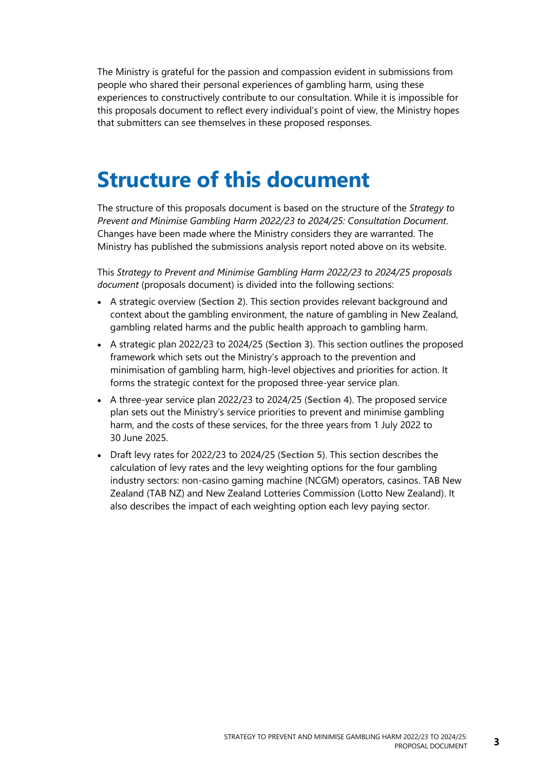The Ministry is grateful for the passion and compassion evident in submissions from people who shared their personal experiences of gambling harm, using these experiences to constructively contribute to our consultation. While it is impossible for this proposals document to reflect every individual's point of view, the Ministry hopes that submitters can see themselves in these proposed responses.

# <span id="page-8-0"></span>**Structure of this document**

The structure of this proposals document is based on the structure of the *Strategy to Prevent and Minimise Gambling Harm 2022/23 to 2024/25: Consultation Document*. Changes have been made where the Ministry considers they are warranted. The Ministry has published the submissions analysis report noted above on its website.

This *Strategy to Prevent and Minimise Gambling Harm 2022/23 to 2024/25 proposals document* (proposals document) is divided into the following sections:

- A strategic overview (**[Section 2](#page-10-2)**). This section provides relevant background and context about the gambling environment, the nature of gambling in New Zealand, gambling related harms and the public health approach to gambling harm.
- A strategic plan 2022/23 to 2024/25 (**[Section 3](#page-25-2)**). This section outlines the proposed framework which sets out the Ministry's approach to the prevention and minimisation of gambling harm, high-level objectives and priorities for action. It forms the strategic context for the proposed three-year service plan.
- A three-year service plan 2022/23 to 2024/25 (**[Section 4](#page-47-2)**). The proposed service plan sets out the Ministry's service priorities to prevent and minimise gambling harm, and the costs of these services, for the three years from 1 July 2022 to 30 June 2025.
- Draft levy rates for 2022/23 to 2024/25 (**[Section 5](#page-74-2)**). This section describes the calculation of levy rates and the levy weighting options for the four gambling industry sectors: non-casino gaming machine (NCGM) operators, casinos. TAB New Zealand (TAB NZ) and New Zealand Lotteries Commission (Lotto New Zealand). It also describes the impact of each weighting option each levy paying sector.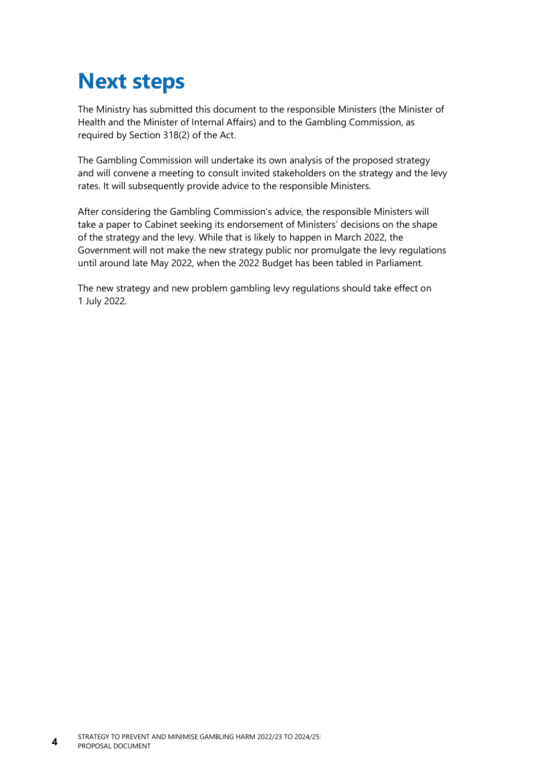# <span id="page-9-0"></span>**Next steps**

The Ministry has submitted this document to the responsible Ministers (the Minister of Health and the Minister of Internal Affairs) and to the Gambling Commission, as required by Section 318(2) of the Act.

The Gambling Commission will undertake its own analysis of the proposed strategy and will convene a meeting to consult invited stakeholders on the strategy and the levy rates. It will subsequently provide advice to the responsible Ministers.

After considering the Gambling Commission's advice, the responsible Ministers will take a paper to Cabinet seeking its endorsement of Ministers' decisions on the shape of the strategy and the levy. While that is likely to happen in March 2022, the Government will not make the new strategy public nor promulgate the levy regulations until around late May 2022, when the 2022 Budget has been tabled in Parliament.

The new strategy and new problem gambling levy regulations should take effect on 1 July 2022.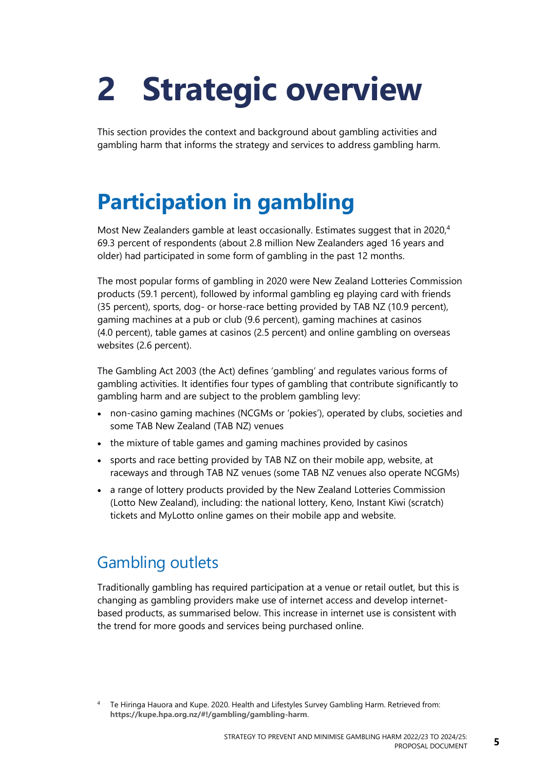# <span id="page-10-2"></span><span id="page-10-0"></span>**2 Strategic overview**

This section provides the context and background about gambling activities and gambling harm that informs the strategy and services to address gambling harm.

# <span id="page-10-1"></span>**Participation in gambling**

Most New Zealanders gamble at least occasionally. Estimates suggest that in 2020,<sup>4</sup> 69.3 percent of respondents (about 2.8 million New Zealanders aged 16 years and older) had participated in some form of gambling in the past 12 months.

The most popular forms of gambling in 2020 were New Zealand Lotteries Commission products (59.1 percent), followed by informal gambling eg playing card with friends (35 percent), sports, dog- or horse-race betting provided by TAB NZ (10.9 percent), gaming machines at a pub or club (9.6 percent), gaming machines at casinos (4.0 percent), table games at casinos (2.5 percent) and online gambling on overseas websites (2.6 percent).

The Gambling Act 2003 (the Act) defines 'gambling' and regulates various forms of gambling activities. It identifies four types of gambling that contribute significantly to gambling harm and are subject to the problem gambling levy:

- non-casino gaming machines (NCGMs or 'pokies'), operated by clubs, societies and some TAB New Zealand (TAB NZ) venues
- the mixture of table games and gaming machines provided by casinos
- sports and race betting provided by TAB NZ on their mobile app, website, at raceways and through TAB NZ venues (some TAB NZ venues also operate NCGMs)
- a range of lottery products provided by the New Zealand Lotteries Commission (Lotto New Zealand), including: the national lottery, Keno, Instant Kiwi (scratch) tickets and MyLotto online games on their mobile app and website.

## Gambling outlets

Traditionally gambling has required participation at a venue or retail outlet, but this is changing as gambling providers make use of internet access and develop internetbased products, as summarised below. This increase in internet use is consistent with the trend for more goods and services being purchased online.

<sup>4</sup> Te Hiringa Hauora and Kupe. 2020. Health and Lifestyles Survey Gambling Harm. Retrieved from: **<https://kupe.hpa.org.nz/#!/gambling/gambling-harm>**.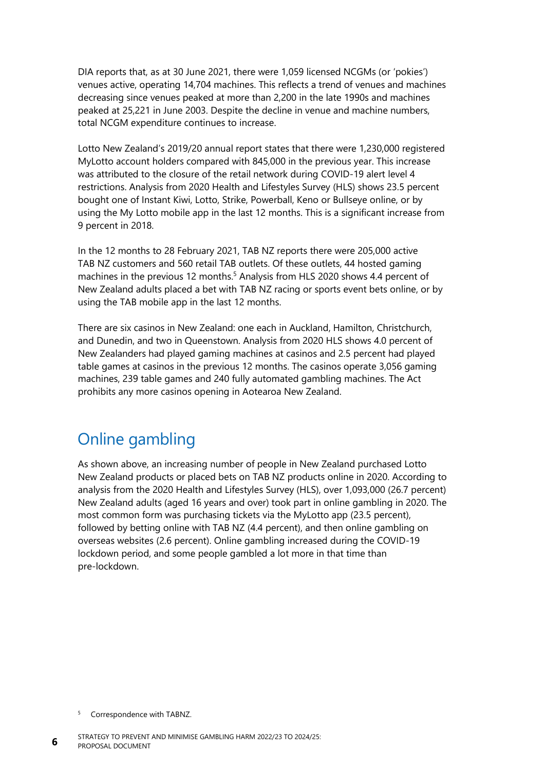DIA reports that, as at 30 June 2021, there were 1,059 licensed NCGMs (or 'pokies') venues active, operating 14,704 machines. This reflects a trend of venues and machines decreasing since venues peaked at more than 2,200 in the late 1990s and machines peaked at 25,221 in June 2003. Despite the decline in venue and machine numbers, total NCGM expenditure continues to increase.

Lotto New Zealand's 2019/20 annual report states that there were 1,230,000 registered MyLotto account holders compared with 845,000 in the previous year. This increase was attributed to the closure of the retail network during COVID-19 alert level 4 restrictions. Analysis from 2020 Health and Lifestyles Survey (HLS) shows 23.5 percent bought one of Instant Kiwi, Lotto, Strike, Powerball, Keno or Bullseye online, or by using the My Lotto mobile app in the last 12 months. This is a significant increase from 9 percent in 2018.

In the 12 months to 28 February 2021, TAB NZ reports there were 205,000 active TAB NZ customers and 560 retail TAB outlets. Of these outlets, 44 hosted gaming machines in the previous 12 months.<sup>5</sup> Analysis from HLS 2020 shows 4.4 percent of New Zealand adults placed a bet with TAB NZ racing or sports event bets online, or by using the TAB mobile app in the last 12 months.

There are six casinos in New Zealand: one each in Auckland, Hamilton, Christchurch, and Dunedin, and two in Queenstown. Analysis from 2020 HLS shows 4.0 percent of New Zealanders had played gaming machines at casinos and 2.5 percent had played table games at casinos in the previous 12 months. The casinos operate 3,056 gaming machines, 239 table games and 240 fully automated gambling machines. The Act prohibits any more casinos opening in Aotearoa New Zealand.

## Online gambling

As shown above, an increasing number of people in New Zealand purchased Lotto New Zealand products or placed bets on TAB NZ products online in 2020. According to analysis from the 2020 Health and Lifestyles Survey (HLS), over 1,093,000 (26.7 percent) New Zealand adults (aged 16 years and over) took part in online gambling in 2020. The most common form was purchasing tickets via the MyLotto app (23.5 percent), followed by betting online with TAB NZ (4.4 percent), and then online gambling on overseas websites (2.6 percent). Online gambling increased during the COVID-19 lockdown period, and some people gambled a lot more in that time than pre-lockdown.

<sup>5</sup> Correspondence with TABNZ.

**6**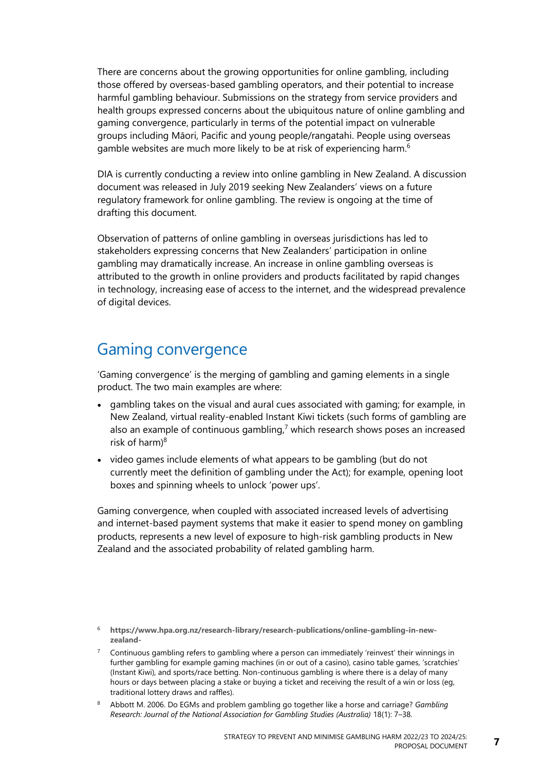There are concerns about the growing opportunities for online gambling, including those offered by overseas-based gambling operators, and their potential to increase harmful gambling behaviour. Submissions on the strategy from service providers and health groups expressed concerns about the ubiquitous nature of online gambling and gaming convergence, particularly in terms of the potential impact on vulnerable groups including Māori, Pacific and young people/rangatahi. People using overseas gamble websites are much more likely to be at risk of experiencing harm.<sup>6</sup>

DIA is currently conducting a review into online gambling in New Zealand. A discussion document was released in July 2019 seeking New Zealanders' views on a future regulatory framework for online gambling. The review is ongoing at the time of drafting this document.

Observation of patterns of online gambling in overseas jurisdictions has led to stakeholders expressing concerns that New Zealanders' participation in online gambling may dramatically increase. An increase in online gambling overseas is attributed to the growth in online providers and products facilitated by rapid changes in technology, increasing ease of access to the internet, and the widespread prevalence of digital devices.

## Gaming convergence

'Gaming convergence' is the merging of gambling and gaming elements in a single product. The two main examples are where:

- gambling takes on the visual and aural cues associated with gaming; for example, in New Zealand, virtual reality-enabled Instant Kiwi tickets (such forms of gambling are also an example of continuous gambling, <sup>7</sup> which research shows poses an increased risk of harm $)^8$
- video games include elements of what appears to be gambling (but do not currently meet the definition of gambling under the Act); for example, opening loot boxes and spinning wheels to unlock 'power ups'.

Gaming convergence, when coupled with associated increased levels of advertising and internet-based payment systems that make it easier to spend money on gambling products, represents a new level of exposure to high-risk gambling products in New Zealand and the associated probability of related gambling harm.

<sup>6</sup> **[https://www.hpa.org.nz/research-library/research-publications/online-gambling-in-new](https://www.hpa.org.nz/research-library/research-publications/online-gambling-in-new-zealand-)[zealand-](https://www.hpa.org.nz/research-library/research-publications/online-gambling-in-new-zealand-)**

 $7$  Continuous gambling refers to gambling where a person can immediately 'reinvest' their winnings in further gambling for example gaming machines (in or out of a casino), casino table games, 'scratchies' (Instant Kiwi), and sports/race betting. Non-continuous gambling is where there is a delay of many hours or days between placing a stake or buying a ticket and receiving the result of a win or loss (eg, traditional lottery draws and raffles).

<sup>8</sup> Abbott M. 2006. Do EGMs and problem gambling go together like a horse and carriage? *Gambling Research: Journal of the National Association for Gambling Studies (Australia)* 18(1): 7–38.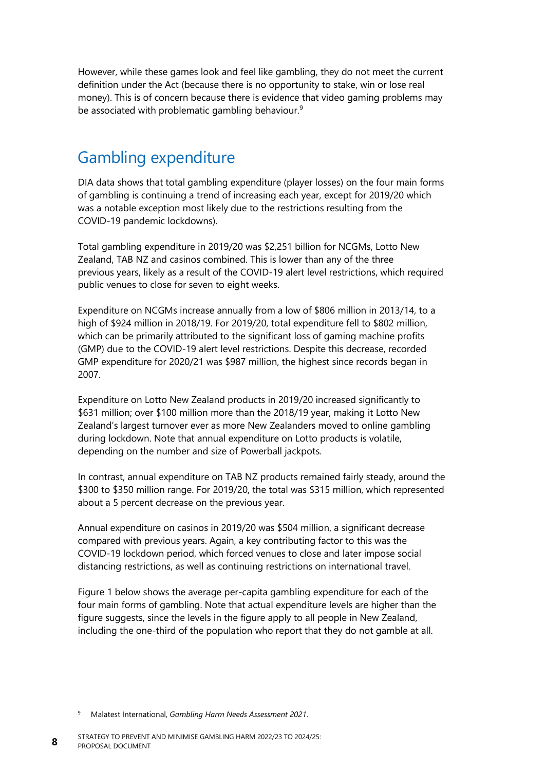However, while these games look and feel like gambling, they do not meet the current definition under the Act (because there is no opportunity to stake, win or lose real money). This is of concern because there is evidence that video gaming problems may be associated with problematic gambling behaviour.<sup>9</sup>

## Gambling expenditure

DIA data shows that total gambling expenditure (player losses) on the four main forms of gambling is continuing a trend of increasing each year, except for 2019/20 which was a notable exception most likely due to the restrictions resulting from the COVID-19 pandemic lockdowns).

Total gambling expenditure in 2019/20 was \$2,251 billion for NCGMs, Lotto New Zealand, TAB NZ and casinos combined. This is lower than any of the three previous years, likely as a result of the COVID-19 alert level restrictions, which required public venues to close for seven to eight weeks.

Expenditure on NCGMs increase annually from a low of \$806 million in 2013/14, to a high of \$924 million in 2018/19. For 2019/20, total expenditure fell to \$802 million, which can be primarily attributed to the significant loss of gaming machine profits (GMP) due to the COVID-19 alert level restrictions. Despite this decrease, recorded GMP expenditure for 2020/21 was \$987 million, the highest since records began in 2007.

Expenditure on Lotto New Zealand products in 2019/20 increased significantly to \$631 million; over \$100 million more than the 2018/19 year, making it Lotto New Zealand's largest turnover ever as more New Zealanders moved to online gambling during lockdown. Note that annual expenditure on Lotto products is volatile, depending on the number and size of Powerball jackpots.

In contrast, annual expenditure on TAB NZ products remained fairly steady, around the \$300 to \$350 million range. For 2019/20, the total was \$315 million, which represented about a 5 percent decrease on the previous year.

Annual expenditure on casinos in 2019/20 was \$504 million, a significant decrease compared with previous years. Again, a key contributing factor to this was the COVID-19 lockdown period, which forced venues to close and later impose social distancing restrictions, as well as continuing restrictions on international travel.

[Figure](#page-14-1) 1 below shows the average per-capita gambling expenditure for each of the four main forms of gambling. Note that actual expenditure levels are higher than the figure suggests, since the levels in the figure apply to all people in New Zealand, including the one-third of the population who report that they do not gamble at all.

<sup>9</sup> Malatest International, *Gambling Harm Needs Assessment 2021*.

**8**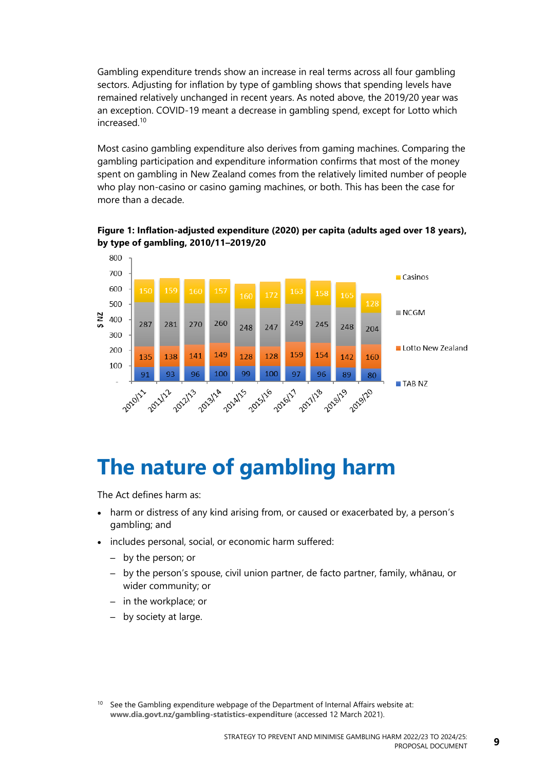Gambling expenditure trends show an increase in real terms across all four gambling sectors. Adjusting for inflation by type of gambling shows that spending levels have remained relatively unchanged in recent years. As noted above, the 2019/20 year was an exception. COVID-19 meant a decrease in gambling spend, except for Lotto which increased.<sup>10</sup>

Most casino gambling expenditure also derives from gaming machines. Comparing the gambling participation and expenditure information confirms that most of the money spent on gambling in New Zealand comes from the relatively limited number of people who play non-casino or casino gaming machines, or both. This has been the case for more than a decade.

<span id="page-14-1"></span>**Figure 1: Inflation-adjusted expenditure (2020) per capita (adults aged over 18 years), by type of gambling, 2010/11–2019/20**



# <span id="page-14-0"></span>**The nature of gambling harm**

The Act defines harm as:

- harm or distress of any kind arising from, or caused or exacerbated by, a person's gambling; and
- includes personal, social, or economic harm suffered:
	- by the person; or
	- by the person's spouse, civil union partner, de facto partner, family, whānau, or wider community; or
	- in the workplace; or
	- by society at large.

 $10$  See the Gambling expenditure webpage of the Department of Internal Affairs website at: **[www.dia.govt.nz/gambling-statistics-expenditure](http://www.dia.govt.nz/gambling-statistics-expenditure)** (accessed 12 March 2021).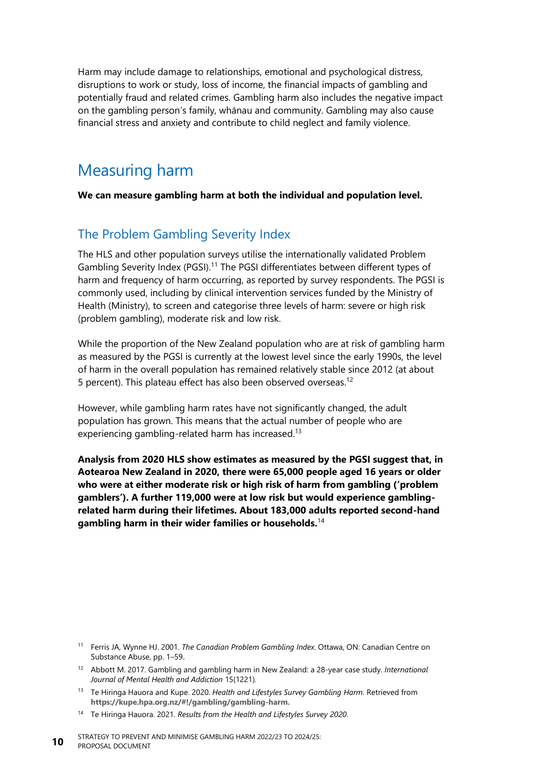Harm may include damage to relationships, emotional and psychological distress, disruptions to work or study, loss of income, the financial impacts of gambling and potentially fraud and related crimes. Gambling harm also includes the negative impact on the gambling person's family, whānau and community. Gambling may also cause financial stress and anxiety and contribute to child neglect and family violence.

## Measuring harm

**We can measure gambling harm at both the individual and population level.**

#### The Problem Gambling Severity Index

The HLS and other population surveys utilise the internationally validated Problem Gambling Severity Index (PGSI).<sup>11</sup> The PGSI differentiates between different types of harm and frequency of harm occurring, as reported by survey respondents. The PGSI is commonly used, including by clinical intervention services funded by the Ministry of Health (Ministry), to screen and categorise three levels of harm: severe or high risk (problem gambling), moderate risk and low risk.

While the proportion of the New Zealand population who are at risk of gambling harm as measured by the PGSI is currently at the lowest level since the early 1990s, the level of harm in the overall population has remained relatively stable since 2012 (at about 5 percent). This plateau effect has also been observed overseas.<sup>12</sup>

However, while gambling harm rates have not significantly changed, the adult population has grown. This means that the actual number of people who are experiencing gambling-related harm has increased.<sup>13</sup>

**Analysis from 2020 HLS show estimates as measured by the PGSI suggest that, in Aotearoa New Zealand in 2020, there were 65,000 people aged 16 years or older who were at either moderate risk or high risk of harm from gambling ('problem gamblers'). A further 119,000 were at low risk but would experience gamblingrelated harm during their lifetimes. About 183,000 adults reported second-hand gambling harm in their wider families or households.**<sup>14</sup>

- <sup>11</sup> Ferris JA, Wynne HJ. 2001. *The Canadian Problem Gambling Index*. Ottawa, ON: Canadian Centre on Substance Abuse, pp. 1–59.
- <sup>12</sup> Abbott M. 2017. Gambling and gambling harm in New Zealand: a 28-year case study. *International Journal of Mental Health and Addiction* 15(1221).
- <sup>13</sup> Te Hiringa Hauora and Kupe. 2020. *Health and Lifestyles Survey Gambling Harm*. Retrieved from **[https://kupe.hpa.org.nz/#!/gambling/gambling-harm.](https://kupe.hpa.org.nz/#!/gambling/gambling-harm)**
- <sup>14</sup> Te Hiringa Hauora. 2021. *Results from the Health and Lifestyles Survey 2020*.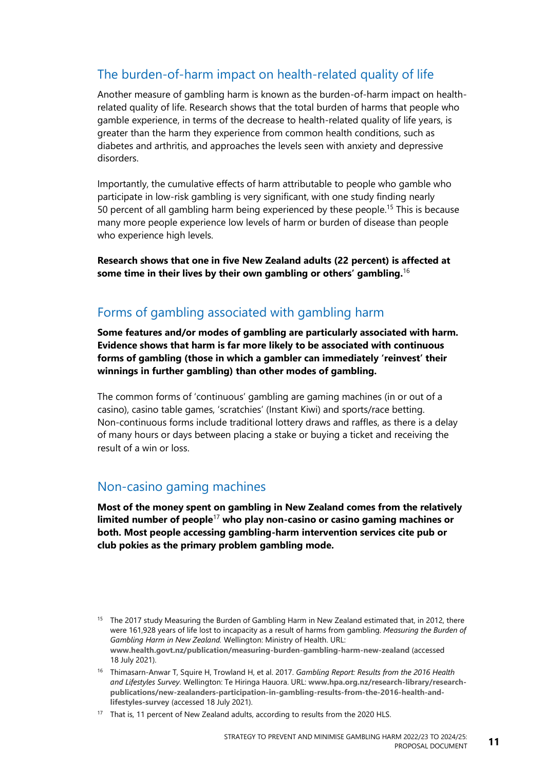### The burden-of-harm impact on health-related quality of life

Another measure of gambling harm is known as the burden-of-harm impact on healthrelated quality of life. Research shows that the total burden of harms that people who gamble experience, in terms of the decrease to health-related quality of life years, is greater than the harm they experience from common health conditions, such as diabetes and arthritis, and approaches the levels seen with anxiety and depressive disorders.

Importantly, the cumulative effects of harm attributable to people who gamble who participate in low-risk gambling is very significant, with one study finding nearly 50 percent of all gambling harm being experienced by these people.<sup>15</sup> This is because many more people experience low levels of harm or burden of disease than people who experience high levels.

**Research shows that one in five New Zealand adults (22 percent) is affected at some time in their lives by their own gambling or others' gambling.**<sup>16</sup>

#### Forms of gambling associated with gambling harm

**Some features and/or modes of gambling are particularly associated with harm. Evidence shows that harm is far more likely to be associated with continuous forms of gambling (those in which a gambler can immediately 'reinvest' their winnings in further gambling) than other modes of gambling.**

The common forms of 'continuous' gambling are gaming machines (in or out of a casino), casino table games, 'scratchies' (Instant Kiwi) and sports/race betting. Non-continuous forms include traditional lottery draws and raffles, as there is a delay of many hours or days between placing a stake or buying a ticket and receiving the result of a win or loss.

#### Non-casino gaming machines

**Most of the money spent on gambling in New Zealand comes from the relatively limited number of people**<sup>17</sup> **who play non-casino or casino gaming machines or both. Most people accessing gambling-harm intervention services cite pub or club pokies as the primary problem gambling mode.**

<sup>&</sup>lt;sup>15</sup> The 2017 study Measuring the Burden of Gambling Harm in New Zealand estimated that, in 2012, there were 161,928 years of life lost to incapacity as a result of harms from gambling. *Measuring the Burden of Gambling Harm in New Zealand.* Wellington: Ministry of Health. URL: **[www.health.govt.nz/publication/measuring-burden-gambling-harm-new-zealand](http://www.health.govt.nz/publication/measuring-burden-gambling-harm-new-zealand)** (accessed 18 July 2021).

<sup>16</sup> Thimasarn-Anwar T, Squire H, Trowland H, et al. 2017. *Gambling Report: Results from the 2016 Health and Lifestyles Survey*. Wellington: Te Hiringa Hauora. URL: **[www.hpa.org.nz/research-library/research](http://www.hpa.org.nz/research-library/research-publications/new-zealanders-participation-in-gambling-results-from-the-2016-health-and-lifestyles-survey)[publications/new-zealanders-participation-in-gambling-results-from-the-2016-health-and](http://www.hpa.org.nz/research-library/research-publications/new-zealanders-participation-in-gambling-results-from-the-2016-health-and-lifestyles-survey)[lifestyles-survey](http://www.hpa.org.nz/research-library/research-publications/new-zealanders-participation-in-gambling-results-from-the-2016-health-and-lifestyles-survey)** (accessed 18 July 2021).

<sup>&</sup>lt;sup>17</sup> That is, 11 percent of New Zealand adults, according to results from the 2020 HLS.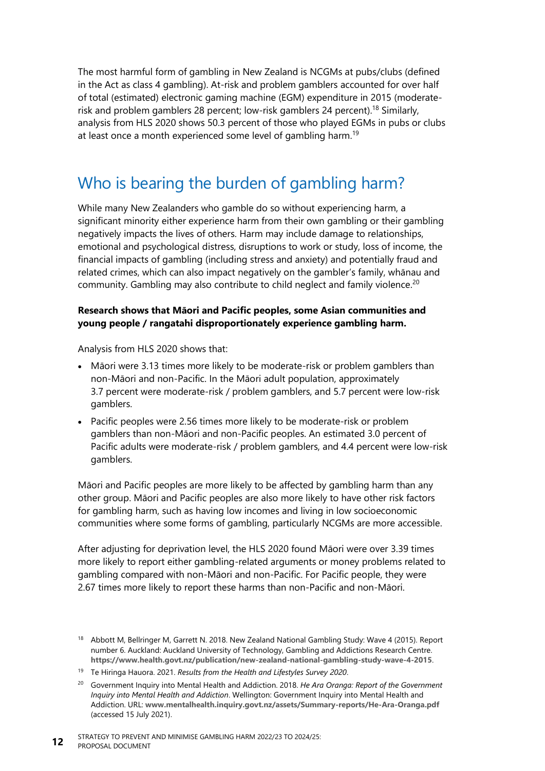The most harmful form of gambling in New Zealand is NCGMs at pubs/clubs (defined in the Act as class 4 gambling). At-risk and problem gamblers accounted for over half of total (estimated) electronic gaming machine (EGM) expenditure in 2015 (moderaterisk and problem gamblers 28 percent; low-risk gamblers 24 percent).<sup>18</sup> Similarly, analysis from HLS 2020 shows 50.3 percent of those who played EGMs in pubs or clubs at least once a month experienced some level of gambling harm.<sup>19</sup>

## Who is bearing the burden of gambling harm?

While many New Zealanders who gamble do so without experiencing harm, a significant minority either experience harm from their own gambling or their gambling negatively impacts the lives of others. Harm may include damage to relationships, emotional and psychological distress, disruptions to work or study, loss of income, the financial impacts of gambling (including stress and anxiety) and potentially fraud and related crimes, which can also impact negatively on the gambler's family, whānau and community. Gambling may also contribute to child neglect and family violence.<sup>20</sup>

#### **Research shows that Māori and Pacific peoples, some Asian communities and young people / rangatahi disproportionately experience gambling harm.**

Analysis from HLS 2020 shows that:

- Māori were 3.13 times more likely to be moderate-risk or problem gamblers than non-Māori and non-Pacific. In the Māori adult population, approximately 3.7 percent were moderate-risk / problem gamblers, and 5.7 percent were low-risk gamblers.
- Pacific peoples were 2.56 times more likely to be moderate-risk or problem gamblers than non-Māori and non-Pacific peoples. An estimated 3.0 percent of Pacific adults were moderate-risk / problem gamblers, and 4.4 percent were low-risk gamblers.

Māori and Pacific peoples are more likely to be affected by gambling harm than any other group. Māori and Pacific peoples are also more likely to have other risk factors for gambling harm, such as having low incomes and living in low socioeconomic communities where some forms of gambling, particularly NCGMs are more accessible.

After adjusting for deprivation level, the HLS 2020 found Māori were over 3.39 times more likely to report either gambling-related arguments or money problems related to gambling compared with non-Māori and non-Pacific. For Pacific people, they were 2.67 times more likely to report these harms than non-Pacific and non-Māori.

<sup>&</sup>lt;sup>18</sup> Abbott M, Bellringer M, Garrett N. 2018. New Zealand National Gambling Study: Wave 4 (2015). Report number 6. Auckland: Auckland University of Technology, Gambling and Addictions Research Centre. **<https://www.health.govt.nz/publication/new-zealand-national-gambling-study-wave-4-2015>**.

<sup>19</sup> Te Hiringa Hauora. 2021. *Results from the Health and Lifestyles Survey 2020*.

<sup>20</sup> Government Inquiry into Mental Health and Addiction. 2018. *He Ara Oranga: Report of the Government Inquiry into Mental Health and Addiction*. Wellington: Government Inquiry into Mental Health and Addiction. URL: **[www.mentalhealth.inquiry.govt.nz/assets/Summary-reports/He-Ara-Oranga.pdf](http://www.mentalhealth.inquiry.govt.nz/assets/Summary-reports/He-Ara-Oranga.pdf)** (accessed 15 July 2021).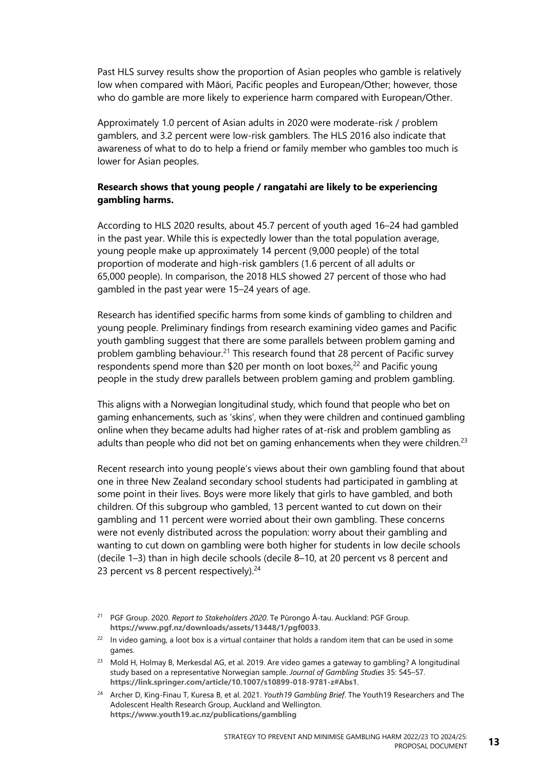Past HLS survey results show the proportion of Asian peoples who gamble is relatively low when compared with Māori, Pacific peoples and European/Other; however, those who do gamble are more likely to experience harm compared with European/Other.

Approximately 1.0 percent of Asian adults in 2020 were moderate-risk / problem gamblers, and 3.2 percent were low-risk gamblers. The HLS 2016 also indicate that awareness of what to do to help a friend or family member who gambles too much is lower for Asian peoples.

#### **Research shows that young people / rangatahi are likely to be experiencing gambling harms.**

According to HLS 2020 results, about 45.7 percent of youth aged 16–24 had gambled in the past year. While this is expectedly lower than the total population average, young people make up approximately 14 percent (9,000 people) of the total proportion of moderate and high-risk gamblers (1.6 percent of all adults or 65,000 people). In comparison, the 2018 HLS showed 27 percent of those who had gambled in the past year were 15–24 years of age.

Research has identified specific harms from some kinds of gambling to children and young people. Preliminary findings from research examining video games and Pacific youth gambling suggest that there are some parallels between problem gaming and problem gambling behaviour.<sup>21</sup> This research found that 28 percent of Pacific survey respondents spend more than \$20 per month on loot boxes,<sup>22</sup> and Pacific young people in the study drew parallels between problem gaming and problem gambling.

This aligns with a Norwegian longitudinal study, which found that people who bet on gaming enhancements, such as 'skins', when they were children and continued gambling online when they became adults had higher rates of at-risk and problem gambling as adults than people who did not bet on gaming enhancements when they were children.<sup>23</sup>

Recent research into young people's views about their own gambling found that about one in three New Zealand secondary school students had participated in gambling at some point in their lives. Boys were more likely that girls to have gambled, and both children. Of this subgroup who gambled, 13 percent wanted to cut down on their gambling and 11 percent were worried about their own gambling. These concerns were not evenly distributed across the population: worry about their gambling and wanting to cut down on gambling were both higher for students in low decile schools (decile 1–3) than in high decile schools (decile 8–10, at 20 percent vs 8 percent and 23 percent vs 8 percent respectively). $24$ 

<sup>21</sup> PGF Group. 2020. *Report to Stakeholders 2020*. Te Pūrongo Ā-tau. Auckland: PGF Group. **<https://www.pgf.nz/downloads/assets/13448/1/pgf0033>**.

<sup>&</sup>lt;sup>22</sup> In video gaming, a loot box is a virtual container that holds a random item that can be used in some games.

<sup>23</sup> Mold H, Holmay B, Merkesdal AG, et al. 2019. Are video games a gateway to gambling? A longitudinal study based on a representative Norwegian sample. *Journal of Gambling Studies* 35: 545–57. **<https://link.springer.com/article/10.1007/s10899-018-9781-z#Abs1>**.

<sup>24</sup> Archer D, King-Finau T, Kuresa B, et al. 2021. *Youth19 Gambling Brief*. The Youth19 Researchers and The Adolescent Health Research Group, Auckland and Wellington. **<https://www.youth19.ac.nz/publications/gambling>**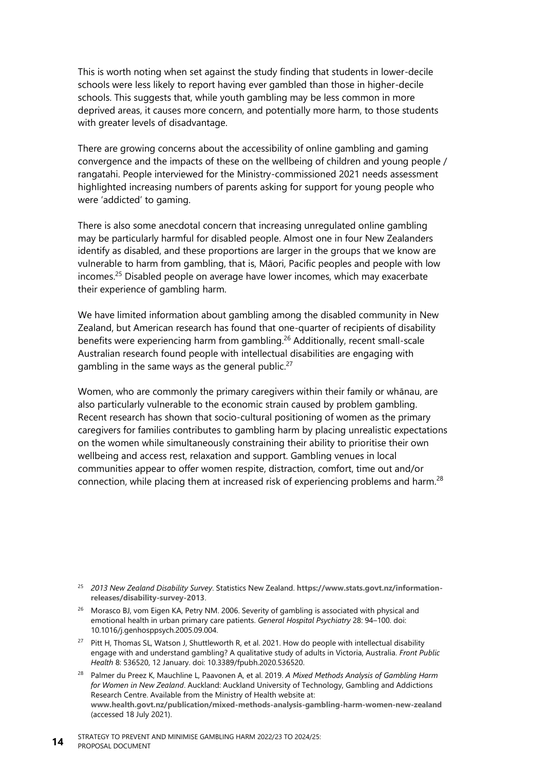This is worth noting when set against the study finding that students in lower-decile schools were less likely to report having ever gambled than those in higher-decile schools. This suggests that, while youth gambling may be less common in more deprived areas, it causes more concern, and potentially more harm, to those students with greater levels of disadvantage.

There are growing concerns about the accessibility of online gambling and gaming convergence and the impacts of these on the wellbeing of children and young people / rangatahi. People interviewed for the Ministry-commissioned 2021 needs assessment highlighted increasing numbers of parents asking for support for young people who were 'addicted' to gaming.

There is also some anecdotal concern that increasing unregulated online gambling may be particularly harmful for disabled people. Almost one in four New Zealanders identify as disabled, and these proportions are larger in the groups that we know are vulnerable to harm from gambling, that is, Māori, Pacific peoples and people with low incomes.<sup>25</sup> Disabled people on average have lower incomes, which may exacerbate their experience of gambling harm.

We have limited information about gambling among the disabled community in New Zealand, but American research has found that one-quarter of recipients of disability benefits were experiencing harm from gambling.<sup>26</sup> Additionally, recent small-scale Australian research found people with intellectual disabilities are engaging with gambling in the same ways as the general public. $27$ 

Women, who are commonly the primary caregivers within their family or whānau, are also particularly vulnerable to the economic strain caused by problem gambling. Recent research has shown that socio-cultural positioning of women as the primary caregivers for families contributes to gambling harm by placing unrealistic expectations on the women while simultaneously constraining their ability to prioritise their own wellbeing and access rest, relaxation and support. Gambling venues in local communities appear to offer women respite, distraction, comfort, time out and/or connection, while placing them at increased risk of experiencing problems and harm.<sup>28</sup>

- <sup>26</sup> Morasco BJ, vom Eigen KA, Petry NM. 2006. Severity of gambling is associated with physical and emotional health in urban primary care patients. *General Hospital Psychiatry* 28: 94–100. doi: 10.1016/j.genhosppsych.2005.09.004.
- <sup>27</sup> Pitt H, Thomas SL, Watson J, Shuttleworth R, et al. 2021. How do people with intellectual disability engage with and understand gambling? A qualitative study of adults in Victoria, Australia. *Front Public Health* 8: 536520, 12 January. doi: 10.3389/fpubh.2020.536520.
- <sup>28</sup> Palmer du Preez K, Mauchline L, Paavonen A, et al. 2019. *A Mixed Methods Analysis of Gambling Harm for Women in New Zealand*. Auckland: Auckland University of Technology, Gambling and Addictions Research Centre. Available from the Ministry of Health website at: **[www.health.govt.nz/publication/mixed-methods-analysis-gambling-harm-women-new-zealand](http://www.health.govt.nz/publication/mixed-methods-analysis-gambling-harm-women-new-zealand)** (accessed 18 July 2021).

<sup>25</sup> *2013 New Zealand Disability Survey*. Statistics New Zealand. **[https://www.stats.govt.nz/information](https://www.stats.govt.nz/information-releases/disability-survey-2013)[releases/disability-survey-2013](https://www.stats.govt.nz/information-releases/disability-survey-2013)**.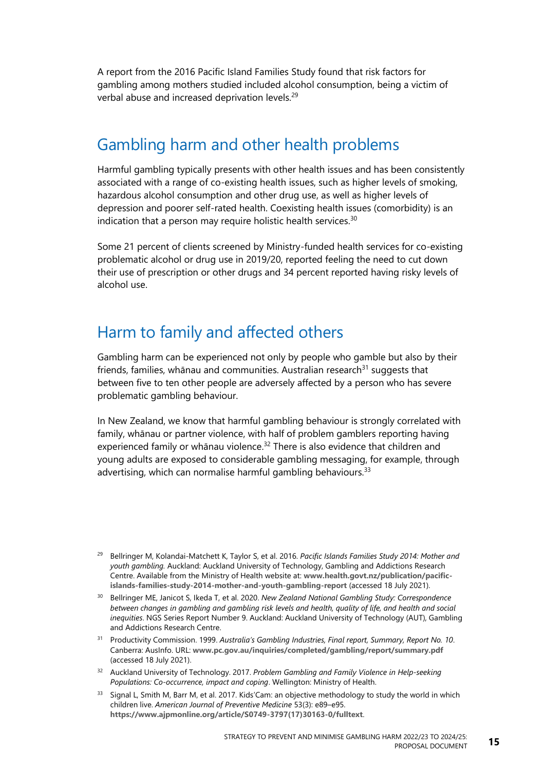A report from the 2016 Pacific Island Families Study found that risk factors for gambling among mothers studied included alcohol consumption, being a victim of verbal abuse and increased deprivation levels.<sup>29</sup>

## Gambling harm and other health problems

Harmful gambling typically presents with other health issues and has been consistently associated with a range of co-existing health issues, such as higher levels of smoking, hazardous alcohol consumption and other drug use, as well as higher levels of depression and poorer self-rated health. Coexisting health issues (comorbidity) is an indication that a person may require holistic health services. $30$ 

Some 21 percent of clients screened by Ministry-funded health services for co-existing problematic alcohol or drug use in 2019/20, reported feeling the need to cut down their use of prescription or other drugs and 34 percent reported having risky levels of alcohol use.

### Harm to family and affected others

Gambling harm can be experienced not only by people who gamble but also by their friends, families, whānau and communities. Australian research $31$  suggests that between five to ten other people are adversely affected by a person who has severe problematic gambling behaviour.

In New Zealand, we know that harmful gambling behaviour is strongly correlated with family, whānau or partner violence, with half of problem gamblers reporting having experienced family or whānau violence.<sup>32</sup> There is also evidence that children and young adults are exposed to considerable gambling messaging, for example, through advertising, which can normalise harmful gambling behaviours.<sup>33</sup>

- <sup>30</sup> Bellringer ME, Janicot S, Ikeda T, et al. 2020. *New Zealand National Gambling Study: Correspondence between changes in gambling and gambling risk levels and health, quality of life, and health and social inequities*. NGS Series Report Number 9. Auckland: Auckland University of Technology (AUT), Gambling and Addictions Research Centre.
- <sup>31</sup> Productivity Commission. 1999. *Australia's Gambling Industries, Final report, Summary, Report No. 10*. Canberra: AusInfo. URL: **[www.pc.gov.au/inquiries/completed/gambling/report/summary.pdf](http://www.pc.gov.au/inquiries/completed/gambling/report/summary.pdf)** (accessed 18 July 2021).
- <sup>32</sup> Auckland University of Technology. 2017. *Problem Gambling and Family Violence in Help-seeking Populations: Co-occurrence, impact and coping*. Wellington: Ministry of Health.
- <sup>33</sup> Signal L, Smith M, Barr M, et al. 2017. Kids'Cam: an objective methodology to study the world in which children live. *American Journal of Preventive Medicine* 53(3): e89–e95. **[https://www.ajpmonline.org/article/S0749-3797\(17\)30163-0/fulltext](https://www.ajpmonline.org/article/S0749-3797(17)30163-0/fulltext)**.

<sup>29</sup> Bellringer M, Kolandai-Matchett K, Taylor S, et al. 2016. *Pacific Islands Families Study 2014: Mother and youth gambling.* Auckland: Auckland University of Technology, Gambling and Addictions Research Centre. Available from the Ministry of Health website at: **[www.health.govt.nz/publication/pacific](http://www.health.govt.nz/publication/pacific-islands-families-study-2014-mother-and-youth-gambling-report)[islands-families-study-2014-mother-and-youth-gambling-report](http://www.health.govt.nz/publication/pacific-islands-families-study-2014-mother-and-youth-gambling-report)** (accessed 18 July 2021).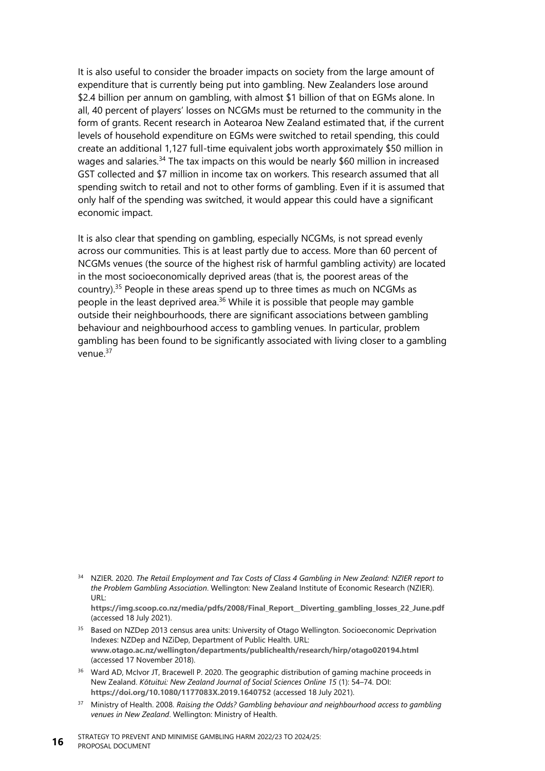It is also useful to consider the broader impacts on society from the large amount of expenditure that is currently being put into gambling. New Zealanders lose around \$2.4 billion per annum on gambling, with almost \$1 billion of that on EGMs alone. In all, 40 percent of players' losses on NCGMs must be returned to the community in the form of grants. Recent research in Aotearoa New Zealand estimated that, if the current levels of household expenditure on EGMs were switched to retail spending, this could create an additional 1,127 full-time equivalent jobs worth approximately \$50 million in wages and salaries.<sup>34</sup> The tax impacts on this would be nearly \$60 million in increased GST collected and \$7 million in income tax on workers. This research assumed that all spending switch to retail and not to other forms of gambling. Even if it is assumed that only half of the spending was switched, it would appear this could have a significant economic impact.

It is also clear that spending on gambling, especially NCGMs, is not spread evenly across our communities. This is at least partly due to access. More than 60 percent of NCGMs venues (the source of the highest risk of harmful gambling activity) are located in the most socioeconomically deprived areas (that is, the poorest areas of the country). $35$  People in these areas spend up to three times as much on NCGMs as people in the least deprived area.<sup>36</sup> While it is possible that people may gamble outside their neighbourhoods, there are significant associations between gambling behaviour and neighbourhood access to gambling venues. In particular, problem gambling has been found to be significantly associated with living closer to a gambling venue.<sup>37</sup>

- <sup>34</sup> NZIER. 2020. *The Retail Employment and Tax Costs of Class 4 Gambling in New Zealand: NZIER report to the Problem Gambling Association*. Wellington: New Zealand Institute of Economic Research (NZIER). URL:
	- **[https://img.scoop.co.nz/media/pdfs/2008/Final\\_Report\\_\\_Diverting\\_gambling\\_losses\\_22\\_June.pdf](https://img.scoop.co.nz/media/pdfs/2008/Final_Report__Diverting_gambling_losses_22_June.pdf)** (accessed 18 July 2021).
- <sup>35</sup> Based on NZDep 2013 census area units: University of Otago Wellington. Socioeconomic Deprivation Indexes: NZDep and NZiDep, Department of Public Health. URL: **[www.otago.ac.nz/wellington/departments/publichealth/research/hirp/otago020194.html](https://www.otago.ac.nz/wellington/departments/publichealth/research/hirp/otago020194.html)** (accessed 17 November 2018).
- <sup>36</sup> Ward AD, McIvor JT, Bracewell P. 2020. The geographic distribution of gaming machine proceeds in New Zealand. *Kōtuitui: New Zealand Journal of Social Sciences Online 15* (1): 54–74. DOI: **<https://doi.org/10.1080/1177083X.2019.1640752>** (accessed 18 July 2021).
- <sup>37</sup> Ministry of Health. 2008. *Raising the Odds? Gambling behaviour and neighbourhood access to gambling venues in New Zealand*. Wellington: Ministry of Health.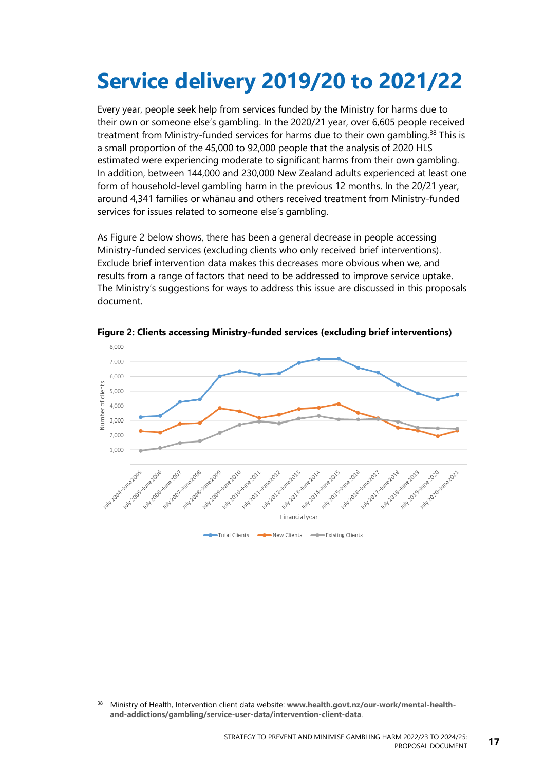# <span id="page-22-0"></span>**Service delivery 2019/20 to 2021/22**

Every year, people seek help from services funded by the Ministry for harms due to their own or someone else's gambling. In the 2020/21 year, over 6,605 people received treatment from Ministry-funded services for harms due to their own gambling.<sup>38</sup> This is a small proportion of the 45,000 to 92,000 people that the analysis of 2020 HLS estimated were experiencing moderate to significant harms from their own gambling. In addition, between 144,000 and 230,000 New Zealand adults experienced at least one form of household-level gambling harm in the previous 12 months. In the 20/21 year, around 4,341 families or whānau and others received treatment from Ministry-funded services for issues related to someone else's gambling.

As [Figure](#page-22-1) 2 below shows, there has been a general decrease in people accessing Ministry-funded services (excluding clients who only received brief interventions). Exclude brief intervention data makes this decreases more obvious when we, and results from a range of factors that need to be addressed to improve service uptake. The Ministry's suggestions for ways to address this issue are discussed in this proposals document.



<span id="page-22-1"></span>**Figure 2: Clients accessing Ministry-funded services (excluding brief interventions)**

<sup>38</sup> Ministry of Health, Intervention [client data website:](https://www.health.govt.nz/our-work/mental-health-and-addictions/problem-gambling/service-user-data/intervention-client-data) **[www.health.govt.nz/our-work/mental-health](http://www.health.govt.nz/our-work/mental-health-and-addictions/gambling/service-user-data/intervention-client-data)[and-addictions/gambling/service-user-data/intervention-client-data](http://www.health.govt.nz/our-work/mental-health-and-addictions/gambling/service-user-data/intervention-client-data)**.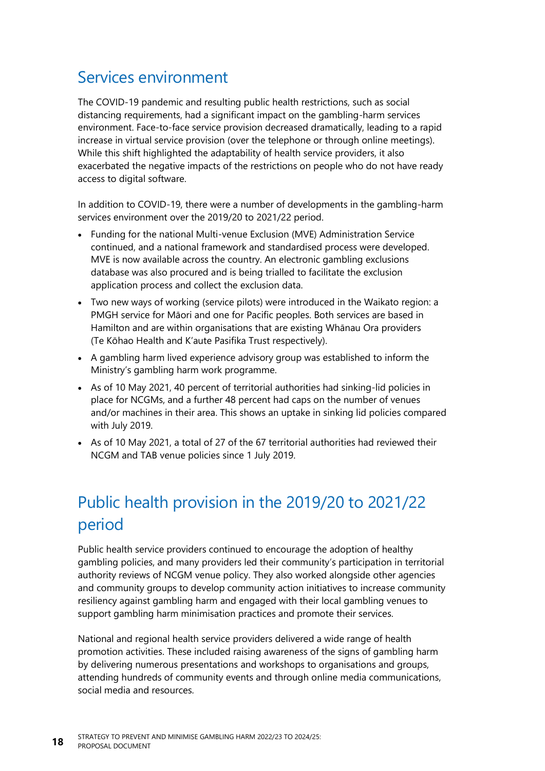## Services environment

The COVID-19 pandemic and resulting public health restrictions, such as social distancing requirements, had a significant impact on the gambling-harm services environment. Face-to-face service provision decreased dramatically, leading to a rapid increase in virtual service provision (over the telephone or through online meetings). While this shift highlighted the adaptability of health service providers, it also exacerbated the negative impacts of the restrictions on people who do not have ready access to digital software.

In addition to COVID-19, there were a number of developments in the gambling-harm services environment over the 2019/20 to 2021/22 period.

- Funding for the national Multi-venue Exclusion (MVE) Administration Service continued, and a national framework and standardised process were developed. MVE is now available across the country. An electronic gambling exclusions database was also procured and is being trialled to facilitate the exclusion application process and collect the exclusion data.
- Two new ways of working (service pilots) were introduced in the Waikato region: a PMGH service for Māori and one for Pacific peoples. Both services are based in Hamilton and are within organisations that are existing Whānau Ora providers (Te Kōhao Health and K'aute Pasifika Trust respectively).
- A gambling harm lived experience advisory group was established to inform the Ministry's gambling harm work programme.
- As of 10 May 2021, 40 percent of territorial authorities had sinking-lid policies in place for NCGMs, and a further 48 percent had caps on the number of venues and/or machines in their area. This shows an uptake in sinking lid policies compared with July 2019.
- As of 10 May 2021, a total of 27 of the 67 territorial authorities had reviewed their NCGM and TAB venue policies since 1 July 2019.

# Public health provision in the 2019/20 to 2021/22 period

Public health service providers continued to encourage the adoption of healthy gambling policies, and many providers led their community's participation in territorial authority reviews of NCGM venue policy. They also worked alongside other agencies and community groups to develop community action initiatives to increase community resiliency against gambling harm and engaged with their local gambling venues to support gambling harm minimisation practices and promote their services.

National and regional health service providers delivered a wide range of health promotion activities. These included raising awareness of the signs of gambling harm by delivering numerous presentations and workshops to organisations and groups, attending hundreds of community events and through online media communications, social media and resources.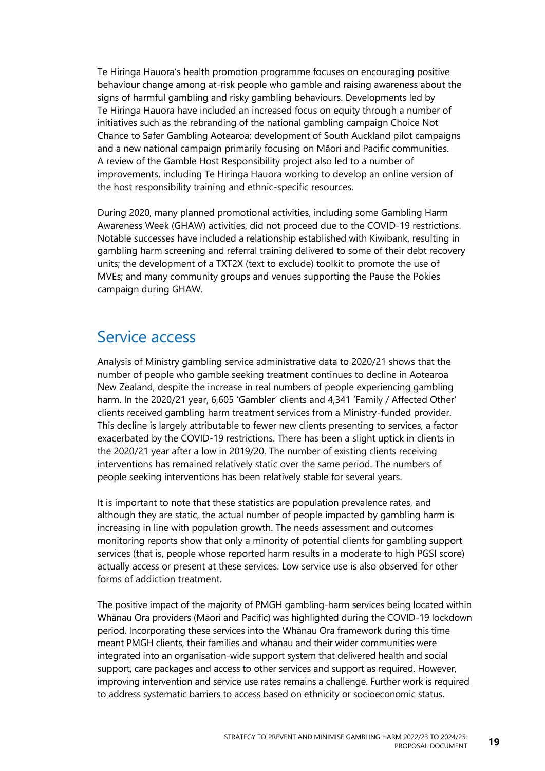Te Hiringa Hauora's health promotion programme focuses on encouraging positive behaviour change among at-risk people who gamble and raising awareness about the signs of harmful gambling and risky gambling behaviours. Developments led by Te Hiringa Hauora have included an increased focus on equity through a number of initiatives such as the rebranding of the national gambling campaign Choice Not Chance to Safer Gambling Aotearoa; development of South Auckland pilot campaigns and a new national campaign primarily focusing on Māori and Pacific communities. A review of the Gamble Host Responsibility project also led to a number of improvements, including Te Hiringa Hauora working to develop an online version of the host responsibility training and ethnic-specific resources.

During 2020, many planned promotional activities, including some Gambling Harm Awareness Week (GHAW) activities, did not proceed due to the COVID-19 restrictions. Notable successes have included a relationship established with Kiwibank, resulting in gambling harm screening and referral training delivered to some of their debt recovery units; the development of a TXT2X (text to exclude) toolkit to promote the use of MVEs; and many community groups and venues supporting the Pause the Pokies campaign during GHAW.

## Service access

Analysis of Ministry gambling service administrative data to 2020/21 shows that the number of people who gamble seeking treatment continues to decline in Aotearoa New Zealand, despite the increase in real numbers of people experiencing gambling harm. In the 2020/21 year, 6,605 'Gambler' clients and 4,341 'Family / Affected Other' clients received gambling harm treatment services from a Ministry-funded provider. This decline is largely attributable to fewer new clients presenting to services, a factor exacerbated by the COVID-19 restrictions. There has been a slight uptick in clients in the 2020/21 year after a low in 2019/20. The number of existing clients receiving interventions has remained relatively static over the same period. The numbers of people seeking interventions has been relatively stable for several years.

It is important to note that these statistics are population prevalence rates, and although they are static, the actual number of people impacted by gambling harm is increasing in line with population growth. The needs assessment and outcomes monitoring reports show that only a minority of potential clients for gambling support services (that is, people whose reported harm results in a moderate to high PGSI score) actually access or present at these services. Low service use is also observed for other forms of addiction treatment.

The positive impact of the majority of PMGH gambling-harm services being located within Whānau Ora providers (Māori and Pacific) was highlighted during the COVID-19 lockdown period. Incorporating these services into the Whānau Ora framework during this time meant PMGH clients, their families and whānau and their wider communities were integrated into an organisation-wide support system that delivered health and social support, care packages and access to other services and support as required. However, improving intervention and service use rates remains a challenge. Further work is required to address systematic barriers to access based on ethnicity or socioeconomic status.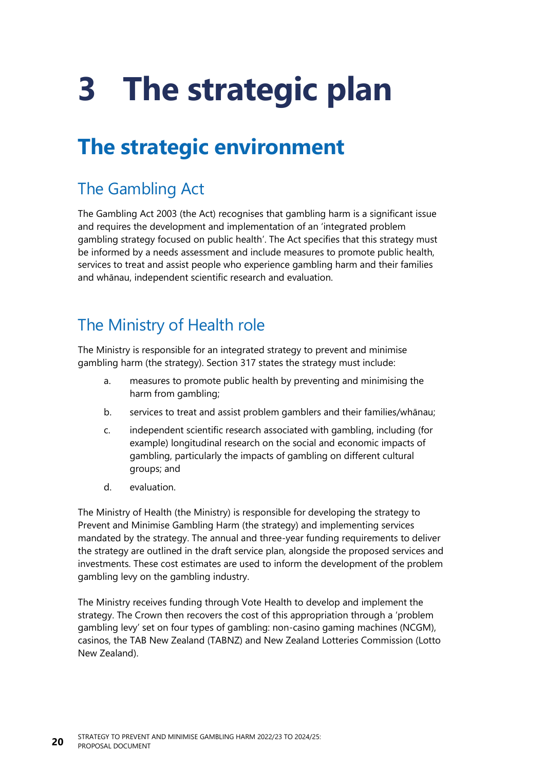# <span id="page-25-2"></span><span id="page-25-0"></span>**3 The strategic plan**

# <span id="page-25-1"></span>**The strategic environment**

# The Gambling Act

The Gambling Act 2003 (the Act) recognises that gambling harm is a significant issue and requires the development and implementation of an 'integrated problem gambling strategy focused on public health'. The Act specifies that this strategy must be informed by a needs assessment and include measures to promote public health, services to treat and assist people who experience gambling harm and their families and whānau, independent scientific research and evaluation.

# The Ministry of Health role

The Ministry is responsible for an integrated strategy to prevent and minimise gambling harm (the strategy). Section 317 states the strategy must include:

- a. measures to promote public health by preventing and minimising the harm from gambling;
- b. services to treat and assist problem gamblers and their families/whānau;
- c. independent scientific research associated with gambling, including (for example) longitudinal research on the social and economic impacts of gambling, particularly the impacts of gambling on different cultural groups; and
- d. evaluation.

The Ministry of Health (the Ministry) is responsible for developing the strategy to Prevent and Minimise Gambling Harm (the strategy) and implementing services mandated by the strategy. The annual and three-year funding requirements to deliver the strategy are outlined in the draft service plan, alongside the proposed services and investments. These cost estimates are used to inform the development of the problem gambling levy on the gambling industry.

The Ministry receives funding through Vote Health to develop and implement the strategy. The Crown then recovers the cost of this appropriation through a 'problem gambling levy' set on four types of gambling: non-casino gaming machines (NCGM), casinos, the TAB New Zealand (TABNZ) and New Zealand Lotteries Commission (Lotto New Zealand).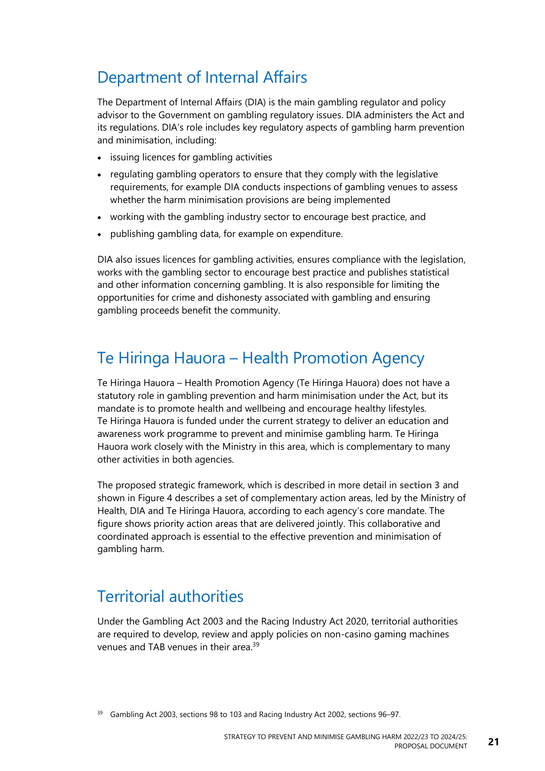## Department of Internal Affairs

The Department of Internal Affairs (DIA) is the main gambling regulator and policy advisor to the Government on gambling regulatory issues. DIA administers the Act and its regulations. DIA's role includes key regulatory aspects of gambling harm prevention and minimisation, including:

- issuing licences for gambling activities
- regulating gambling operators to ensure that they comply with the legislative requirements, for example DIA conducts inspections of gambling venues to assess whether the harm minimisation provisions are being implemented
- working with the gambling industry sector to encourage best practice, and
- publishing gambling data, for example on expenditure.

DIA also issues licences for gambling activities, ensures compliance with the legislation, works with the gambling sector to encourage best practice and publishes statistical and other information concerning gambling. It is also responsible for limiting the opportunities for crime and dishonesty associated with gambling and ensuring gambling proceeds benefit the community.

## Te Hiringa Hauora – Health Promotion Agency

Te Hiringa Hauora – Health Promotion Agency (Te Hiringa Hauora) does not have a statutory role in gambling prevention and harm minimisation under the Act, but its mandate is to promote health and wellbeing and encourage healthy lifestyles. Te Hiringa Hauora is funded under the current strategy to deliver an education and awareness work programme to prevent and minimise gambling harm. Te Hiringa Hauora work closely with the Ministry in this area, which is complementary to many other activities in both agencies.

The proposed strategic framework, which is described in more detail in **[section](#page-10-2) 3** and shown in [Figure](#page-44-0) 4 describes a set of complementary action areas, led by the Ministry of Health, DIA and Te Hiringa Hauora, according to each agency's core mandate. The figure shows priority action areas that are delivered jointly. This collaborative and coordinated approach is essential to the effective prevention and minimisation of gambling harm.

## Territorial authorities

Under the Gambling Act 2003 and the Racing Industry Act 2020, territorial authorities are required to develop, review and apply policies on non-casino gaming machines venues and TAB venues in their area.<sup>39</sup>

<sup>39</sup> Gambling Act 2003, sections 98 to 103 and Racing Industry Act 2002, sections 96-97.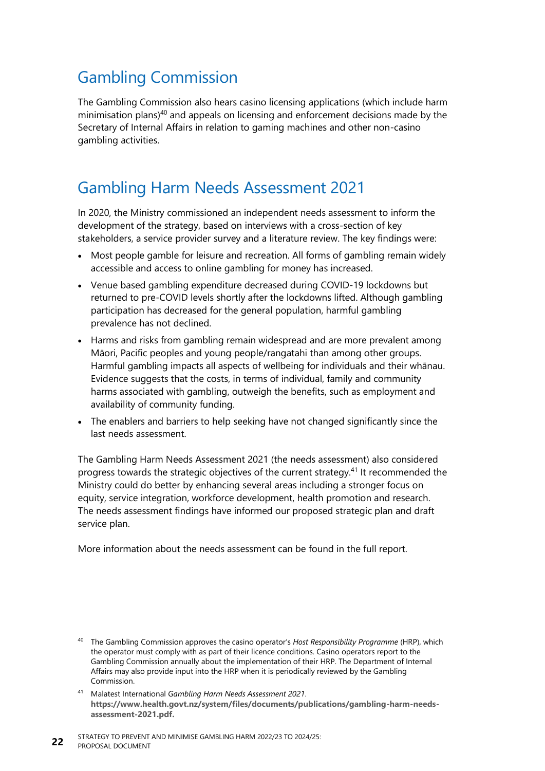# Gambling Commission

The Gambling Commission also hears casino licensing applications (which include harm minimisation plans) <sup>40</sup> and appeals on licensing and enforcement decisions made by the Secretary of Internal Affairs in relation to gaming machines and other non-casino gambling activities.

## Gambling Harm Needs Assessment 2021

In 2020, the Ministry commissioned an independent needs assessment to inform the development of the strategy, based on interviews with a cross-section of key stakeholders, a service provider survey and a literature review. The key findings were:

- Most people gamble for leisure and recreation. All forms of gambling remain widely accessible and access to online gambling for money has increased.
- Venue based gambling expenditure decreased during COVID-19 lockdowns but returned to pre-COVID levels shortly after the lockdowns lifted. Although gambling participation has decreased for the general population, harmful gambling prevalence has not declined.
- Harms and risks from gambling remain widespread and are more prevalent among Māori, Pacific peoples and young people/rangatahi than among other groups. Harmful gambling impacts all aspects of wellbeing for individuals and their whānau. Evidence suggests that the costs, in terms of individual, family and community harms associated with gambling, outweigh the benefits, such as employment and availability of community funding.
- The enablers and barriers to help seeking have not changed significantly since the last needs assessment.

The Gambling Harm Needs Assessment 2021 (the needs assessment) also considered progress towards the strategic objectives of the current strategy.<sup>41</sup> It recommended the Ministry could do better by enhancing several areas including a stronger focus on equity, service integration, workforce development, health promotion and research. The needs assessment findings have informed our proposed strategic plan and draft service plan.

More information about the needs assessment can be found in the full report.

<sup>40</sup> The Gambling Commission approves the casino operator's *Host Responsibility Programme* (HRP), which the operator must comply with as part of their licence conditions. Casino operators report to the Gambling Commission annually about the implementation of their HRP. The Department of Internal Affairs may also provide input into the HRP when it is periodically reviewed by the Gambling Commission.

<sup>41</sup> Malatest International *Gambling Harm Needs Assessment 2021*. **[https://www.health.govt.nz/system/files/documents/publications/gambling-harm-needs](https://www.health.govt.nz/system/files/documents/publications/gambling-harm-needs-assessment-2021.pdf)[assessment-2021.pdf.](https://www.health.govt.nz/system/files/documents/publications/gambling-harm-needs-assessment-2021.pdf)**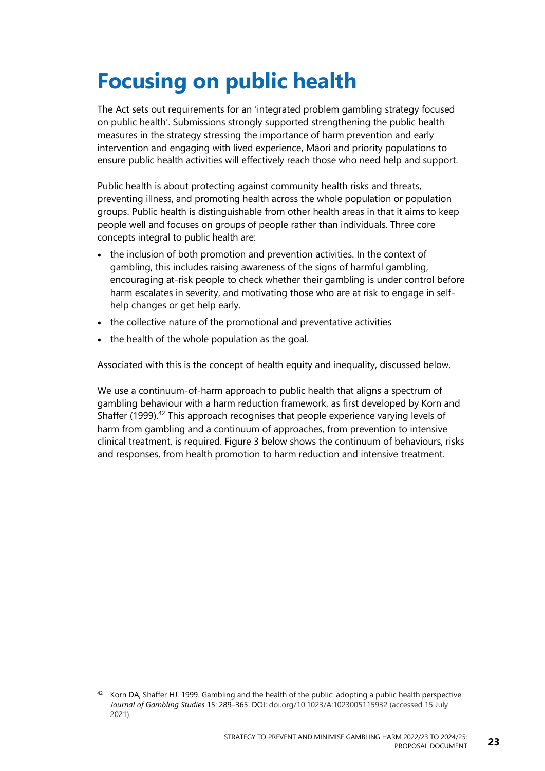# <span id="page-28-0"></span>**Focusing on public health**

The Act sets out requirements for an 'integrated problem gambling strategy focused on public health'. Submissions strongly supported strengthening the public health measures in the strategy stressing the importance of harm prevention and early intervention and engaging with lived experience, Māori and priority populations to ensure public health activities will effectively reach those who need help and support.

Public health is about protecting against community health risks and threats, preventing illness, and promoting health across the whole population or population groups. Public health is distinguishable from other health areas in that it aims to keep people well and focuses on groups of people rather than individuals. Three core concepts integral to public health are:

- the inclusion of both promotion and prevention activities. In the context of gambling, this includes raising awareness of the signs of harmful gambling, encouraging at-risk people to check whether their gambling is under control before harm escalates in severity, and motivating those who are at risk to engage in selfhelp changes or get help early.
- the collective nature of the promotional and preventative activities
- the health of the whole population as the goal.

Associated with this is the concept of health equity and inequality, discussed below.

We use a continuum-of-harm approach to public health that aligns a spectrum of gambling behaviour with a harm reduction framework, as first developed by Korn and Shaffer (1999).<sup>42</sup> This approach recognises that people experience varying levels of harm from gambling and a continuum of approaches, from prevention to intensive clinical treatment, is required. [Figure](#page-29-1) 3 below shows the continuum of behaviours, risks and responses, from health promotion to harm reduction and intensive treatment.

 $42$  Korn DA, Shaffer HJ. 1999. Gambling and the health of the public: adopting a public health perspective. *Journal of Gambling Studies* 15: 289–365. DOI: doi.org/10.1023/A:1023005115932 (accessed 15 July 2021).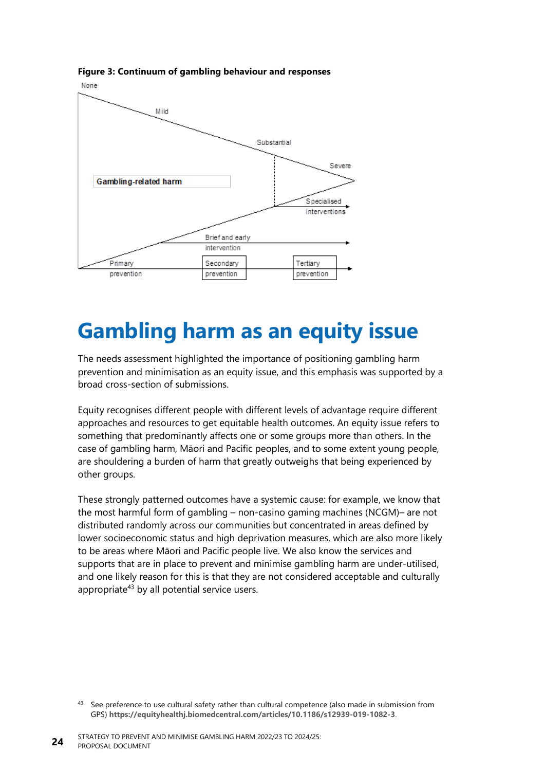

<span id="page-29-1"></span>**Figure 3: Continuum of gambling behaviour and responses**

# <span id="page-29-0"></span>**Gambling harm as an equity issue**

The needs assessment highlighted the importance of positioning gambling harm prevention and minimisation as an equity issue, and this emphasis was supported by a broad cross-section of submissions.

Equity recognises different people with different levels of advantage require different approaches and resources to get equitable health outcomes. An equity issue refers to something that predominantly affects one or some groups more than others. In the case of gambling harm, Māori and Pacific peoples, and to some extent young people, are shouldering a burden of harm that greatly outweighs that being experienced by other groups.

These strongly patterned outcomes have a systemic cause: for example, we know that the most harmful form of gambling – non-casino gaming machines (NCGM)– are not distributed randomly across our communities but concentrated in areas defined by lower socioeconomic status and high deprivation measures, which are also more likely to be areas where Māori and Pacific people live. We also know the services and supports that are in place to prevent and minimise gambling harm are under-utilised, and one likely reason for this is that they are not considered acceptable and culturally appropriate<sup>43</sup> by all potential service users.

<sup>&</sup>lt;sup>43</sup> See preference to use cultural safety rather than cultural competence (also made in submission from GPS) **<https://equityhealthj.biomedcentral.com/articles/10.1186/s12939-019-1082-3>**.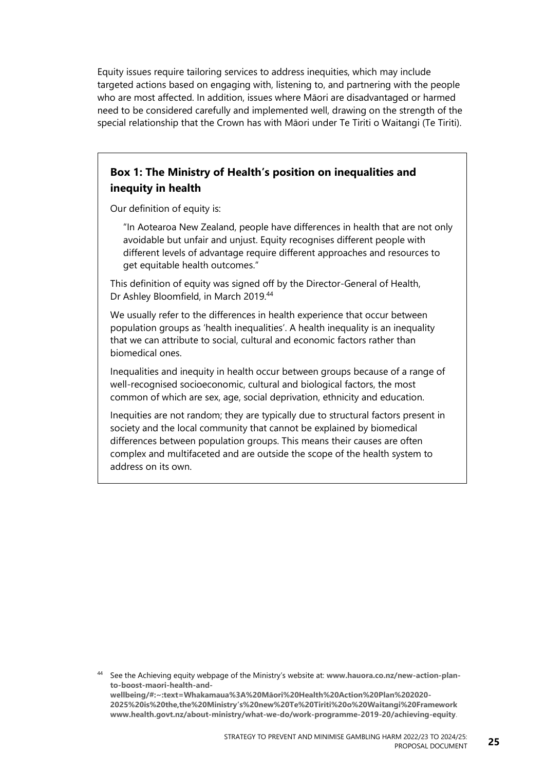Equity issues require tailoring services to address inequities, which may include targeted actions based on engaging with, listening to, and partnering with the people who are most affected. In addition, issues where Māori are disadvantaged or harmed need to be considered carefully and implemented well, drawing on the strength of the special relationship that the Crown has with Māori under Te Tiriti o Waitangi (Te Tiriti).

#### **Box 1: The Ministry of Health's position on inequalities and inequity in health**

Our definition of equity is:

"In Aotearoa New Zealand, people have differences in health that are not only avoidable but unfair and unjust. Equity recognises different people with different levels of advantage require different approaches and resources to get equitable health outcomes."

This definition of equity was signed off by the Director-General of Health, Dr Ashley Bloomfield, in March 2019.<sup>44</sup>

We usually refer to the differences in health experience that occur between population groups as 'health inequalities'. A health inequality is an inequality that we can attribute to social, cultural and economic factors rather than biomedical ones.

Inequalities and inequity in health occur between groups because of a range of well-recognised socioeconomic, cultural and biological factors, the most common of which are sex, age, social deprivation, ethnicity and education.

Inequities are not random; they are typically due to structural factors present in society and the local community that cannot be explained by biomedical differences between population groups. This means their causes are often complex and multifaceted and are outside the scope of the health system to address on its own.

<sup>44</sup> See the Achieving equity webpage of the Ministry's website at: **[www.hauora.co.nz/new-action-plan](http://www.hauora.co.nz/new-action-plan-to-boost-maori-health-and-wellbeing/#:~:text=Whakamaua%3A%20Māori%20Health%20Action%20Plan%202020-2025%20is%20the,the%20Ministry’s%20new%20Te%20Tiriti%20o%20Waitangi%20Framework)[to-boost-maori-health-and](http://www.hauora.co.nz/new-action-plan-to-boost-maori-health-and-wellbeing/#:~:text=Whakamaua%3A%20Māori%20Health%20Action%20Plan%202020-2025%20is%20the,the%20Ministry’s%20new%20Te%20Tiriti%20o%20Waitangi%20Framework)[wellbeing/#:~:text=Whakamaua%3A%20Māori%20Health%20Action%20Plan%202020](http://www.hauora.co.nz/new-action-plan-to-boost-maori-health-and-wellbeing/#:~:text=Whakamaua%3A%20Māori%20Health%20Action%20Plan%202020-2025%20is%20the,the%20Ministry’s%20new%20Te%20Tiriti%20o%20Waitangi%20Framework)- 2025%20is%20the,the%20Ministry'[s%20new%20Te%20Tiriti%20o%20Waitangi%20Framework](http://www.hauora.co.nz/new-action-plan-to-boost-maori-health-and-wellbeing/#:~:text=Whakamaua%3A%20Māori%20Health%20Action%20Plan%202020-2025%20is%20the,the%20Ministry’s%20new%20Te%20Tiriti%20o%20Waitangi%20Framework) [www.health.govt.nz/about-ministry/what-we-do/work-programme-2019-20/achieving-equity](http://www.health.govt.nz/about-ministry/what-we-do/work-programme-2019-20/achieving-equity)**.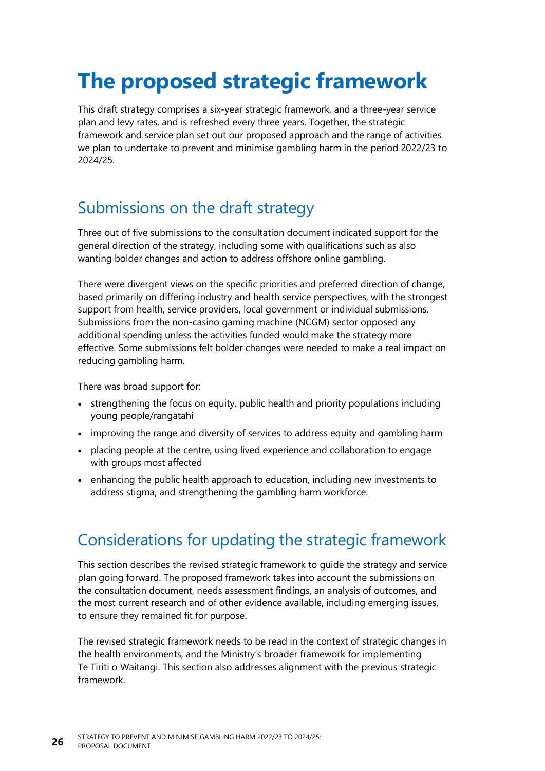# <span id="page-31-0"></span>**The proposed strategic framework**

This draft strategy comprises a six-year strategic framework, and a three-year service plan and levy rates, and is refreshed every three years. Together, the strategic framework and service plan set out our proposed approach and the range of activities we plan to undertake to prevent and minimise gambling harm in the period 2022/23 to 2024/25.

# Submissions on the draft strategy

Three out of five submissions to the consultation document indicated support for the general direction of the strategy, including some with qualifications such as also wanting bolder changes and action to address offshore online gambling.

There were divergent views on the specific priorities and preferred direction of change, based primarily on differing industry and health service perspectives, with the strongest support from health, service providers, local government or individual submissions. Submissions from the non-casino gaming machine (NCGM) sector opposed any additional spending unless the activities funded would make the strategy more effective. Some submissions felt bolder changes were needed to make a real impact on reducing gambling harm.

There was broad support for:

- strengthening the focus on equity, public health and priority populations including young people/rangatahi
- improving the range and diversity of services to address equity and gambling harm
- placing people at the centre, using lived experience and collaboration to engage with groups most affected
- enhancing the public health approach to education, including new investments to address stigma, and strengthening the gambling harm workforce.

# Considerations for updating the strategic framework

This section describes the revised strategic framework to guide the strategy and service plan going forward. The proposed framework takes into account the submissions on the consultation document, needs assessment findings, an analysis of outcomes, and the most current research and of other evidence available, including emerging issues, to ensure they remained fit for purpose.

The revised strategic framework needs to be read in the context of strategic changes in the health environments, and the Ministry's broader framework for implementing Te Tiriti o Waitangi. This section also addresses alignment with the previous strategic framework.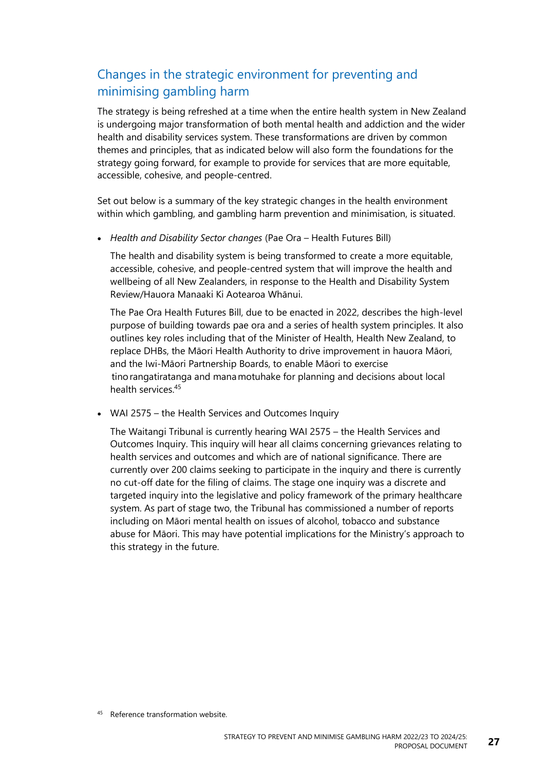### Changes in the strategic environment for preventing and minimising gambling harm

The strategy is being refreshed at a time when the entire health system in New Zealand is undergoing major transformation of both mental health and addiction and the wider health and disability services system. These transformations are driven by common themes and principles, that as indicated below will also form the foundations for the strategy going forward, for example to provide for services that are more equitable, accessible, cohesive, and people-centred.

Set out below is a summary of the key strategic changes in the health environment within which gambling, and gambling harm prevention and minimisation, is situated.

• *Health and Disability Sector changes* (Pae Ora – Health Futures Bill)

The health and disability system is being transformed to create a more equitable, accessible, cohesive, and people-centred system that will improve the health and wellbeing of all New Zealanders, in response to the Health and Disability System Review/Hauora Manaaki Ki Aotearoa Whānui.

The Pae Ora Health Futures Bill, due to be enacted in 2022, describes the high-level purpose of building towards pae ora and a series of health system principles. It also outlines key roles including that of the Minister of Health, Health New Zealand, to replace DHBs, the Māori Health Authority to drive improvement in hauora Māori, and the Iwi-Māori Partnership Boards, to enable Māori to exercise  tino rangatiratanga and mana motuhake for planning and decisions about local health services<sup>45</sup>

• WAI 2575 – the Health Services and Outcomes Inquiry

The Waitangi Tribunal is currently hearing WAI 2575 – the Health Services and Outcomes Inquiry. This inquiry will hear all claims concerning grievances relating to health services and outcomes and which are of national significance. There are currently over 200 claims seeking to participate in the inquiry and there is currently no cut-off date for the filing of claims. The stage one inquiry was a discrete and targeted inquiry into the legislative and policy framework of the primary healthcare system. As part of stage two, the Tribunal has commissioned a number of reports including on Māori mental health on issues of alcohol, tobacco and substance abuse for Māori. This may have potential implications for the Ministry's approach to this strategy in the future.

45 Reference transformation website.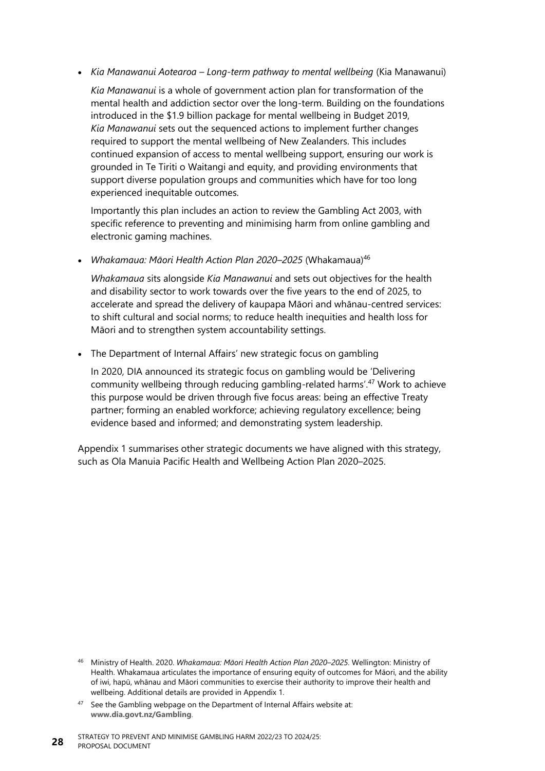• *Kia Manawanui Aotearoa – Long-term pathway to mental wellbeing* (Kia Manawanui)

*Kia Manawanui* is a whole of government action plan for transformation of the mental health and addiction sector over the long-term. Building on the foundations introduced in the \$1.9 billion package for mental wellbeing in Budget 2019, *Kia Manawanui* sets out the sequenced actions to implement further changes required to support the mental wellbeing of New Zealanders. This includes continued expansion of access to mental wellbeing support, ensuring our work is grounded in Te Tiriti o Waitangi and equity, and providing environments that support diverse population groups and communities which have for too long experienced inequitable outcomes.

Importantly this plan includes an action to review the Gambling Act 2003, with specific reference to preventing and minimising harm from online gambling and electronic gaming machines.

• *Whakamaua: Māori Health Action Plan 2020–2025* (Whakamaua)<sup>46</sup>

*Whakamaua* sits alongside *Kia Manawanui* and sets out objectives for the health and disability sector to work towards over the five years to the end of 2025, to accelerate and spread the delivery of kaupapa Māori and whānau-centred services: to shift cultural and social norms; to reduce health inequities and health loss for Māori and to strengthen system accountability settings.

• The Department of Internal Affairs' new strategic focus on gambling

In 2020, DIA announced its strategic focus on gambling would be 'Delivering community wellbeing through reducing gambling-related harms'. <sup>47</sup> Work to achieve this purpose would be driven through five focus areas: being an effective Treaty partner; forming an enabled workforce; achieving regulatory excellence; being evidence based and informed; and demonstrating system leadership.

Appendix 1 summarises other strategic documents we have aligned with this strategy, such as Ola Manuia Pacific Health and Wellbeing Action Plan 2020–2025.

<sup>46</sup> Ministry of Health. 2020. *Whakamaua: Māori Health Action Plan 2020–2025*. Wellington: Ministry of Health. Whakamaua articulates the importance of ensuring equity of outcomes for Māori, and the ability of iwi, hapū, whānau and Māori communities to exercise their authority to improve their health and wellbeing. Additional details are provided in Appendix 1.

 $47$  See the Gambling webpage on the Department of Internal Affairs website at: **[www.dia.govt.nz/Gambling](http://www.dia.govt.nz/Gambling)**.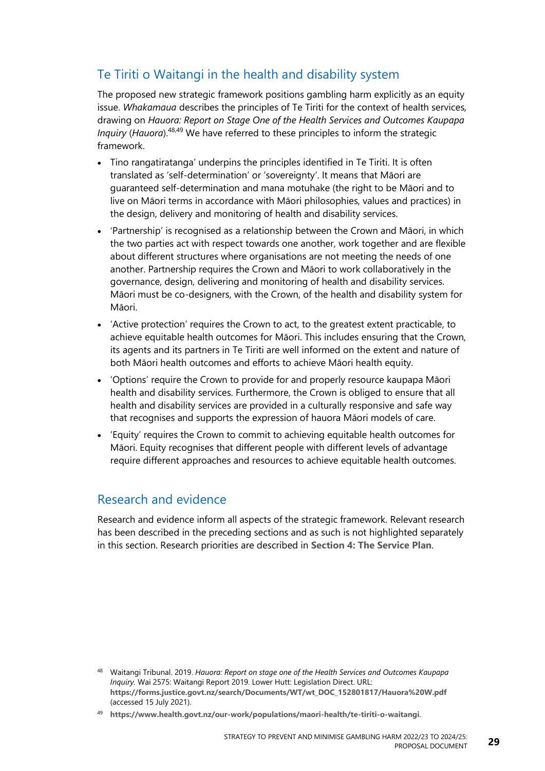### Te Tiriti o Waitangi in the health and disability system

The proposed new strategic framework positions gambling harm explicitly as an equity issue. *Whakamaua* describes the principles of Te Tiriti for the context of health services*,*  drawing on *Hauora: Report on Stage One of the Health Services and Outcomes Kaupapa Inquiry* (*Hauora*). 48,49 We have referred to these principles to inform the strategic framework.

- Tino rangatiratanga' underpins the principles identified in Te Tiriti. It is often translated as 'self-determination' or 'sovereignty'. It means that Māori are guaranteed self-determination and mana motuhake (the right to be Māori and to live on Māori terms in accordance with Māori philosophies, values and practices) in the design, delivery and monitoring of health and disability services.
- 'Partnership' is recognised as a relationship between the Crown and Māori, in which the two parties act with respect towards one another, work together and are flexible about different structures where organisations are not meeting the needs of one another. Partnership requires the Crown and Māori to work collaboratively in the governance, design, delivering and monitoring of health and disability services. Māori must be co-designers, with the Crown, of the health and disability system for Māori.
- 'Active protection' requires the Crown to act, to the greatest extent practicable, to achieve equitable health outcomes for Māori. This includes ensuring that the Crown, its agents and its partners in Te Tiriti are well informed on the extent and nature of both Māori health outcomes and efforts to achieve Māori health equity.
- 'Options' require the Crown to provide for and properly resource kaupapa Māori health and disability services. Furthermore, the Crown is obliged to ensure that all health and disability services are provided in a culturally responsive and safe way that recognises and supports the expression of hauora Māori models of care.
- 'Equity' requires the Crown to commit to achieving equitable health outcomes for Māori. Equity recognises that different people with different levels of advantage require different approaches and resources to achieve equitable health outcomes.

#### Research and evidence

Research and evidence inform all aspects of the strategic framework. Relevant research has been described in the preceding sections and as such is not highlighted separately in this section. Research priorities are described in **[Section 4: The Service Plan](#page-47-2)**.

<sup>48</sup> Waitangi Tribunal. 2019. *Hauora: Report on stage one of the Health Services and Outcomes Kaupapa Inquiry.* Wai 2575: Waitangi Report 2019. Lower Hutt: Legislation Direct. URL: **[https://forms.justice.govt.nz/search/Documents/WT/wt\\_DOC\\_152801817/Hauora%20W.pdf](https://forms.justice.govt.nz/search/Documents/WT/wt_DOC_152801817/Hauora%20W.pdf)** (accessed 15 July 2021).

<sup>49</sup> **<https://www.health.govt.nz/our-work/populations/maori-health/te-tiriti-o-waitangi>**.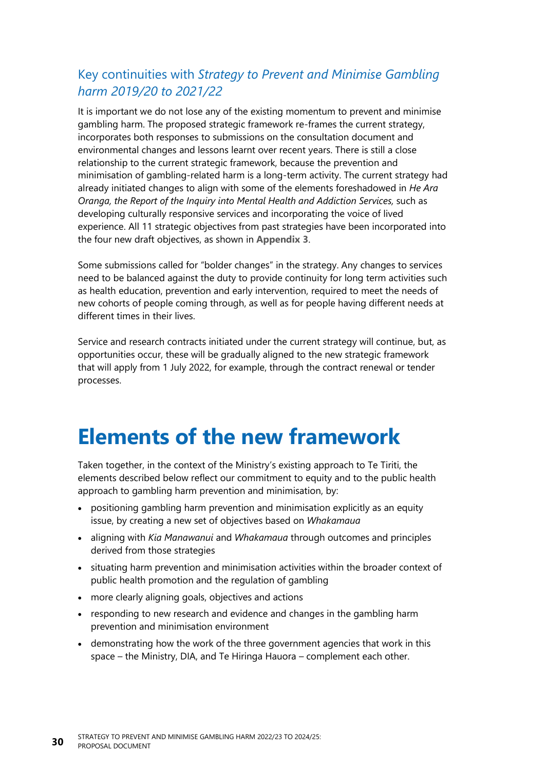#### Key continuities with *Strategy to Prevent and Minimise Gambling harm 2019/20 to 2021/22*

It is important we do not lose any of the existing momentum to prevent and minimise gambling harm. The proposed strategic framework re-frames the current strategy, incorporates both responses to submissions on the consultation document and environmental changes and lessons learnt over recent years. There is still a close relationship to the current strategic framework, because the prevention and minimisation of gambling-related harm is a long-term activity. The current strategy had already initiated changes to align with some of the elements foreshadowed in *He Ara Oranga, the Report of the Inquiry into Mental Health and Addiction Services, such as* developing culturally responsive services and incorporating the voice of lived experience. All 11 strategic objectives from past strategies have been incorporated into the four new draft objectives, as shown in **[Appendix](#page-10-2) 3**.

Some submissions called for "bolder changes" in the strategy. Any changes to services need to be balanced against the duty to provide continuity for long term activities such as health education, prevention and early intervention, required to meet the needs of new cohorts of people coming through, as well as for people having different needs at different times in their lives.

Service and research contracts initiated under the current strategy will continue, but, as opportunities occur, these will be gradually aligned to the new strategic framework that will apply from 1 July 2022, for example, through the contract renewal or tender processes.

# <span id="page-35-0"></span>**Elements of the new framework**

Taken together, in the context of the Ministry's existing approach to Te Tiriti, the elements described below reflect our commitment to equity and to the public health approach to gambling harm prevention and minimisation, by:

- positioning gambling harm prevention and minimisation explicitly as an equity issue, by creating a new set of objectives based on *Whakamaua*
- aligning with *Kia Manawanui* and *Whakamaua* through outcomes and principles derived from those strategies
- situating harm prevention and minimisation activities within the broader context of public health promotion and the regulation of gambling
- more clearly aligning goals, objectives and actions
- responding to new research and evidence and changes in the gambling harm prevention and minimisation environment
- demonstrating how the work of the three government agencies that work in this space – the Ministry, DIA, and Te Hiringa Hauora – complement each other.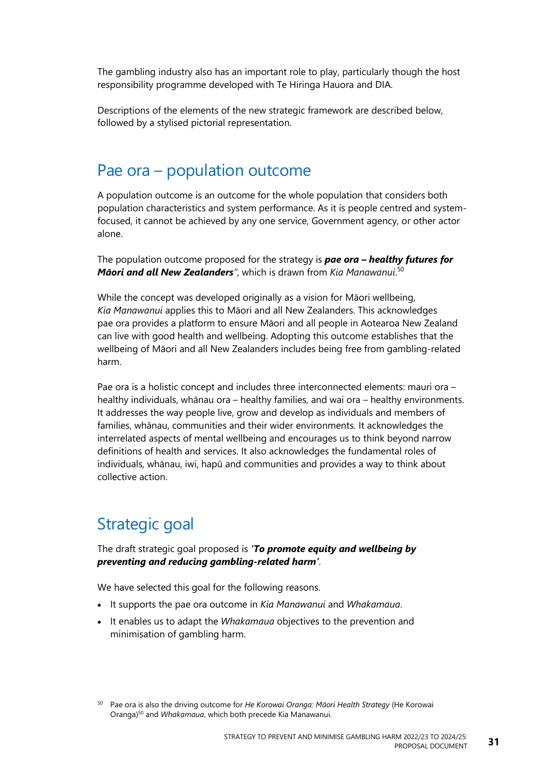The gambling industry also has an important role to play, particularly though the host responsibility programme developed with Te Hiringa Hauora and DIA.

Descriptions of the elements of the new strategic framework are described below, followed by a stylised pictorial representation.

### Pae ora – population outcome

A population outcome is an outcome for the whole population that considers both population characteristics and system performance. As it is people centred and systemfocused, it cannot be achieved by any one service, Government agency, or other actor alone.

The population outcome proposed for the strategy is *pae ora – healthy futures for Māori and all New Zealanders"*, which is drawn from *Kia Manawanui*. 50

While the concept was developed originally as a vision for Māori wellbeing, *Kia Manawanui* applies this to Māori and all New Zealanders. This acknowledges pae ora provides a platform to ensure Māori and all people in Aotearoa New Zealand can live with good health and wellbeing. Adopting this outcome establishes that the wellbeing of Māori and all New Zealanders includes being free from gambling-related harm.

Pae ora is a holistic concept and includes three interconnected elements: mauri ora – healthy individuals, whānau ora – healthy families, and wai ora – healthy environments. It addresses the way people live, grow and develop as individuals and members of families, whānau, communities and their wider environments. It acknowledges the interrelated aspects of mental wellbeing and encourages us to think beyond narrow definitions of health and services. It also acknowledges the fundamental roles of individuals, whānau, iwi, hapū and communities and provides a way to think about collective action.

### Strategic goal

The draft strategic goal proposed is *'To promote equity and wellbeing by preventing and reducing gambling-related harm'*.

We have selected this goal for the following reasons.

- It supports the pae ora outcome in *Kia Manawanui* and *Whakamaua*.
- It enables us to adapt the *Whakamaua* objectives to the prevention and minimisation of gambling harm.

<sup>50</sup> Pae ora is also the driving outcome for *He Korowai Oranga: Māori Health Strategy* (He Korowai Oranga) <sup>50</sup> and *Whakamaua*, which both precede Kia Manawanui.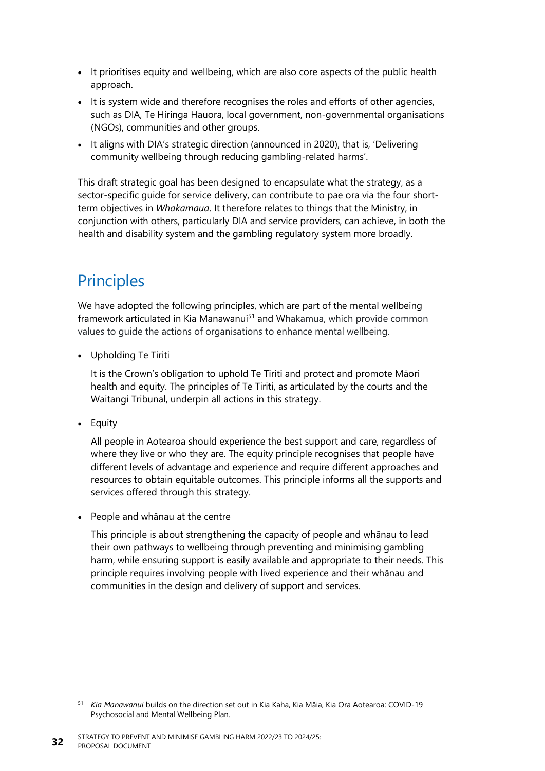- It prioritises equity and wellbeing, which are also core aspects of the public health approach.
- It is system wide and therefore recognises the roles and efforts of other agencies, such as DIA, Te Hiringa Hauora, local government, non-governmental organisations (NGOs), communities and other groups.
- It aligns with DIA's strategic direction (announced in 2020), that is, 'Delivering community wellbeing through reducing gambling-related harms'.

This draft strategic goal has been designed to encapsulate what the strategy, as a sector-specific guide for service delivery, can contribute to pae ora via the four shortterm objectives in *Whakamaua*. It therefore relates to things that the Ministry, in conjunction with others, particularly DIA and service providers, can achieve, in both the health and disability system and the gambling regulatory system more broadly.

## **Principles**

We have adopted the following principles, which are part of the mental wellbeing framework articulated in Kia Manawanui<sup>51</sup> and Whakamua, which provide common values to guide the actions of organisations to enhance mental wellbeing.

• Upholding Te Tiriti

It is the Crown's obligation to uphold Te Tiriti and protect and promote Māori health and equity. The principles of Te Tiriti, as articulated by the courts and the Waitangi Tribunal, underpin all actions in this strategy.

• Equity

All people in Aotearoa should experience the best support and care, regardless of where they live or who they are. The equity principle recognises that people have different levels of advantage and experience and require different approaches and resources to obtain equitable outcomes. This principle informs all the supports and services offered through this strategy.

• People and whānau at the centre

This principle is about strengthening the capacity of people and whānau to lead their own pathways to wellbeing through preventing and minimising gambling harm, while ensuring support is easily available and appropriate to their needs. This principle requires involving people with lived experience and their whānau and communities in the design and delivery of support and services.

<sup>51</sup> *Kia Manawanui* builds on the direction set out in Kia Kaha, Kia Māia, Kia Ora Aotearoa: COVID-19 Psychosocial and Mental Wellbeing Plan.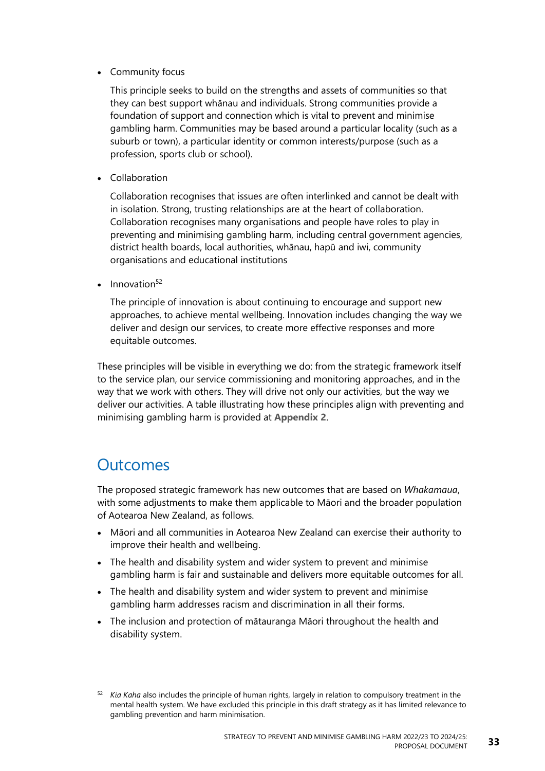• Community focus

This principle seeks to build on the strengths and assets of communities so that they can best support whānau and individuals. Strong communities provide a foundation of support and connection which is vital to prevent and minimise gambling harm. Communities may be based around a particular locality (such as a suburb or town), a particular identity or common interests/purpose (such as a profession, sports club or school).

• Collaboration

Collaboration recognises that issues are often interlinked and cannot be dealt with in isolation. Strong, trusting relationships are at the heart of collaboration. Collaboration recognises many organisations and people have roles to play in preventing and minimising gambling harm, including central government agencies, district health boards, local authorities, whānau, hapū and iwi, community organisations and educational institutions

Innovation<sup>52</sup>

The principle of innovation is about continuing to encourage and support new approaches, to achieve mental wellbeing. Innovation includes changing the way we deliver and design our services, to create more effective responses and more equitable outcomes.

These principles will be visible in everything we do: from the strategic framework itself to the service plan, our service commissioning and monitoring approaches, and in the way that we work with others. They will drive not only our activities, but the way we deliver our activities. A table illustrating how these principles align with preventing and minimising gambling harm is provided at **[Appendix 2](#page-90-0)**.

## **Outcomes**

The proposed strategic framework has new outcomes that are based on *Whakamaua*, with some adjustments to make them applicable to Māori and the broader population of Aotearoa New Zealand, as follows.

- Māori and all communities in Aotearoa New Zealand can exercise their authority to improve their health and wellbeing.
- The health and disability system and wider system to prevent and minimise gambling harm is fair and sustainable and delivers more equitable outcomes for all.
- The health and disability system and wider system to prevent and minimise gambling harm addresses racism and discrimination in all their forms.
- The inclusion and protection of mātauranga Māori throughout the health and disability system.

<sup>52</sup> *Kia Kaha* also includes the principle of human rights, largely in relation to compulsory treatment in the mental health system. We have excluded this principle in this draft strategy as it has limited relevance to gambling prevention and harm minimisation.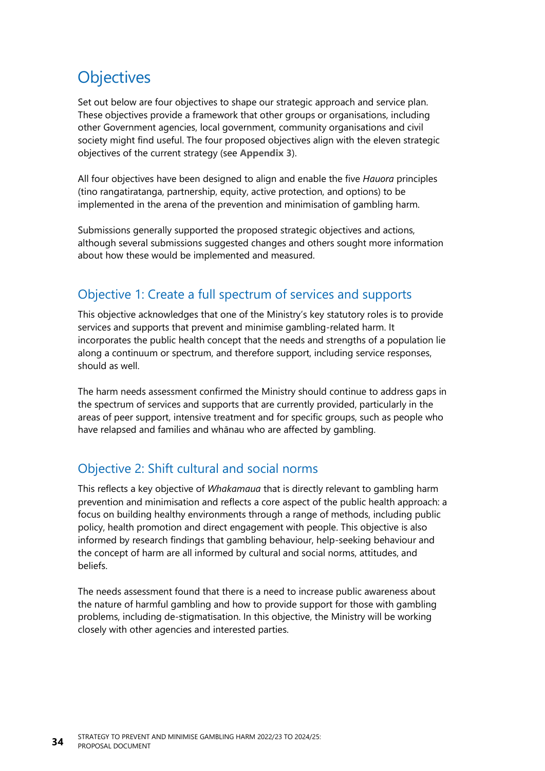## **Objectives**

Set out below are four objectives to shape our strategic approach and service plan. These objectives provide a framework that other groups or organisations, including other Government agencies, local government, community organisations and civil society might find useful. The four proposed objectives align with the eleven strategic objectives of the current strategy (see **[Appendix](#page-10-0) 3**).

All four objectives have been designed to align and enable the five *Hauora* principles (tino rangatiratanga, partnership, equity, active protection, and options) to be implemented in the arena of the prevention and minimisation of gambling harm.

Submissions generally supported the proposed strategic objectives and actions, although several submissions suggested changes and others sought more information about how these would be implemented and measured.

#### Objective 1: Create a full spectrum of services and supports

This objective acknowledges that one of the Ministry's key statutory roles is to provide services and supports that prevent and minimise gambling-related harm. It incorporates the public health concept that the needs and strengths of a population lie along a continuum or spectrum, and therefore support, including service responses, should as well.

The harm needs assessment confirmed the Ministry should continue to address gaps in the spectrum of services and supports that are currently provided, particularly in the areas of peer support, intensive treatment and for specific groups, such as people who have relapsed and families and whānau who are affected by gambling.

#### Objective 2: Shift cultural and social norms

This reflects a key objective of *Whakamaua* that is directly relevant to gambling harm prevention and minimisation and reflects a core aspect of the public health approach: a focus on building healthy environments through a range of methods, including public policy, health promotion and direct engagement with people. This objective is also informed by research findings that gambling behaviour, help-seeking behaviour and the concept of harm are all informed by cultural and social norms, attitudes, and beliefs.

The needs assessment found that there is a need to increase public awareness about the nature of harmful gambling and how to provide support for those with gambling problems, including de-stigmatisation. In this objective, the Ministry will be working closely with other agencies and interested parties.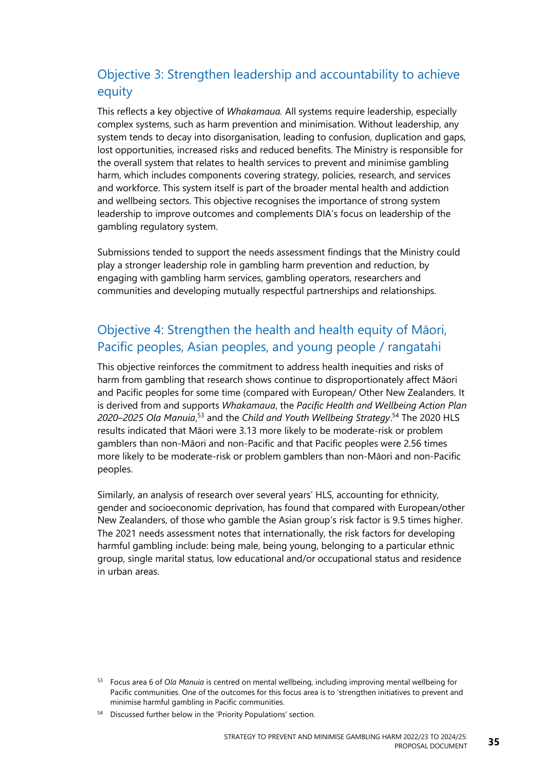### Objective 3: Strengthen leadership and accountability to achieve equity

This reflects a key objective of *Whakamaua.* All systems require leadership, especially complex systems, such as harm prevention and minimisation. Without leadership, any system tends to decay into disorganisation, leading to confusion, duplication and gaps, lost opportunities, increased risks and reduced benefits. The Ministry is responsible for the overall system that relates to health services to prevent and minimise gambling harm, which includes components covering strategy, policies, research, and services and workforce. This system itself is part of the broader mental health and addiction and wellbeing sectors. This objective recognises the importance of strong system leadership to improve outcomes and complements DIA's focus on leadership of the gambling regulatory system.

Submissions tended to support the needs assessment findings that the Ministry could play a stronger leadership role in gambling harm prevention and reduction, by engaging with gambling harm services, gambling operators, researchers and communities and developing mutually respectful partnerships and relationships.

#### Objective 4: Strengthen the health and health equity of Māori, Pacific peoples, Asian peoples, and young people / rangatahi

This objective reinforces the commitment to address health inequities and risks of harm from gambling that research shows continue to disproportionately affect Māori and Pacific peoples for some time (compared with European/ Other New Zealanders. It is derived from and supports *Whakamaua*, the *Pacific Health and Wellbeing Action Plan 2020–2025 Ola Manuia*, <sup>53</sup> and the *Child and Youth Wellbeing Strategy*. <sup>54</sup> The 2020 HLS results indicated that Māori were 3.13 more likely to be moderate-risk or problem gamblers than non-Māori and non-Pacific and that Pacific peoples were 2.56 times more likely to be moderate-risk or problem gamblers than non-Māori and non-Pacific peoples.

Similarly, an analysis of research over several years' HLS, accounting for ethnicity, gender and socioeconomic deprivation, has found that compared with European/other New Zealanders, of those who gamble the Asian group's risk factor is 9.5 times higher. The 2021 needs assessment notes that internationally, the risk factors for developing harmful gambling include: being male, being young, belonging to a particular ethnic group, single marital status, low educational and/or occupational status and residence in urban areas.

<sup>53</sup> Focus area 6 of *Ola Manuia* is centred on mental wellbeing, including improving mental wellbeing for Pacific communities. One of the outcomes for this focus area is to 'strengthen initiatives to prevent and minimise harmful gambling in Pacific communities.

<sup>54</sup> Discussed further below in the 'Priority Populations' section.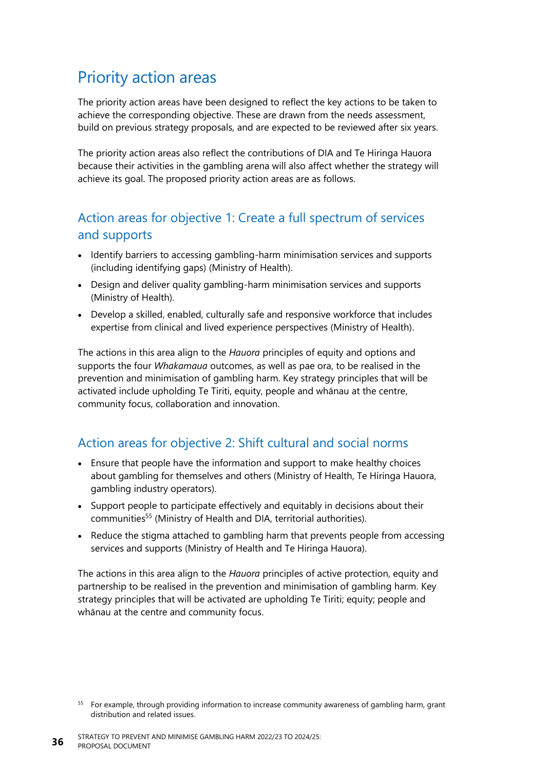## Priority action areas

The priority action areas have been designed to reflect the key actions to be taken to achieve the corresponding objective. These are drawn from the needs assessment, build on previous strategy proposals, and are expected to be reviewed after six years.

The priority action areas also reflect the contributions of DIA and Te Hiringa Hauora because their activities in the gambling arena will also affect whether the strategy will achieve its goal. The proposed priority action areas are as follows.

#### Action areas for objective 1: Create a full spectrum of services and supports

- Identify barriers to accessing gambling-harm minimisation services and supports (including identifying gaps) (Ministry of Health).
- Design and deliver quality gambling-harm minimisation services and supports (Ministry of Health).
- Develop a skilled, enabled, culturally safe and responsive workforce that includes expertise from clinical and lived experience perspectives (Ministry of Health).

The actions in this area align to the *Hauora* principles of equity and options and supports the four *Whakamaua* outcomes, as well as pae ora, to be realised in the prevention and minimisation of gambling harm. Key strategy principles that will be activated include upholding Te Tiriti, equity, people and whānau at the centre, community focus, collaboration and innovation.

#### Action areas for objective 2: Shift cultural and social norms

- Ensure that people have the information and support to make healthy choices about gambling for themselves and others (Ministry of Health, Te Hiringa Hauora, gambling industry operators).
- Support people to participate effectively and equitably in decisions about their communities<sup>55</sup> (Ministry of Health and DIA, territorial authorities).
- Reduce the stigma attached to gambling harm that prevents people from accessing services and supports (Ministry of Health and Te Hiringa Hauora).

The actions in this area align to the *Hauora* principles of active protection, equity and partnership to be realised in the prevention and minimisation of gambling harm. Key strategy principles that will be activated are upholding Te Tiriti; equity; people and whānau at the centre and community focus.

<sup>&</sup>lt;sup>55</sup> For example, through providing information to increase community awareness of gambling harm, grant distribution and related issues.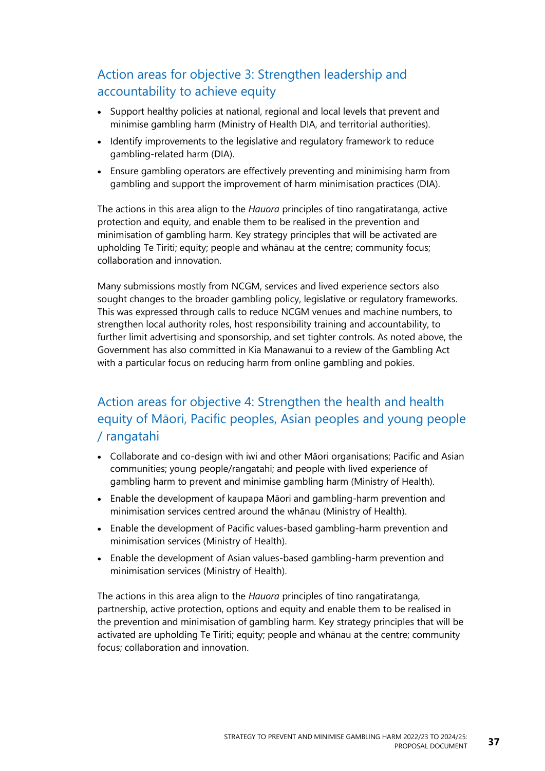#### Action areas for objective 3: Strengthen leadership and accountability to achieve equity

- Support healthy policies at national, regional and local levels that prevent and minimise gambling harm (Ministry of Health DIA, and territorial authorities).
- Identify improvements to the legislative and regulatory framework to reduce gambling-related harm (DIA).
- Ensure gambling operators are effectively preventing and minimising harm from gambling and support the improvement of harm minimisation practices (DIA).

The actions in this area align to the *Hauora* principles of tino rangatiratanga, active protection and equity, and enable them to be realised in the prevention and minimisation of gambling harm. Key strategy principles that will be activated are upholding Te Tiriti; equity; people and whānau at the centre; community focus; collaboration and innovation.

Many submissions mostly from NCGM, services and lived experience sectors also sought changes to the broader gambling policy, legislative or regulatory frameworks. This was expressed through calls to reduce NCGM venues and machine numbers, to strengthen local authority roles, host responsibility training and accountability, to further limit advertising and sponsorship, and set tighter controls. As noted above, the Government has also committed in Kia Manawanui to a review of the Gambling Act with a particular focus on reducing harm from online gambling and pokies.

### Action areas for objective 4: Strengthen the health and health equity of Māori, Pacific peoples, Asian peoples and young people / rangatahi

- Collaborate and co-design with iwi and other Māori organisations; Pacific and Asian communities; young people/rangatahi; and people with lived experience of gambling harm to prevent and minimise gambling harm (Ministry of Health).
- Enable the development of kaupapa Māori and gambling-harm prevention and minimisation services centred around the whānau (Ministry of Health).
- Enable the development of Pacific values-based gambling-harm prevention and minimisation services (Ministry of Health).
- Enable the development of Asian values-based gambling-harm prevention and minimisation services (Ministry of Health).

The actions in this area align to the *Hauora* principles of tino rangatiratanga, partnership, active protection, options and equity and enable them to be realised in the prevention and minimisation of gambling harm. Key strategy principles that will be activated are upholding Te Tiriti; equity; people and whānau at the centre; community focus; collaboration and innovation.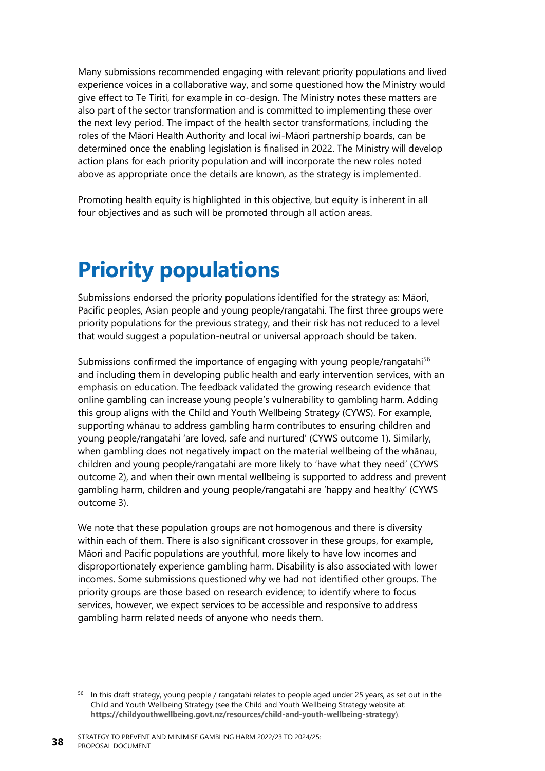Many submissions recommended engaging with relevant priority populations and lived experience voices in a collaborative way, and some questioned how the Ministry would give effect to Te Tiriti, for example in co-design. The Ministry notes these matters are also part of the sector transformation and is committed to implementing these over the next levy period. The impact of the health sector transformations, including the roles of the Māori Health Authority and local iwi-Māori partnership boards, can be determined once the enabling legislation is finalised in 2022. The Ministry will develop action plans for each priority population and will incorporate the new roles noted above as appropriate once the details are known, as the strategy is implemented.

Promoting health equity is highlighted in this objective, but equity is inherent in all four objectives and as such will be promoted through all action areas.

## **Priority populations**

Submissions endorsed the priority populations identified for the strategy as: Māori, Pacific peoples, Asian people and young people/rangatahi. The first three groups were priority populations for the previous strategy, and their risk has not reduced to a level that would suggest a population-neutral or universal approach should be taken.

Submissions confirmed the importance of engaging with young people/rangatahi<sup>56</sup> and including them in developing public health and early intervention services, with an emphasis on education. The feedback validated the growing research evidence that online gambling can increase young people's vulnerability to gambling harm. Adding this group aligns with the Child and Youth Wellbeing Strategy (CYWS). For example, supporting whānau to address gambling harm contributes to ensuring children and young people/rangatahi 'are loved, safe and nurtured' (CYWS outcome 1). Similarly, when gambling does not negatively impact on the material wellbeing of the whānau, children and young people/rangatahi are more likely to 'have what they need' (CYWS outcome 2), and when their own mental wellbeing is supported to address and prevent gambling harm, children and young people/rangatahi are 'happy and healthy' (CYWS outcome 3).

We note that these population groups are not homogenous and there is diversity within each of them. There is also significant crossover in these groups, for example, Māori and Pacific populations are youthful, more likely to have low incomes and disproportionately experience gambling harm. Disability is also associated with lower incomes. Some submissions questioned why we had not identified other groups. The priority groups are those based on research evidence; to identify where to focus services, however, we expect services to be accessible and responsive to address gambling harm related needs of anyone who needs them.

<sup>&</sup>lt;sup>56</sup> In this draft strategy, young people / rangatahi relates to people aged under 25 years, as set out in the Child and Youth Wellbeing Strategy (see the Child and Youth Wellbeing Strategy website at: **<https://childyouthwellbeing.govt.nz/resources/child-and-youth-wellbeing-strategy>**).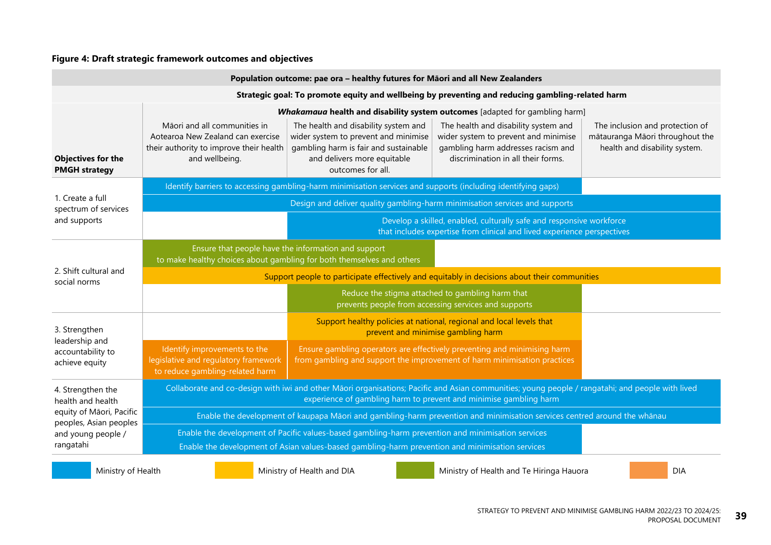#### **Figure 4: Draft strategic framework outcomes and objectives**

| Population outcome: pae ora - healthy futures for Māori and all New Zealanders |                                                                                                                                                                                                                       |                                                                                                                                                                                                      |                                                                                                                                                                                                                                         |                                                                                                     |  |  |  |
|--------------------------------------------------------------------------------|-----------------------------------------------------------------------------------------------------------------------------------------------------------------------------------------------------------------------|------------------------------------------------------------------------------------------------------------------------------------------------------------------------------------------------------|-----------------------------------------------------------------------------------------------------------------------------------------------------------------------------------------------------------------------------------------|-----------------------------------------------------------------------------------------------------|--|--|--|
|                                                                                | Strategic goal: To promote equity and wellbeing by preventing and reducing gambling-related harm                                                                                                                      |                                                                                                                                                                                                      |                                                                                                                                                                                                                                         |                                                                                                     |  |  |  |
| <b>Objectives for the</b><br><b>PMGH strategy</b>                              | Māori and all communities in<br>Aotearoa New Zealand can exercise<br>their authority to improve their health<br>and wellbeing.                                                                                        | The health and disability system and<br>wider system to prevent and minimise<br>gambling harm is fair and sustainable<br>and delivers more equitable<br>outcomes for all.                            | Whakamaua health and disability system outcomes [adapted for gambling harm]<br>The health and disability system and<br>wider system to prevent and minimise<br>gambling harm addresses racism and<br>discrimination in all their forms. | The inclusion and protection of<br>mātauranga Māori throughout the<br>health and disability system. |  |  |  |
|                                                                                |                                                                                                                                                                                                                       | Identify barriers to accessing gambling-harm minimisation services and supports (including identifying gaps)                                                                                         |                                                                                                                                                                                                                                         |                                                                                                     |  |  |  |
| 1. Create a full<br>spectrum of services                                       |                                                                                                                                                                                                                       | Design and deliver quality gambling-harm minimisation services and supports                                                                                                                          |                                                                                                                                                                                                                                         |                                                                                                     |  |  |  |
| and supports                                                                   | Develop a skilled, enabled, culturally safe and responsive workforce<br>that includes expertise from clinical and lived experience perspectives                                                                       |                                                                                                                                                                                                      |                                                                                                                                                                                                                                         |                                                                                                     |  |  |  |
|                                                                                | Ensure that people have the information and support<br>to make healthy choices about gambling for both themselves and others                                                                                          |                                                                                                                                                                                                      |                                                                                                                                                                                                                                         |                                                                                                     |  |  |  |
| 2. Shift cultural and<br>social norms                                          | Support people to participate effectively and equitably in decisions about their communities                                                                                                                          |                                                                                                                                                                                                      |                                                                                                                                                                                                                                         |                                                                                                     |  |  |  |
|                                                                                |                                                                                                                                                                                                                       |                                                                                                                                                                                                      | Reduce the stigma attached to gambling harm that<br>prevents people from accessing services and supports                                                                                                                                |                                                                                                     |  |  |  |
| 3. Strengthen                                                                  |                                                                                                                                                                                                                       | Support healthy policies at national, regional and local levels that<br>prevent and minimise gambling harm                                                                                           |                                                                                                                                                                                                                                         |                                                                                                     |  |  |  |
| leadership and<br>accountability to<br>achieve equity                          | Identify improvements to the<br>legislative and regulatory framework<br>to reduce gambling-related harm                                                                                                               | Ensure gambling operators are effectively preventing and minimising harm<br>from gambling and support the improvement of harm minimisation practices                                                 |                                                                                                                                                                                                                                         |                                                                                                     |  |  |  |
| 4. Strengthen the<br>health and health                                         | Collaborate and co-design with iwi and other Māori organisations; Pacific and Asian communities; young people / rangatahi; and people with lived<br>experience of gambling harm to prevent and minimise gambling harm |                                                                                                                                                                                                      |                                                                                                                                                                                                                                         |                                                                                                     |  |  |  |
| equity of Māori, Pacific<br>peoples, Asian peoples                             | Enable the development of kaupapa Māori and gambling-harm prevention and minimisation services centred around the whānau                                                                                              |                                                                                                                                                                                                      |                                                                                                                                                                                                                                         |                                                                                                     |  |  |  |
| and young people /<br>rangatahi                                                |                                                                                                                                                                                                                       | Enable the development of Pacific values-based gambling-harm prevention and minimisation services<br>Enable the development of Asian values-based gambling-harm prevention and minimisation services |                                                                                                                                                                                                                                         |                                                                                                     |  |  |  |
|                                                                                |                                                                                                                                                                                                                       |                                                                                                                                                                                                      |                                                                                                                                                                                                                                         |                                                                                                     |  |  |  |

Ministry of Health **Ministry of Health and DIA** Ministry of Health and Te Hiringa Hauora DIA DIA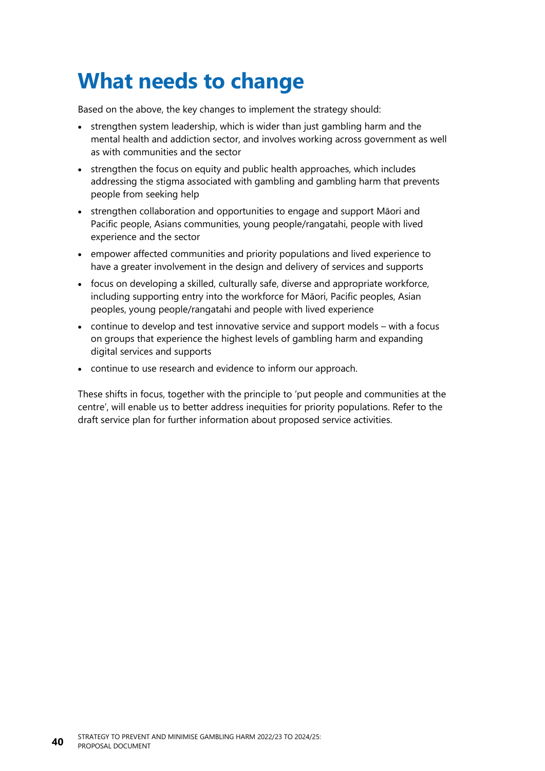## **What needs to change**

Based on the above, the key changes to implement the strategy should:

- strengthen system leadership, which is wider than just gambling harm and the mental health and addiction sector, and involves working across government as well as with communities and the sector
- strengthen the focus on equity and public health approaches, which includes addressing the stigma associated with gambling and gambling harm that prevents people from seeking help
- strengthen collaboration and opportunities to engage and support Māori and Pacific people, Asians communities, young people/rangatahi, people with lived experience and the sector
- empower affected communities and priority populations and lived experience to have a greater involvement in the design and delivery of services and supports
- focus on developing a skilled, culturally safe, diverse and appropriate workforce, including supporting entry into the workforce for Māori, Pacific peoples, Asian peoples, young people/rangatahi and people with lived experience
- continue to develop and test innovative service and support models with a focus on groups that experience the highest levels of gambling harm and expanding digital services and supports
- continue to use research and evidence to inform our approach.

These shifts in focus, together with the principle to 'put people and communities at the centre', will enable us to better address inequities for priority populations. Refer to the draft service plan for further information about proposed service activities.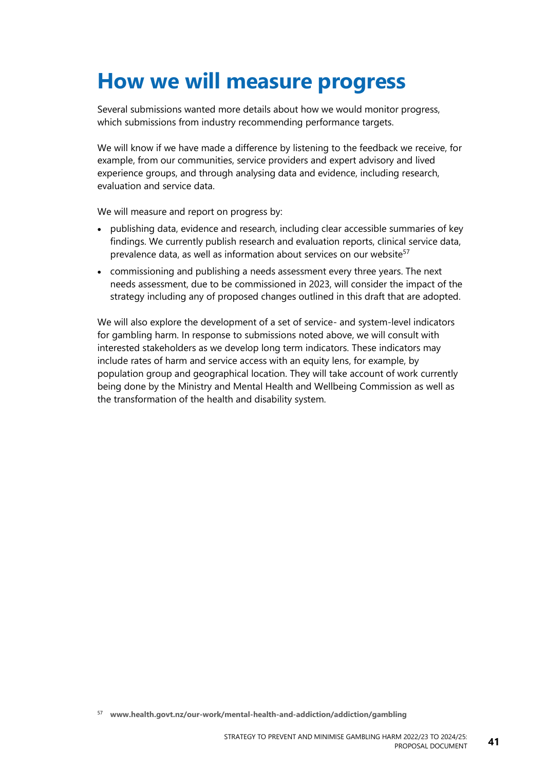## **How we will measure progress**

Several submissions wanted more details about how we would monitor progress, which submissions from industry recommending performance targets.

We will know if we have made a difference by listening to the feedback we receive, for example, from our communities, service providers and expert advisory and lived experience groups, and through analysing data and evidence, including research, evaluation and service data.

We will measure and report on progress by:

- publishing data, evidence and research, including clear accessible summaries of key findings. We currently publish research and evaluation reports, clinical service data, prevalence data, as well as information about services on our website<sup>57</sup>
- commissioning and publishing a needs assessment every three years. The next needs assessment, due to be commissioned in 2023, will consider the impact of the strategy including any of proposed changes outlined in this draft that are adopted.

We will also explore the development of a set of service- and system-level indicators for gambling harm. In response to submissions noted above, we will consult with interested stakeholders as we develop long term indicators. These indicators may include rates of harm and service access with an equity lens, for example, by population group and geographical location. They will take account of work currently being done by the Ministry and Mental Health and Wellbeing Commission as well as the transformation of the health and disability system.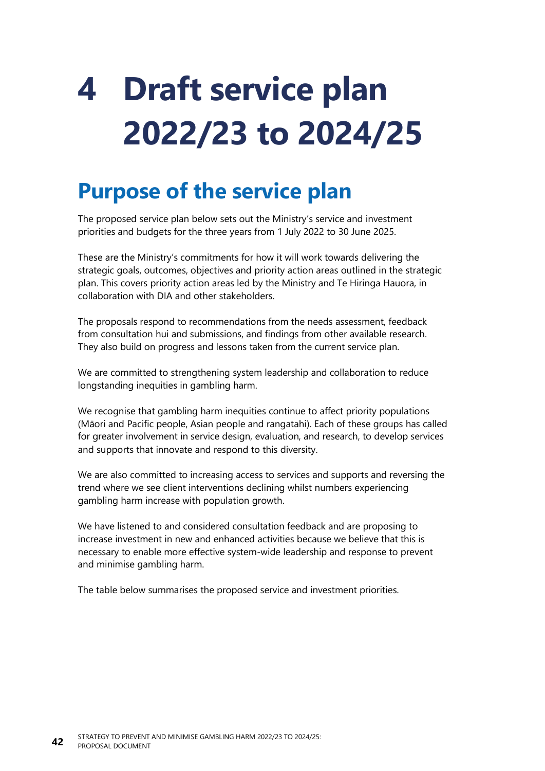# **4 Draft service plan 2022/23 to 2024/25**

## **Purpose of the service plan**

The proposed service plan below sets out the Ministry's service and investment priorities and budgets for the three years from 1 July 2022 to 30 June 2025.

These are the Ministry's commitments for how it will work towards delivering the strategic goals, outcomes, objectives and priority action areas outlined in the strategic plan. This covers priority action areas led by the Ministry and Te Hiringa Hauora, in collaboration with DIA and other stakeholders.

The proposals respond to recommendations from the needs assessment, feedback from consultation hui and submissions, and findings from other available research. They also build on progress and lessons taken from the current service plan.

We are committed to strengthening system leadership and collaboration to reduce longstanding inequities in gambling harm.

We recognise that gambling harm inequities continue to affect priority populations (Māori and Pacific people, Asian people and rangatahi). Each of these groups has called for greater involvement in service design, evaluation, and research, to develop services and supports that innovate and respond to this diversity.

We are also committed to increasing access to services and supports and reversing the trend where we see client interventions declining whilst numbers experiencing gambling harm increase with population growth.

We have listened to and considered consultation feedback and are proposing to increase investment in new and enhanced activities because we believe that this is necessary to enable more effective system-wide leadership and response to prevent and minimise gambling harm.

The table below summarises the proposed service and investment priorities.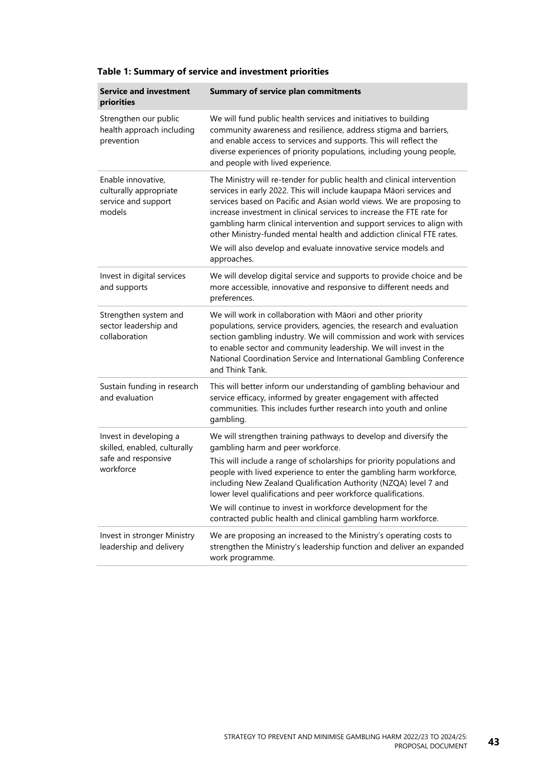| <b>Service and investment</b><br>priorities                                   | <b>Summary of service plan commitments</b>                                                                                                                                                                                                                                                                                                                                                                                                          |
|-------------------------------------------------------------------------------|-----------------------------------------------------------------------------------------------------------------------------------------------------------------------------------------------------------------------------------------------------------------------------------------------------------------------------------------------------------------------------------------------------------------------------------------------------|
| Strengthen our public<br>health approach including<br>prevention              | We will fund public health services and initiatives to building<br>community awareness and resilience, address stigma and barriers,<br>and enable access to services and supports. This will reflect the<br>diverse experiences of priority populations, including young people,<br>and people with lived experience.                                                                                                                               |
| Enable innovative,<br>culturally appropriate<br>service and support<br>models | The Ministry will re-tender for public health and clinical intervention<br>services in early 2022. This will include kaupapa Māori services and<br>services based on Pacific and Asian world views. We are proposing to<br>increase investment in clinical services to increase the FTE rate for<br>gambling harm clinical intervention and support services to align with<br>other Ministry-funded mental health and addiction clinical FTE rates. |
|                                                                               | We will also develop and evaluate innovative service models and<br>approaches.                                                                                                                                                                                                                                                                                                                                                                      |
| Invest in digital services<br>and supports                                    | We will develop digital service and supports to provide choice and be<br>more accessible, innovative and responsive to different needs and<br>preferences.                                                                                                                                                                                                                                                                                          |
| Strengthen system and<br>sector leadership and<br>collaboration               | We will work in collaboration with Māori and other priority<br>populations, service providers, agencies, the research and evaluation<br>section gambling industry. We will commission and work with services<br>to enable sector and community leadership. We will invest in the<br>National Coordination Service and International Gambling Conference<br>and Think Tank.                                                                          |
| Sustain funding in research<br>and evaluation                                 | This will better inform our understanding of gambling behaviour and<br>service efficacy, informed by greater engagement with affected<br>communities. This includes further research into youth and online<br>gambling.                                                                                                                                                                                                                             |
| Invest in developing a<br>skilled, enabled, culturally                        | We will strengthen training pathways to develop and diversify the<br>gambling harm and peer workforce.                                                                                                                                                                                                                                                                                                                                              |
| safe and responsive<br>workforce                                              | This will include a range of scholarships for priority populations and<br>people with lived experience to enter the gambling harm workforce,<br>including New Zealand Qualification Authority (NZQA) level 7 and<br>lower level qualifications and peer workforce qualifications.                                                                                                                                                                   |
|                                                                               | We will continue to invest in workforce development for the<br>contracted public health and clinical gambling harm workforce.                                                                                                                                                                                                                                                                                                                       |
| Invest in stronger Ministry<br>leadership and delivery                        | We are proposing an increased to the Ministry's operating costs to<br>strengthen the Ministry's leadership function and deliver an expanded<br>work programme.                                                                                                                                                                                                                                                                                      |

#### **Table 1: Summary of service and investment priorities**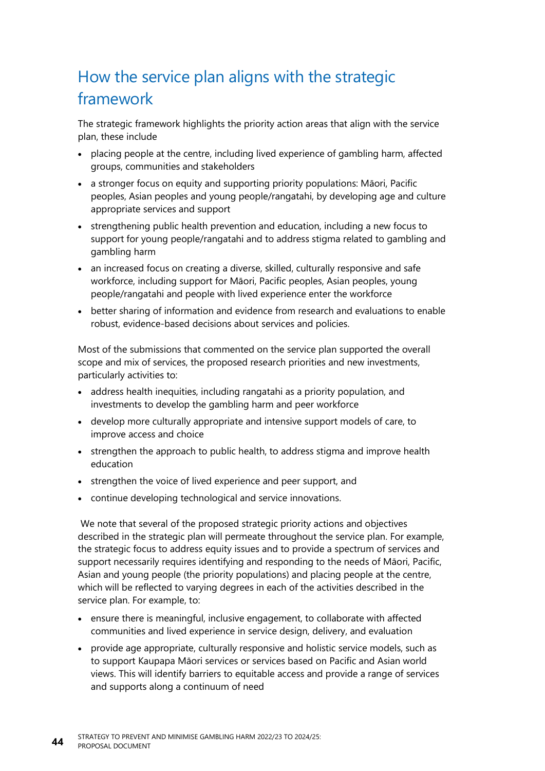## How the service plan aligns with the strategic framework

The strategic framework highlights the priority action areas that align with the service plan, these include

- placing people at the centre, including lived experience of gambling harm, affected groups, communities and stakeholders
- a stronger focus on equity and supporting priority populations: Māori, Pacific peoples, Asian peoples and young people/rangatahi, by developing age and culture appropriate services and support
- strengthening public health prevention and education, including a new focus to support for young people/rangatahi and to address stigma related to gambling and gambling harm
- an increased focus on creating a diverse, skilled, culturally responsive and safe workforce, including support for Māori, Pacific peoples, Asian peoples, young people/rangatahi and people with lived experience enter the workforce
- better sharing of information and evidence from research and evaluations to enable robust, evidence-based decisions about services and policies.

Most of the submissions that commented on the service plan supported the overall scope and mix of services, the proposed research priorities and new investments, particularly activities to:

- address health inequities, including rangatahi as a priority population, and investments to develop the gambling harm and peer workforce
- develop more culturally appropriate and intensive support models of care, to improve access and choice
- strengthen the approach to public health, to address stigma and improve health education
- strengthen the voice of lived experience and peer support, and
- continue developing technological and service innovations.

We note that several of the proposed strategic priority actions and objectives described in the strategic plan will permeate throughout the service plan. For example, the strategic focus to address equity issues and to provide a spectrum of services and support necessarily requires identifying and responding to the needs of Māori, Pacific, Asian and young people (the priority populations) and placing people at the centre, which will be reflected to varying degrees in each of the activities described in the service plan. For example, to:

- ensure there is meaningful, inclusive engagement, to collaborate with affected communities and lived experience in service design, delivery, and evaluation
- provide age appropriate, culturally responsive and holistic service models, such as to support Kaupapa Māori services or services based on Pacific and Asian world views. This will identify barriers to equitable access and provide a range of services and supports along a continuum of need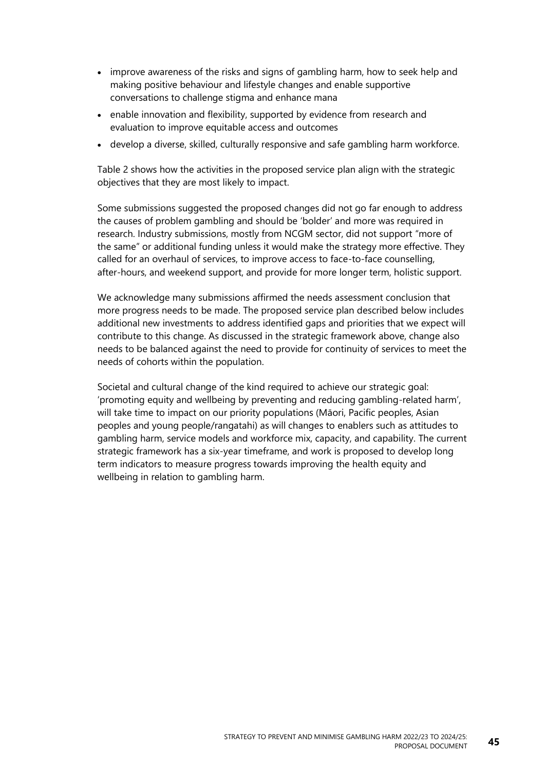- improve awareness of the risks and signs of gambling harm, how to seek help and making positive behaviour and lifestyle changes and enable supportive conversations to challenge stigma and enhance mana
- enable innovation and flexibility, supported by evidence from research and evaluation to improve equitable access and outcomes
- develop a diverse, skilled, culturally responsive and safe gambling harm workforce.

[Table](#page-51-0) 2 shows how the activities in the proposed service plan align with the strategic objectives that they are most likely to impact.

Some submissions suggested the proposed changes did not go far enough to address the causes of problem gambling and should be 'bolder' and more was required in research. Industry submissions, mostly from NCGM sector, did not support "more of the same" or additional funding unless it would make the strategy more effective. They called for an overhaul of services, to improve access to face-to-face counselling, after-hours, and weekend support, and provide for more longer term, holistic support.

We acknowledge many submissions affirmed the needs assessment conclusion that more progress needs to be made. The proposed service plan described below includes additional new investments to address identified gaps and priorities that we expect will contribute to this change. As discussed in the strategic framework above, change also needs to be balanced against the need to provide for continuity of services to meet the needs of cohorts within the population.

Societal and cultural change of the kind required to achieve our strategic goal: 'promoting equity and wellbeing by preventing and reducing gambling-related harm', will take time to impact on our priority populations (Māori, Pacific peoples, Asian peoples and young people/rangatahi) as will changes to enablers such as attitudes to gambling harm, service models and workforce mix, capacity, and capability. The current strategic framework has a six-year timeframe, and work is proposed to develop long term indicators to measure progress towards improving the health equity and wellbeing in relation to gambling harm.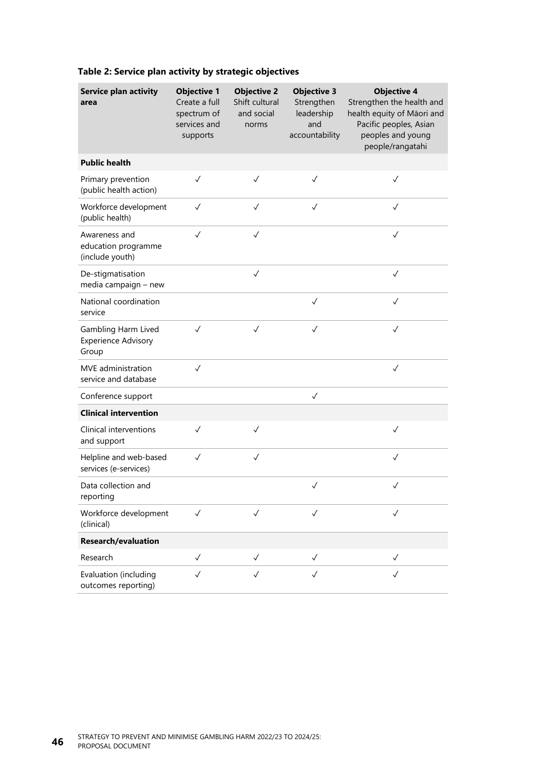| <b>Service plan activity</b><br>area                       | <b>Objective 1</b><br>Create a full<br>spectrum of<br>services and<br>supports | <b>Objective 2</b><br>Shift cultural<br>and social<br>norms | <b>Objective 3</b><br>Strengthen<br>leadership<br>and<br>accountability | <b>Objective 4</b><br>Strengthen the health and<br>health equity of Māori and<br>Pacific peoples, Asian<br>peoples and young<br>people/rangatahi |
|------------------------------------------------------------|--------------------------------------------------------------------------------|-------------------------------------------------------------|-------------------------------------------------------------------------|--------------------------------------------------------------------------------------------------------------------------------------------------|
| <b>Public health</b>                                       |                                                                                |                                                             |                                                                         |                                                                                                                                                  |
| Primary prevention<br>(public health action)               | $\checkmark$                                                                   | $\checkmark$                                                | $\checkmark$                                                            | $\checkmark$                                                                                                                                     |
| Workforce development<br>(public health)                   | $\checkmark$                                                                   | $\checkmark$                                                | $\checkmark$                                                            | $\checkmark$                                                                                                                                     |
| Awareness and<br>education programme<br>(include youth)    | $\checkmark$                                                                   | $\checkmark$                                                |                                                                         | $\checkmark$                                                                                                                                     |
| De-stigmatisation<br>media campaign - new                  |                                                                                | $\checkmark$                                                |                                                                         | $\checkmark$                                                                                                                                     |
| National coordination<br>service                           |                                                                                |                                                             | $\checkmark$                                                            | $\checkmark$                                                                                                                                     |
| Gambling Harm Lived<br><b>Experience Advisory</b><br>Group | $\checkmark$                                                                   | $\checkmark$                                                | $\checkmark$                                                            | $\checkmark$                                                                                                                                     |
| MVE administration<br>service and database                 | $\checkmark$                                                                   |                                                             |                                                                         | $\checkmark$                                                                                                                                     |
| Conference support                                         |                                                                                |                                                             | $\checkmark$                                                            |                                                                                                                                                  |
| <b>Clinical intervention</b>                               |                                                                                |                                                             |                                                                         |                                                                                                                                                  |
| Clinical interventions<br>and support                      | $\checkmark$                                                                   | $\checkmark$                                                |                                                                         | $\checkmark$                                                                                                                                     |
| Helpline and web-based<br>services (e-services)            | $\checkmark$                                                                   | $\checkmark$                                                |                                                                         | $\checkmark$                                                                                                                                     |
| Data collection and<br>reporting                           |                                                                                |                                                             | $\checkmark$                                                            | $\checkmark$                                                                                                                                     |
| Workforce development<br>(clinical)                        | $\checkmark$                                                                   | $\checkmark$                                                | $\checkmark$                                                            | $\checkmark$                                                                                                                                     |
| <b>Research/evaluation</b>                                 |                                                                                |                                                             |                                                                         |                                                                                                                                                  |
| Research                                                   | $\checkmark$                                                                   | $\checkmark$                                                | $\checkmark$                                                            | $\checkmark$                                                                                                                                     |
| Evaluation (including<br>outcomes reporting)               | $\checkmark$                                                                   | $\checkmark$                                                | $\checkmark$                                                            | $\checkmark$                                                                                                                                     |

#### <span id="page-51-0"></span>**Table 2: Service plan activity by strategic objectives**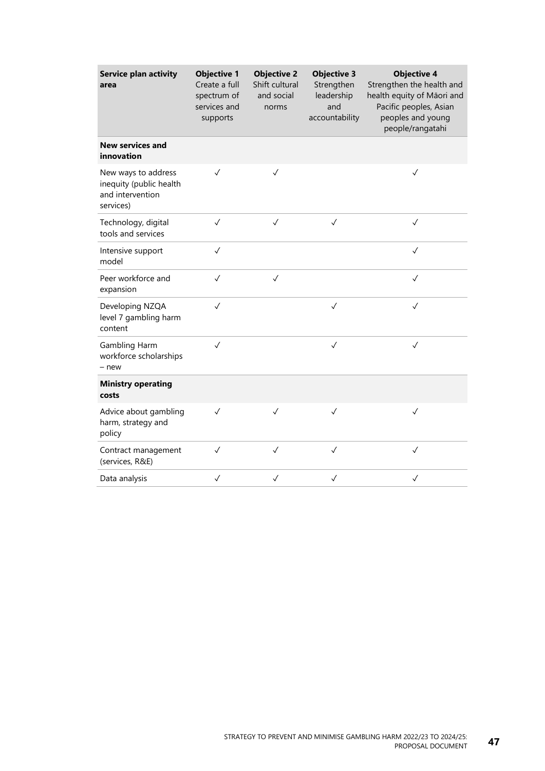| <b>Service plan activity</b><br>area                                            | <b>Objective 1</b><br>Create a full<br>spectrum of<br>services and<br>supports | <b>Objective 2</b><br>Shift cultural<br>and social<br>norms | <b>Objective 3</b><br>Strengthen<br>leadership<br>and<br>accountability | <b>Objective 4</b><br>Strengthen the health and<br>health equity of Māori and<br>Pacific peoples, Asian<br>peoples and young<br>people/rangatahi |
|---------------------------------------------------------------------------------|--------------------------------------------------------------------------------|-------------------------------------------------------------|-------------------------------------------------------------------------|--------------------------------------------------------------------------------------------------------------------------------------------------|
| <b>New services and</b><br>innovation                                           |                                                                                |                                                             |                                                                         |                                                                                                                                                  |
| New ways to address<br>inequity (public health<br>and intervention<br>services) | $\checkmark$                                                                   | $\checkmark$                                                |                                                                         | $\checkmark$                                                                                                                                     |
| Technology, digital<br>tools and services                                       | $\checkmark$                                                                   | $\checkmark$                                                | $\checkmark$                                                            | $\checkmark$                                                                                                                                     |
| Intensive support<br>model                                                      | $\checkmark$                                                                   |                                                             |                                                                         | $\checkmark$                                                                                                                                     |
| Peer workforce and<br>expansion                                                 | $\checkmark$                                                                   | $\checkmark$                                                |                                                                         | $\checkmark$                                                                                                                                     |
| Developing NZQA<br>level 7 gambling harm<br>content                             | $\checkmark$                                                                   |                                                             | $\checkmark$                                                            | $\checkmark$                                                                                                                                     |
| Gambling Harm<br>workforce scholarships<br>- new                                | $\checkmark$                                                                   |                                                             | $\checkmark$                                                            | $\checkmark$                                                                                                                                     |
| <b>Ministry operating</b><br>costs                                              |                                                                                |                                                             |                                                                         |                                                                                                                                                  |
| Advice about gambling<br>harm, strategy and<br>policy                           | $\checkmark$                                                                   | $\checkmark$                                                | $\checkmark$                                                            | $\checkmark$                                                                                                                                     |
| Contract management<br>(services, R&E)                                          | $\checkmark$                                                                   | $\checkmark$                                                | $\checkmark$                                                            | $\checkmark$                                                                                                                                     |
| Data analysis                                                                   | $\checkmark$                                                                   | $\checkmark$                                                | $\checkmark$                                                            | $\checkmark$                                                                                                                                     |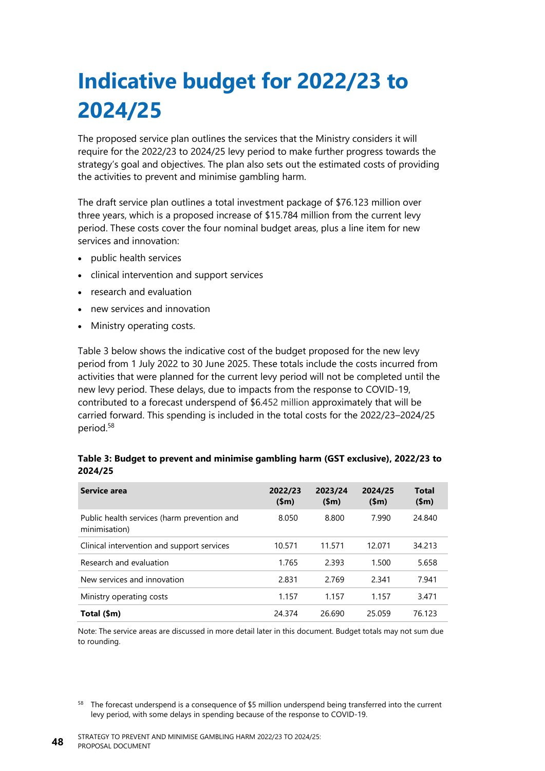## **Indicative budget for 2022/23 to 2024/25**

The proposed service plan outlines the services that the Ministry considers it will require for the 2022/23 to 2024/25 levy period to make further progress towards the strategy's goal and objectives. The plan also sets out the estimated costs of providing the activities to prevent and minimise gambling harm.

The draft service plan outlines a total investment package of \$76.123 million over three years, which is a proposed increase of \$15.784 million from the current levy period. These costs cover the four nominal budget areas, plus a line item for new services and innovation:

- public health services
- clinical intervention and support services
- research and evaluation
- new services and innovation
- Ministry operating costs.

[Table](#page-53-0) 3 below shows the indicative cost of the budget proposed for the new levy period from 1 July 2022 to 30 June 2025. These totals include the costs incurred from activities that were planned for the current levy period will not be completed until the new levy period. These delays, due to impacts from the response to COVID-19, contributed to a forecast underspend of \$6.452 million approximately that will be carried forward. This spending is included in the total costs for the 2022/23–2024/25 period.<sup>58</sup>

#### <span id="page-53-0"></span>**Table 3: Budget to prevent and minimise gambling harm (GST exclusive), 2022/23 to 2024/25**

| Service area                                                 | 2022/23<br>\$m\$ | 2023/24<br>\$m\$ | 2024/25<br>\$m\$ | Total<br>\$m\$ |
|--------------------------------------------------------------|------------------|------------------|------------------|----------------|
| Public health services (harm prevention and<br>minimisation) | 8.050            | 8.800            | 7.990            | 24.840         |
| Clinical intervention and support services                   | 10.571           | 11.571           | 12.071           | 34.213         |
| Research and evaluation                                      | 1.765            | 2.393            | 1.500            | 5.658          |
| New services and innovation                                  | 2.831            | 2.769            | 2.341            | 7.941          |
| Ministry operating costs                                     | 1.157            | 1.157            | 1.157            | 3.471          |
| Total (\$m)                                                  | 24.374           | 26.690           | 25.059           | 76.123         |

Note: The service areas are discussed in more detail later in this document. Budget totals may not sum due to rounding.

<sup>58</sup> The forecast underspend is a consequence of \$5 million underspend being transferred into the current levy period, with some delays in spending because of the response to COVID-19.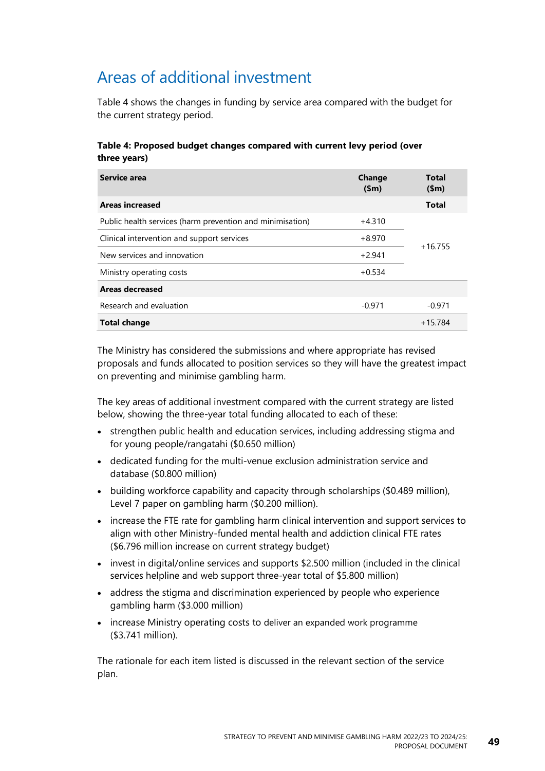## Areas of additional investment

[Table](#page-54-0) 4 shows the changes in funding by service area compared with the budget for the current strategy period.

#### <span id="page-54-0"></span>**Table 4: Proposed budget changes compared with current levy period (over three years)**

| Service area                                              | Change<br>\$m\$ | <b>Total</b><br>\$m\$ |  |
|-----------------------------------------------------------|-----------------|-----------------------|--|
| <b>Areas increased</b>                                    |                 | <b>Total</b>          |  |
| Public health services (harm prevention and minimisation) | $+4.310$        |                       |  |
| Clinical intervention and support services                | $+8.970$        |                       |  |
| New services and innovation                               | $+2.941$        | $+16.755$             |  |
| Ministry operating costs                                  | $+0.534$        |                       |  |
| Areas decreased                                           |                 |                       |  |
| Research and evaluation                                   | $-0.971$        | $-0.971$              |  |
| <b>Total change</b>                                       |                 | $+15.784$             |  |

The Ministry has considered the submissions and where appropriate has revised proposals and funds allocated to position services so they will have the greatest impact on preventing and minimise gambling harm.

The key areas of additional investment compared with the current strategy are listed below, showing the three-year total funding allocated to each of these:

- strengthen public health and education services, including addressing stigma and for young people/rangatahi (\$0.650 million)
- dedicated funding for the multi-venue exclusion administration service and database (\$0.800 million)
- building workforce capability and capacity through scholarships (\$0.489 million), Level 7 paper on gambling harm (\$0.200 million).
- increase the FTE rate for gambling harm clinical intervention and support services to align with other Ministry-funded mental health and addiction clinical FTE rates (\$6.796 million increase on current strategy budget)
- invest in digital/online services and supports \$2.500 million (included in the clinical services helpline and web support three-year total of \$5.800 million)
- address the stigma and discrimination experienced by people who experience gambling harm (\$3.000 million)
- increase Ministry operating costs to deliver an expanded work programme (\$3.741 million).

The rationale for each item listed is discussed in the relevant section of the service plan.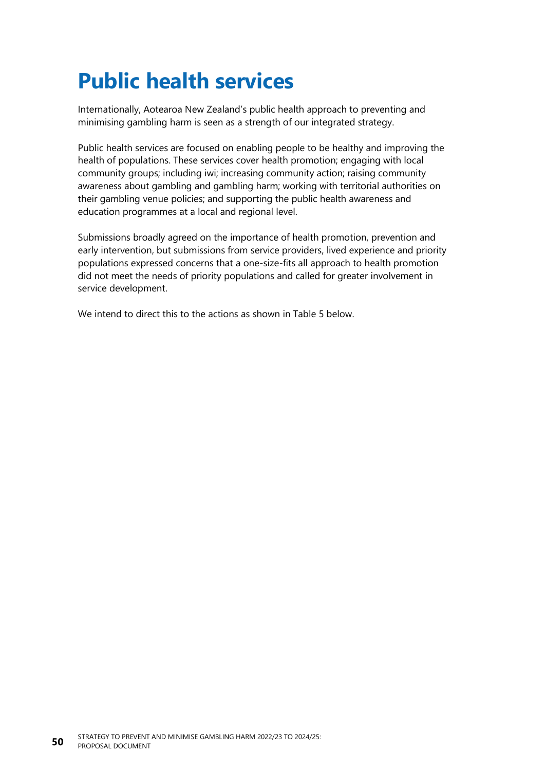## **Public health services**

Internationally, Aotearoa New Zealand's public health approach to preventing and minimising gambling harm is seen as a strength of our integrated strategy.

Public health services are focused on enabling people to be healthy and improving the health of populations. These services cover health promotion; engaging with local community groups; including iwi; increasing community action; raising community awareness about gambling and gambling harm; working with territorial authorities on their gambling venue policies; and supporting the public health awareness and education programmes at a local and regional level.

Submissions broadly agreed on the importance of health promotion, prevention and early intervention, but submissions from service providers, lived experience and priority populations expressed concerns that a one-size-fits all approach to health promotion did not meet the needs of priority populations and called for greater involvement in service development.

We intend to direct this to the actions as shown in [Table](#page-56-0) 5 below.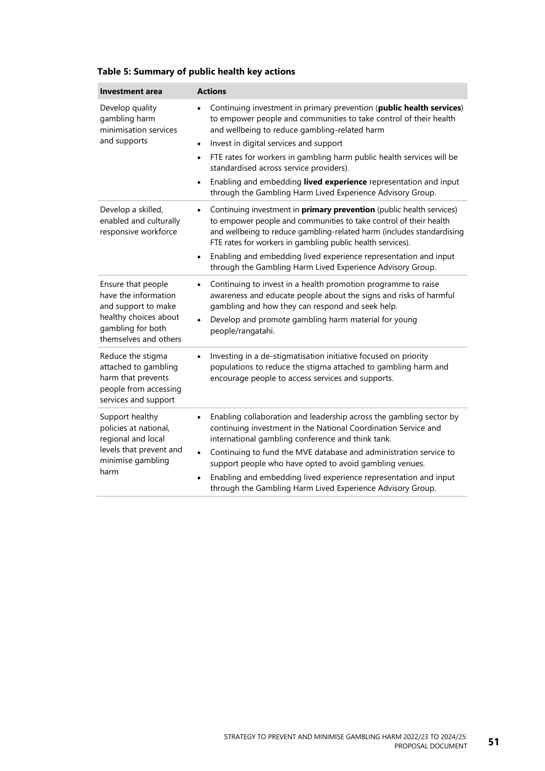| <b>Investment area</b>                                                                                                                   | <b>Actions</b>                                                                                                                                                                                                                                                                                                                                                                                                                                                                                      |
|------------------------------------------------------------------------------------------------------------------------------------------|-----------------------------------------------------------------------------------------------------------------------------------------------------------------------------------------------------------------------------------------------------------------------------------------------------------------------------------------------------------------------------------------------------------------------------------------------------------------------------------------------------|
| Develop quality<br>gambling harm<br>minimisation services                                                                                | Continuing investment in primary prevention (public health services)<br>to empower people and communities to take control of their health<br>and wellbeing to reduce gambling-related harm                                                                                                                                                                                                                                                                                                          |
| and supports                                                                                                                             | Invest in digital services and support<br>$\bullet$                                                                                                                                                                                                                                                                                                                                                                                                                                                 |
|                                                                                                                                          | FTE rates for workers in gambling harm public health services will be<br>$\bullet$<br>standardised across service providers).                                                                                                                                                                                                                                                                                                                                                                       |
|                                                                                                                                          | Enabling and embedding lived experience representation and input<br>$\bullet$<br>through the Gambling Harm Lived Experience Advisory Group.                                                                                                                                                                                                                                                                                                                                                         |
| Develop a skilled,<br>enabled and culturally<br>responsive workforce                                                                     | Continuing investment in <i>primary prevention</i> (public health services)<br>$\bullet$<br>to empower people and communities to take control of their health<br>and wellbeing to reduce gambling-related harm (includes standardising<br>FTE rates for workers in gambling public health services).                                                                                                                                                                                                |
|                                                                                                                                          | Enabling and embedding lived experience representation and input<br>$\bullet$<br>through the Gambling Harm Lived Experience Advisory Group.                                                                                                                                                                                                                                                                                                                                                         |
| Ensure that people<br>have the information<br>and support to make<br>healthy choices about<br>gambling for both<br>themselves and others | Continuing to invest in a health promotion programme to raise<br>$\bullet$<br>awareness and educate people about the signs and risks of harmful<br>gambling and how they can respond and seek help.<br>Develop and promote gambling harm material for young<br>$\bullet$<br>people/rangatahi.                                                                                                                                                                                                       |
| Reduce the stigma<br>attached to gambling<br>harm that prevents<br>people from accessing<br>services and support                         | Investing in a de-stigmatisation initiative focused on priority<br>$\bullet$<br>populations to reduce the stigma attached to gambling harm and<br>encourage people to access services and supports.                                                                                                                                                                                                                                                                                                 |
| Support healthy<br>policies at national,<br>regional and local<br>levels that prevent and<br>minimise gambling<br>harm                   | Enabling collaboration and leadership across the gambling sector by<br>$\bullet$<br>continuing investment in the National Coordination Service and<br>international gambling conference and think tank.<br>Continuing to fund the MVE database and administration service to<br>$\bullet$<br>support people who have opted to avoid gambling venues.<br>Enabling and embedding lived experience representation and input<br>$\bullet$<br>through the Gambling Harm Lived Experience Advisory Group. |

#### <span id="page-56-0"></span>**Table 5: Summary of public health key actions**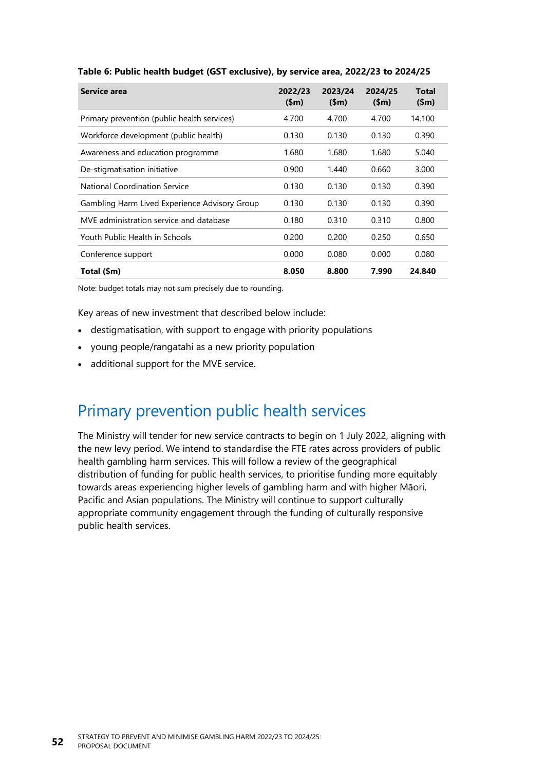| Service area                                  | 2022/23<br>(Sm) | 2023/24<br>(Sm) | 2024/25<br>(Sm) | Total<br>\$m\$ |
|-----------------------------------------------|-----------------|-----------------|-----------------|----------------|
| Primary prevention (public health services)   | 4.700           | 4.700           | 4.700           | 14.100         |
| Workforce development (public health)         | 0.130           | 0.130           | 0.130           | 0.390          |
| Awareness and education programme             | 1.680           | 1.680           | 1.680           | 5.040          |
| De-stigmatisation initiative                  | 0.900           | 1.440           | 0.660           | 3.000          |
| National Coordination Service                 | 0.130           | 0.130           | 0.130           | 0.390          |
| Gambling Harm Lived Experience Advisory Group | 0.130           | 0.130           | 0.130           | 0.390          |
| MVE administration service and database       | 0.180           | 0.310           | 0.310           | 0.800          |
| Youth Public Health in Schools                | 0.200           | 0.200           | 0.250           | 0.650          |
| Conference support                            | 0.000           | 0.080           | 0.000           | 0.080          |
| Total (\$m)                                   | 8.050           | 8.800           | 7.990           | 24.840         |

#### <span id="page-57-0"></span>**Table 6: Public health budget (GST exclusive), by service area, 2022/23 to 2024/25**

Note: budget totals may not sum precisely due to rounding.

Key areas of new investment that described below include:

- destigmatisation, with support to engage with priority populations
- young people/rangatahi as a new priority population
- additional support for the MVE service.

## Primary prevention public health services

The Ministry will tender for new service contracts to begin on 1 July 2022, aligning with the new levy period. We intend to standardise the FTE rates across providers of public health gambling harm services. This will follow a review of the geographical distribution of funding for public health services, to prioritise funding more equitably towards areas experiencing higher levels of gambling harm and with higher Māori, Pacific and Asian populations. The Ministry will continue to support culturally appropriate community engagement through the funding of culturally responsive public health services.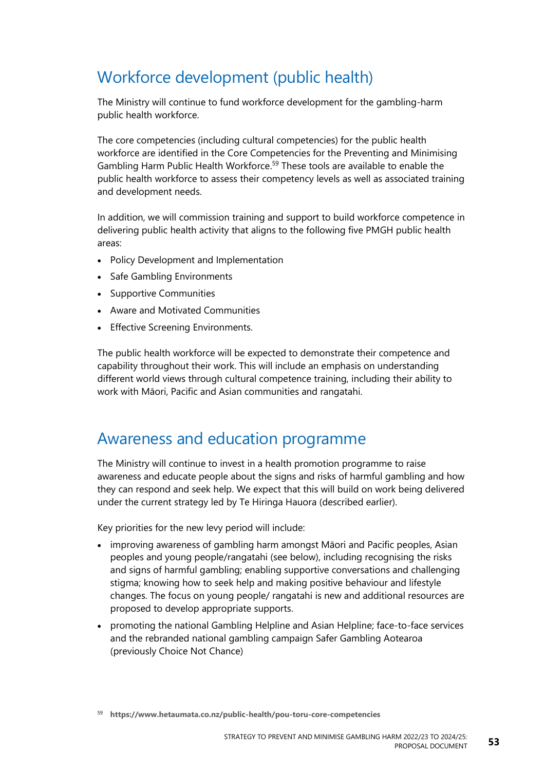## Workforce development (public health)

The Ministry will continue to fund workforce development for the gambling-harm public health workforce.

The core competencies (including cultural competencies) for the public health workforce are identified in the Core Competencies for the Preventing and Minimising Gambling Harm Public Health Workforce.<sup>59</sup> These tools are available to enable the public health workforce to assess their competency levels as well as associated training and development needs.

In addition, we will commission training and support to build workforce competence in delivering public health activity that aligns to the following five PMGH public health areas:

- Policy Development and Implementation
- Safe Gambling Environments
- Supportive Communities
- Aware and Motivated Communities
- Effective Screening Environments.

The public health workforce will be expected to demonstrate their competence and capability throughout their work. This will include an emphasis on understanding different world views through cultural competence training, including their ability to work with Māori, Pacific and Asian communities and rangatahi.

### Awareness and education programme

The Ministry will continue to invest in a health promotion programme to raise awareness and educate people about the signs and risks of harmful gambling and how they can respond and seek help. We expect that this will build on work being delivered under the current strategy led by Te Hiringa Hauora (described earlier).

Key priorities for the new levy period will include:

- improving awareness of gambling harm amongst Māori and Pacific peoples, Asian peoples and young people/rangatahi (see below), including recognising the risks and signs of harmful gambling; enabling supportive conversations and challenging stigma; knowing how to seek help and making positive behaviour and lifestyle changes. The focus on young people/ rangatahi is new and additional resources are proposed to develop appropriate supports.
- promoting the national Gambling Helpline and Asian Helpline; face-to-face services and the rebranded national gambling campaign Safer Gambling Aotearoa (previously Choice Not Chance)

<sup>59</sup> **<https://www.hetaumata.co.nz/public-health/pou-toru-core-competencies>**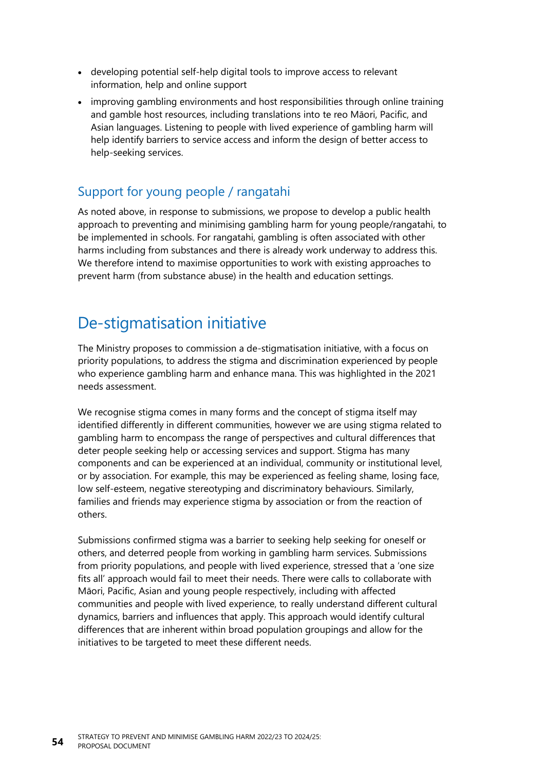- developing potential self-help digital tools to improve access to relevant information, help and online support
- improving gambling environments and host responsibilities through online training and gamble host resources, including translations into te reo Māori, Pacific, and Asian languages. Listening to people with lived experience of gambling harm will help identify barriers to service access and inform the design of better access to help-seeking services.

#### Support for young people / rangatahi

As noted above, in response to submissions, we propose to develop a public health approach to preventing and minimising gambling harm for young people/rangatahi, to be implemented in schools. For rangatahi, gambling is often associated with other harms including from substances and there is already work underway to address this. We therefore intend to maximise opportunities to work with existing approaches to prevent harm (from substance abuse) in the health and education settings.

## De-stigmatisation initiative

The Ministry proposes to commission a de-stigmatisation initiative, with a focus on priority populations, to address the stigma and discrimination experienced by people who experience gambling harm and enhance mana. This was highlighted in the 2021 needs assessment.

We recognise stigma comes in many forms and the concept of stigma itself may identified differently in different communities, however we are using stigma related to gambling harm to encompass the range of perspectives and cultural differences that deter people seeking help or accessing services and support. Stigma has many components and can be experienced at an individual, community or institutional level, or by association. For example, this may be experienced as feeling shame, losing face, low self-esteem, negative stereotyping and discriminatory behaviours. Similarly, families and friends may experience stigma by association or from the reaction of others.

Submissions confirmed stigma was a barrier to seeking help seeking for oneself or others, and deterred people from working in gambling harm services. Submissions from priority populations, and people with lived experience, stressed that a 'one size fits all' approach would fail to meet their needs. There were calls to collaborate with Māori, Pacific, Asian and young people respectively, including with affected communities and people with lived experience, to really understand different cultural dynamics, barriers and influences that apply. This approach would identify cultural differences that are inherent within broad population groupings and allow for the initiatives to be targeted to meet these different needs.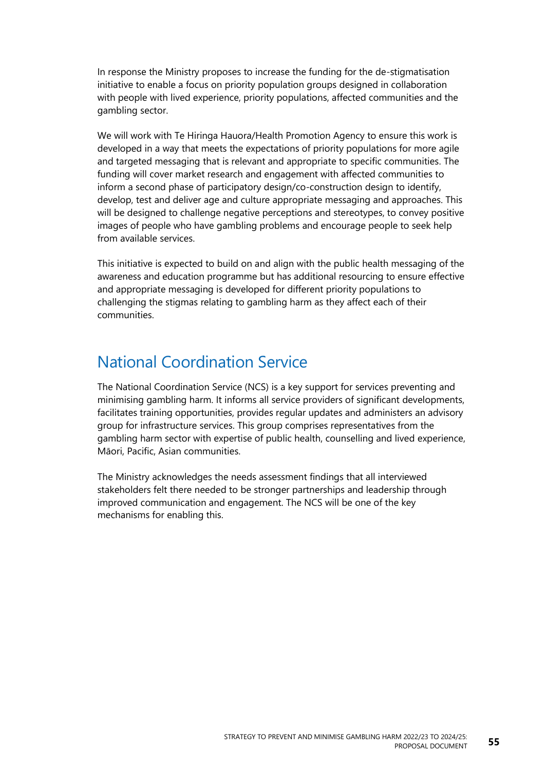In response the Ministry proposes to increase the funding for the de-stigmatisation initiative to enable a focus on priority population groups designed in collaboration with people with lived experience, priority populations, affected communities and the gambling sector.

We will work with Te Hiringa Hauora/Health Promotion Agency to ensure this work is developed in a way that meets the expectations of priority populations for more agile and targeted messaging that is relevant and appropriate to specific communities. The funding will cover market research and engagement with affected communities to inform a second phase of participatory design/co-construction design to identify, develop, test and deliver age and culture appropriate messaging and approaches. This will be designed to challenge negative perceptions and stereotypes, to convey positive images of people who have gambling problems and encourage people to seek help from available services.

This initiative is expected to build on and align with the public health messaging of the awareness and education programme but has additional resourcing to ensure effective and appropriate messaging is developed for different priority populations to challenging the stigmas relating to gambling harm as they affect each of their communities.

## National Coordination Service

The National Coordination Service (NCS) is a key support for services preventing and minimising gambling harm. It informs all service providers of significant developments, facilitates training opportunities, provides regular updates and administers an advisory group for infrastructure services. This group comprises representatives from the gambling harm sector with expertise of public health, counselling and lived experience, Māori, Pacific, Asian communities.

The Ministry acknowledges the needs assessment findings that all interviewed stakeholders felt there needed to be stronger partnerships and leadership through improved communication and engagement. The NCS will be one of the key mechanisms for enabling this.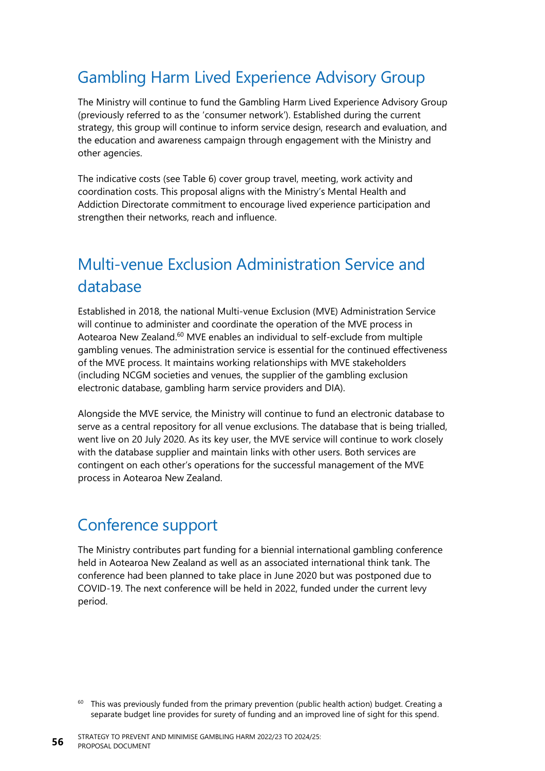## Gambling Harm Lived Experience Advisory Group

The Ministry will continue to fund the Gambling Harm Lived Experience Advisory Group (previously referred to as the 'consumer network'). Established during the current strategy, this group will continue to inform service design, research and evaluation, and the education and awareness campaign through engagement with the Ministry and other agencies.

The indicative costs (see [Table](#page-57-0) 6) cover group travel, meeting, work activity and coordination costs. This proposal aligns with the Ministry's Mental Health and Addiction Directorate commitment to encourage lived experience participation and strengthen their networks, reach and influence.

## Multi-venue Exclusion Administration Service and database

Established in 2018, the national Multi-venue Exclusion (MVE) Administration Service will continue to administer and coordinate the operation of the MVE process in Aotearoa New Zealand.<sup>60</sup> MVE enables an individual to self-exclude from multiple gambling venues. The administration service is essential for the continued effectiveness of the MVE process. It maintains working relationships with MVE stakeholders (including NCGM societies and venues, the supplier of the gambling exclusion electronic database, gambling harm service providers and DIA).

Alongside the MVE service, the Ministry will continue to fund an electronic database to serve as a central repository for all venue exclusions. The database that is being trialled, went live on 20 July 2020. As its key user, the MVE service will continue to work closely with the database supplier and maintain links with other users. Both services are contingent on each other's operations for the successful management of the MVE process in Aotearoa New Zealand.

## Conference support

The Ministry contributes part funding for a biennial international gambling conference held in Aotearoa New Zealand as well as an associated international think tank. The conference had been planned to take place in June 2020 but was postponed due to COVID-19. The next conference will be held in 2022, funded under the current levy period.

<sup>&</sup>lt;sup>60</sup> This was previously funded from the primary prevention (public health action) budget. Creating a separate budget line provides for surety of funding and an improved line of sight for this spend.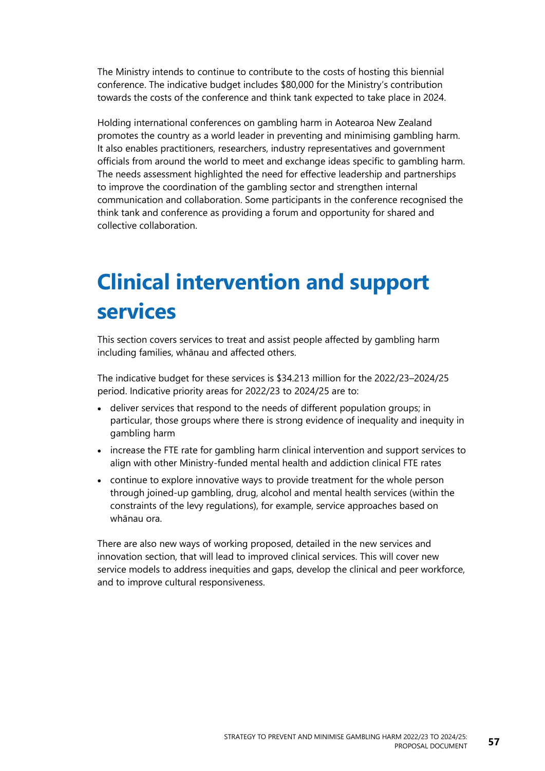The Ministry intends to continue to contribute to the costs of hosting this biennial conference. The indicative budget includes \$80,000 for the Ministry's contribution towards the costs of the conference and think tank expected to take place in 2024.

Holding international conferences on gambling harm in Aotearoa New Zealand promotes the country as a world leader in preventing and minimising gambling harm. It also enables practitioners, researchers, industry representatives and government officials from around the world to meet and exchange ideas specific to gambling harm. The needs assessment highlighted the need for effective leadership and partnerships to improve the coordination of the gambling sector and strengthen internal communication and collaboration. Some participants in the conference recognised the think tank and conference as providing a forum and opportunity for shared and collective collaboration.

## **Clinical intervention and support services**

This section covers services to treat and assist people affected by gambling harm including families, whānau and affected others.

The indicative budget for these services is \$34.213 million for the 2022/23–2024/25 period. Indicative priority areas for 2022/23 to 2024/25 are to:

- deliver services that respond to the needs of different population groups; in particular, those groups where there is strong evidence of inequality and inequity in gambling harm
- increase the FTE rate for gambling harm clinical intervention and support services to align with other Ministry-funded mental health and addiction clinical FTE rates
- continue to explore innovative ways to provide treatment for the whole person through joined-up gambling, drug, alcohol and mental health services (within the constraints of the levy regulations), for example, service approaches based on whānau ora.

There are also new ways of working proposed, detailed in the new services and innovation section, that will lead to improved clinical services. This will cover new service models to address inequities and gaps, develop the clinical and peer workforce, and to improve cultural responsiveness.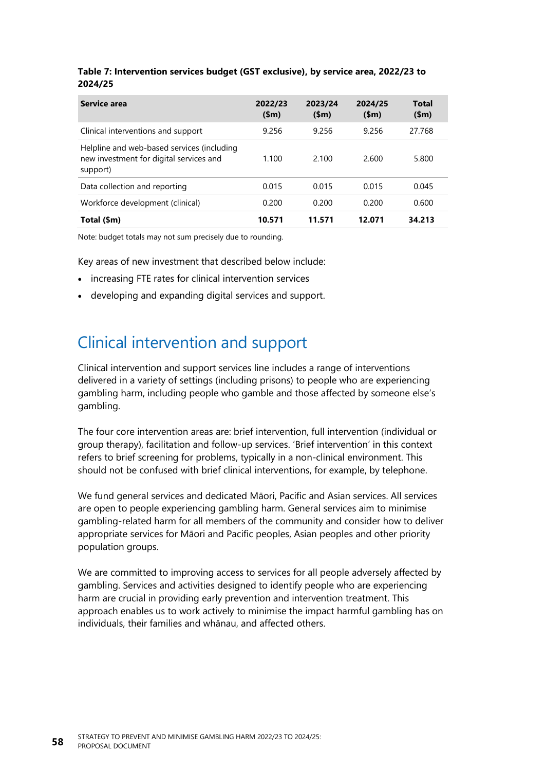| Service area                                                                                      | 2022/23<br>\$m\$ | 2023/24<br>\$m\$ | 2024/25<br>\$m\$ | <b>Total</b><br>\$m\$ |
|---------------------------------------------------------------------------------------------------|------------------|------------------|------------------|-----------------------|
| Clinical interventions and support                                                                | 9.256            | 9.256            | 9.256            | 27.768                |
| Helpline and web-based services (including<br>new investment for digital services and<br>support) | 1.100            | 2.100            | 2.600            | 5.800                 |
| Data collection and reporting                                                                     | 0.015            | 0.015            | 0.015            | 0.045                 |
| Workforce development (clinical)                                                                  | 0.200            | 0.200            | 0.200            | 0.600                 |
| Total (\$m)                                                                                       | 10.571           | 11.571           | 12.071           | 34.213                |

#### **Table 7: Intervention services budget (GST exclusive), by service area, 2022/23 to 2024/25**

Note: budget totals may not sum precisely due to rounding.

Key areas of new investment that described below include:

- increasing FTE rates for clinical intervention services
- developing and expanding digital services and support.

## Clinical intervention and support

Clinical intervention and support services line includes a range of interventions delivered in a variety of settings (including prisons) to people who are experiencing gambling harm, including people who gamble and those affected by someone else's gambling.

The four core intervention areas are: brief intervention, full intervention (individual or group therapy), facilitation and follow-up services. 'Brief intervention' in this context refers to brief screening for problems, typically in a non-clinical environment. This should not be confused with brief clinical interventions, for example, by telephone.

We fund general services and dedicated Māori, Pacific and Asian services. All services are open to people experiencing gambling harm. General services aim to minimise gambling-related harm for all members of the community and consider how to deliver appropriate services for Māori and Pacific peoples, Asian peoples and other priority population groups.

We are committed to improving access to services for all people adversely affected by gambling. Services and activities designed to identify people who are experiencing harm are crucial in providing early prevention and intervention treatment. This approach enables us to work actively to minimise the impact harmful gambling has on individuals, their families and whānau, and affected others.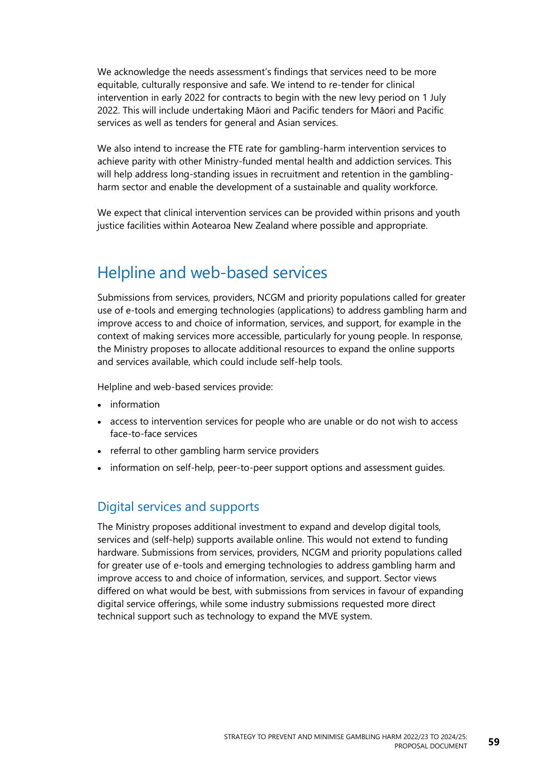We acknowledge the needs assessment's findings that services need to be more equitable, culturally responsive and safe. We intend to re-tender for clinical intervention in early 2022 for contracts to begin with the new levy period on 1 July 2022. This will include undertaking Māori and Pacific tenders for Māori and Pacific services as well as tenders for general and Asian services.

We also intend to increase the FTE rate for gambling-harm intervention services to achieve parity with other Ministry-funded mental health and addiction services. This will help address long-standing issues in recruitment and retention in the gamblingharm sector and enable the development of a sustainable and quality workforce.

We expect that clinical intervention services can be provided within prisons and youth justice facilities within Aotearoa New Zealand where possible and appropriate.

### Helpline and web-based services

Submissions from services, providers, NCGM and priority populations called for greater use of e-tools and emerging technologies (applications) to address gambling harm and improve access to and choice of information, services, and support, for example in the context of making services more accessible, particularly for young people. In response, the Ministry proposes to allocate additional resources to expand the online supports and services available, which could include self-help tools.

Helpline and web-based services provide:

- information
- access to intervention services for people who are unable or do not wish to access face-to-face services
- referral to other gambling harm service providers
- information on self-help, peer-to-peer support options and assessment guides.

#### Digital services and supports

The Ministry proposes additional investment to expand and develop digital tools, services and (self-help) supports available online. This would not extend to funding hardware. Submissions from services, providers, NCGM and priority populations called for greater use of e-tools and emerging technologies to address gambling harm and improve access to and choice of information, services, and support. Sector views differed on what would be best, with submissions from services in favour of expanding digital service offerings, while some industry submissions requested more direct technical support such as technology to expand the MVE system.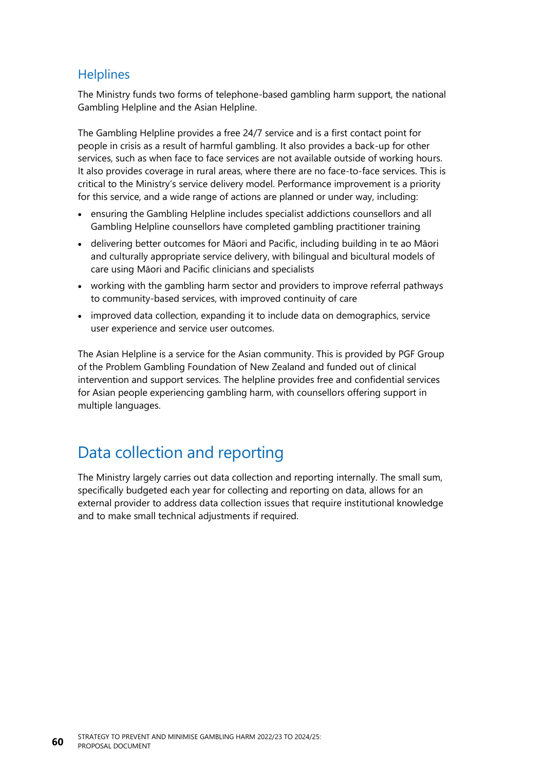#### **Helplines**

The Ministry funds two forms of telephone-based gambling harm support, the national Gambling Helpline and the Asian Helpline.

The Gambling Helpline provides a free 24/7 service and is a first contact point for people in crisis as a result of harmful gambling. It also provides a back-up for other services, such as when face to face services are not available outside of working hours. It also provides coverage in rural areas, where there are no face-to-face services. This is critical to the Ministry's service delivery model. Performance improvement is a priority for this service, and a wide range of actions are planned or under way, including:

- ensuring the Gambling Helpline includes specialist addictions counsellors and all Gambling Helpline counsellors have completed gambling practitioner training
- delivering better outcomes for Māori and Pacific, including building in te ao Māori and culturally appropriate service delivery, with bilingual and bicultural models of care using Māori and Pacific clinicians and specialists
- working with the gambling harm sector and providers to improve referral pathways to community-based services, with improved continuity of care
- improved data collection, expanding it to include data on demographics, service user experience and service user outcomes.

The Asian Helpline is a service for the Asian community. This is provided by PGF Group of the Problem Gambling Foundation of New Zealand and funded out of clinical intervention and support services. The helpline provides free and confidential services for Asian people experiencing gambling harm, with counsellors offering support in multiple languages.

## Data collection and reporting

The Ministry largely carries out data collection and reporting internally. The small sum, specifically budgeted each year for collecting and reporting on data, allows for an external provider to address data collection issues that require institutional knowledge and to make small technical adjustments if required.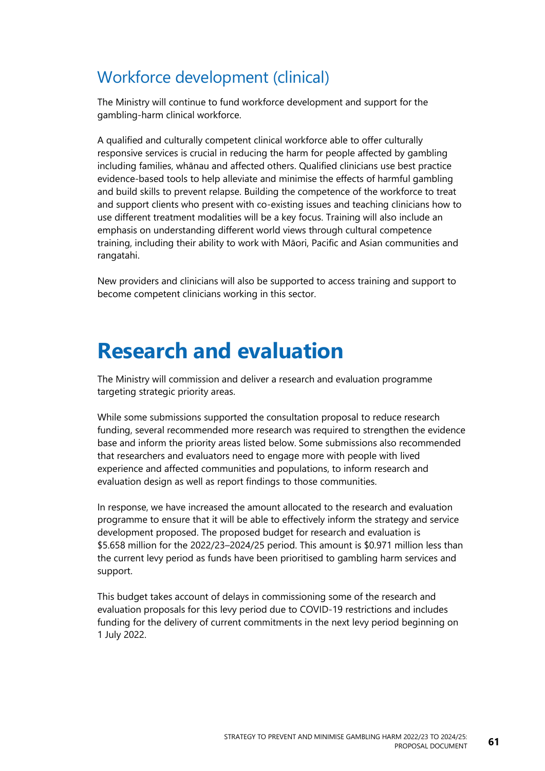## Workforce development (clinical)

The Ministry will continue to fund workforce development and support for the gambling-harm clinical workforce.

A qualified and culturally competent clinical workforce able to offer culturally responsive services is crucial in reducing the harm for people affected by gambling including families, whānau and affected others. Qualified clinicians use best practice evidence-based tools to help alleviate and minimise the effects of harmful gambling and build skills to prevent relapse. Building the competence of the workforce to treat and support clients who present with co-existing issues and teaching clinicians how to use different treatment modalities will be a key focus. Training will also include an emphasis on understanding different world views through cultural competence training, including their ability to work with Māori, Pacific and Asian communities and rangatahi.

New providers and clinicians will also be supported to access training and support to become competent clinicians working in this sector.

## **Research and evaluation**

The Ministry will commission and deliver a research and evaluation programme targeting strategic priority areas.

While some submissions supported the consultation proposal to reduce research funding, several recommended more research was required to strengthen the evidence base and inform the priority areas listed below. Some submissions also recommended that researchers and evaluators need to engage more with people with lived experience and affected communities and populations, to inform research and evaluation design as well as report findings to those communities.

In response, we have increased the amount allocated to the research and evaluation programme to ensure that it will be able to effectively inform the strategy and service development proposed. The proposed budget for research and evaluation is \$5.658 million for the 2022/23–2024/25 period. This amount is \$0.971 million less than the current levy period as funds have been prioritised to gambling harm services and support.

This budget takes account of delays in commissioning some of the research and evaluation proposals for this levy period due to COVID-19 restrictions and includes funding for the delivery of current commitments in the next levy period beginning on 1 July 2022.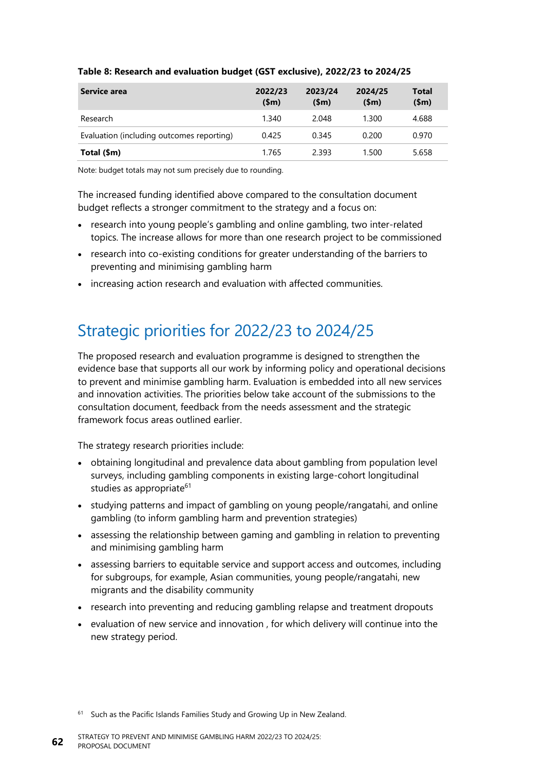| Service area                              | 2022/23<br>\$m\$ | 2023/24<br>\$m\$ | 2024/25<br>(Sm) | Total<br>\$m\$ |
|-------------------------------------------|------------------|------------------|-----------------|----------------|
| Research                                  | 1.340            | 2.048            | 1.300           | 4.688          |
| Evaluation (including outcomes reporting) | 0.425            | 0.345            | 0.200           | 0.970          |
| Total (\$m)                               | 1.765            | 2.393            | 1.500           | 5.658          |

#### **Table 8: Research and evaluation budget (GST exclusive), 2022/23 to 2024/25**

Note: budget totals may not sum precisely due to rounding.

The increased funding identified above compared to the consultation document budget reflects a stronger commitment to the strategy and a focus on:

- research into young people's gambling and online gambling, two inter-related topics. The increase allows for more than one research project to be commissioned
- research into co-existing conditions for greater understanding of the barriers to preventing and minimising gambling harm
- increasing action research and evaluation with affected communities.

## Strategic priorities for 2022/23 to 2024/25

The proposed research and evaluation programme is designed to strengthen the evidence base that supports all our work by informing policy and operational decisions to prevent and minimise gambling harm. Evaluation is embedded into all new services and innovation activities. The priorities below take account of the submissions to the consultation document, feedback from the needs assessment and the strategic framework focus areas outlined earlier.

The strategy research priorities include:

- obtaining longitudinal and prevalence data about gambling from population level surveys, including gambling components in existing large-cohort longitudinal studies as appropriate<sup>61</sup>
- studying patterns and impact of gambling on young people/rangatahi, and online gambling (to inform gambling harm and prevention strategies)
- assessing the relationship between gaming and gambling in relation to preventing and minimising gambling harm
- assessing barriers to equitable service and support access and outcomes, including for subgroups, for example, Asian communities, young people/rangatahi, new migrants and the disability community
- research into preventing and reducing gambling relapse and treatment dropouts
- evaluation of new service and innovation , for which delivery will continue into the new strategy period.

 $61$  Such as the Pacific Islands Families Study and Growing Up in New Zealand.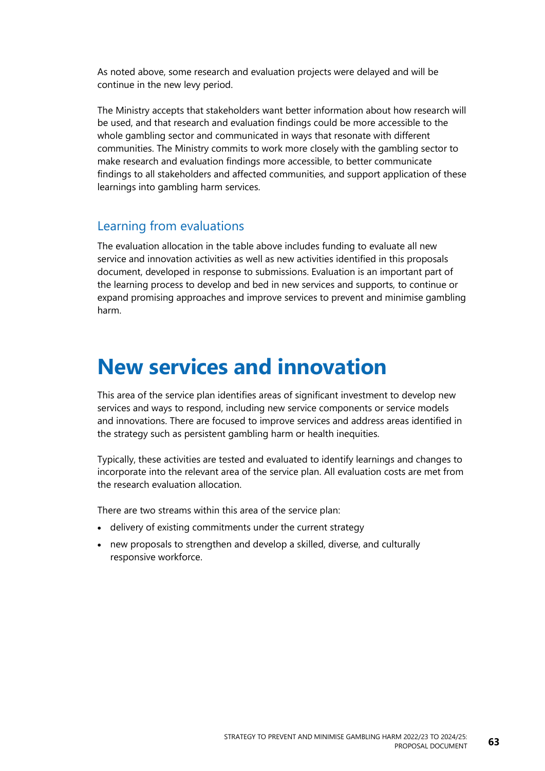As noted above, some research and evaluation projects were delayed and will be continue in the new levy period.

The Ministry accepts that stakeholders want better information about how research will be used, and that research and evaluation findings could be more accessible to the whole gambling sector and communicated in ways that resonate with different communities. The Ministry commits to work more closely with the gambling sector to make research and evaluation findings more accessible, to better communicate findings to all stakeholders and affected communities, and support application of these learnings into gambling harm services.

#### Learning from evaluations

The evaluation allocation in the table above includes funding to evaluate all new service and innovation activities as well as new activities identified in this proposals document, developed in response to submissions. Evaluation is an important part of the learning process to develop and bed in new services and supports, to continue or expand promising approaches and improve services to prevent and minimise gambling harm.

## **New services and innovation**

This area of the service plan identifies areas of significant investment to develop new services and ways to respond, including new service components or service models and innovations. There are focused to improve services and address areas identified in the strategy such as persistent gambling harm or health inequities.

Typically, these activities are tested and evaluated to identify learnings and changes to incorporate into the relevant area of the service plan. All evaluation costs are met from the research evaluation allocation.

There are two streams within this area of the service plan:

- delivery of existing commitments under the current strategy
- new proposals to strengthen and develop a skilled, diverse, and culturally responsive workforce.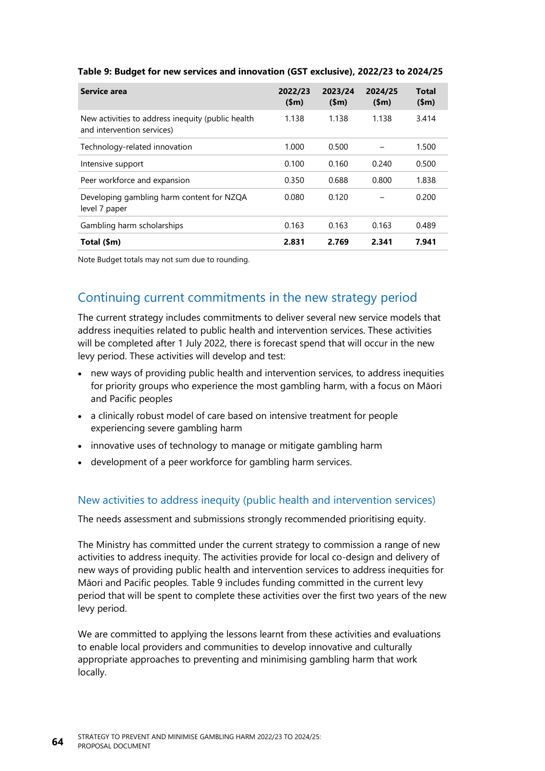| Service area                                                                    | 2022/23<br>\$m\$ | 2023/24<br>\$m\$ | 2024/25<br>(Sm) | <b>Total</b><br>(Sm) |
|---------------------------------------------------------------------------------|------------------|------------------|-----------------|----------------------|
| New activities to address inequity (public health<br>and intervention services) | 1.138            | 1.138            | 1.138           | 3.414                |
| Technology-related innovation                                                   | 1.000            | 0.500            |                 | 1.500                |
| Intensive support                                                               | 0.100            | 0.160            | 0.240           | 0.500                |
| Peer workforce and expansion                                                    | 0.350            | 0.688            | 0.800           | 1.838                |
| Developing gambling harm content for NZQA<br>level 7 paper                      | 0.080            | 0.120            |                 | 0.200                |
| Gambling harm scholarships                                                      | 0.163            | 0.163            | 0.163           | 0.489                |
| Total (\$m)                                                                     | 2.831            | 2.769            | 2.341           | 7.941                |

#### <span id="page-69-0"></span>**Table 9: Budget for new services and innovation (GST exclusive), 2022/23 to 2024/25**

Note Budget totals may not sum due to rounding.

### Continuing current commitments in the new strategy period

The current strategy includes commitments to deliver several new service models that address inequities related to public health and intervention services. These activities will be completed after 1 July 2022, there is forecast spend that will occur in the new levy period. These activities will develop and test:

- new ways of providing public health and intervention services, to address inequities for priority groups who experience the most gambling harm, with a focus on Māori and Pacific peoples
- a clinically robust model of care based on intensive treatment for people experiencing severe gambling harm
- innovative uses of technology to manage or mitigate gambling harm
- development of a peer workforce for gambling harm services.

#### New activities to address inequity (public health and intervention services)

The needs assessment and submissions strongly recommended prioritising equity.

The Ministry has committed under the current strategy to commission a range of new activities to address inequity. The activities provide for local co-design and delivery of new ways of providing public health and intervention services to address inequities for Māori and Pacific peoples. [Table](#page-69-0) 9 includes funding committed in the current levy period that will be spent to complete these activities over the first two years of the new levy period.

We are committed to applying the lessons learnt from these activities and evaluations to enable local providers and communities to develop innovative and culturally appropriate approaches to preventing and minimising gambling harm that work locally.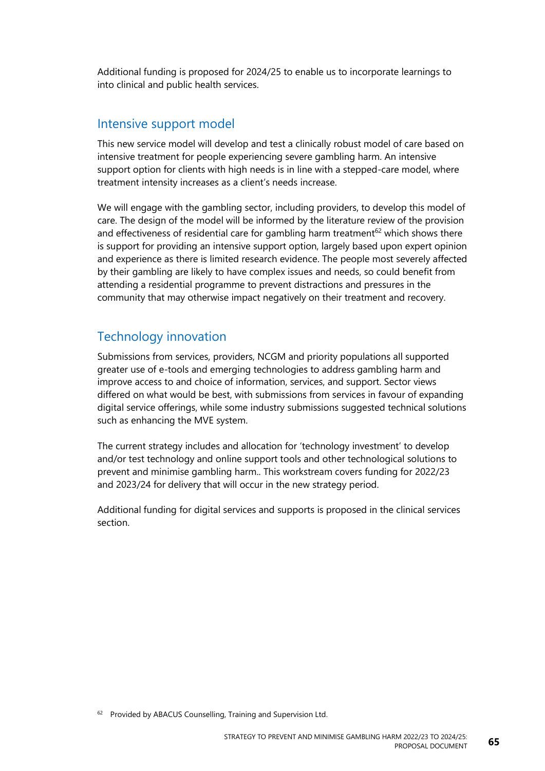Additional funding is proposed for 2024/25 to enable us to incorporate learnings to into clinical and public health services.

#### Intensive support model

This new service model will develop and test a clinically robust model of care based on intensive treatment for people experiencing severe gambling harm. An intensive support option for clients with high needs is in line with a stepped-care model, where treatment intensity increases as a client's needs increase.

We will engage with the gambling sector, including providers, to develop this model of care. The design of the model will be informed by the literature review of the provision and effectiveness of residential care for gambling harm treatment $62$  which shows there is support for providing an intensive support option, largely based upon expert opinion and experience as there is limited research evidence. The people most severely affected by their gambling are likely to have complex issues and needs, so could benefit from attending a residential programme to prevent distractions and pressures in the community that may otherwise impact negatively on their treatment and recovery.

#### Technology innovation

Submissions from services, providers, NCGM and priority populations all supported greater use of e-tools and emerging technologies to address gambling harm and improve access to and choice of information, services, and support. Sector views differed on what would be best, with submissions from services in favour of expanding digital service offerings, while some industry submissions suggested technical solutions such as enhancing the MVE system.

The current strategy includes and allocation for 'technology investment' to develop and/or test technology and online support tools and other technological solutions to prevent and minimise gambling harm.. This workstream covers funding for 2022/23 and 2023/24 for delivery that will occur in the new strategy period.

Additional funding for digital services and supports is proposed in the clinical services section.

<sup>62</sup> Provided by ABACUS Counselling, Training and Supervision Ltd.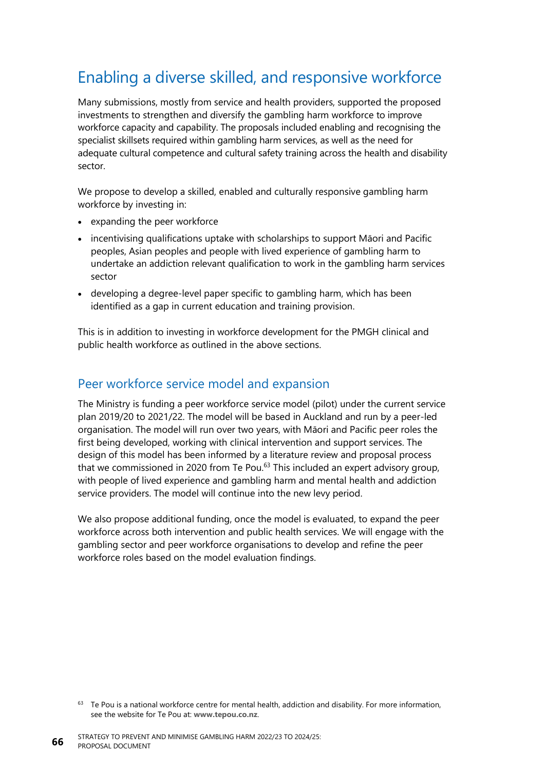## Enabling a diverse skilled, and responsive workforce

Many submissions, mostly from service and health providers, supported the proposed investments to strengthen and diversify the gambling harm workforce to improve workforce capacity and capability. The proposals included enabling and recognising the specialist skillsets required within gambling harm services, as well as the need for adequate cultural competence and cultural safety training across the health and disability sector.

We propose to develop a skilled, enabled and culturally responsive gambling harm workforce by investing in:

- expanding the peer workforce
- incentivising qualifications uptake with scholarships to support Māori and Pacific peoples, Asian peoples and people with lived experience of gambling harm to undertake an addiction relevant qualification to work in the gambling harm services sector
- developing a degree-level paper specific to gambling harm, which has been identified as a gap in current education and training provision.

This is in addition to investing in workforce development for the PMGH clinical and public health workforce as outlined in the above sections.

#### Peer workforce service model and expansion

The Ministry is funding a peer workforce service model (pilot) under the current service plan 2019/20 to 2021/22. The model will be based in Auckland and run by a peer-led organisation. The model will run over two years, with Māori and Pacific peer roles the first being developed, working with clinical intervention and support services. The design of this model has been informed by a literature review and proposal process that we commissioned in 2020 from Te Pou.<sup>63</sup> This included an expert advisory group, with people of lived experience and gambling harm and mental health and addiction service providers. The model will continue into the new levy period.

We also propose additional funding, once the model is evaluated, to expand the peer workforce across both intervention and public health services. We will engage with the gambling sector and peer workforce organisations to develop and refine the peer workforce roles based on the model evaluation findings.

<sup>&</sup>lt;sup>63</sup> Te Pou is a national workforce centre for mental health, addiction and disability. For more information, see the website for Te Pou at: **[www.tepou.co.nz](http://www.tepou.co.nz/)**.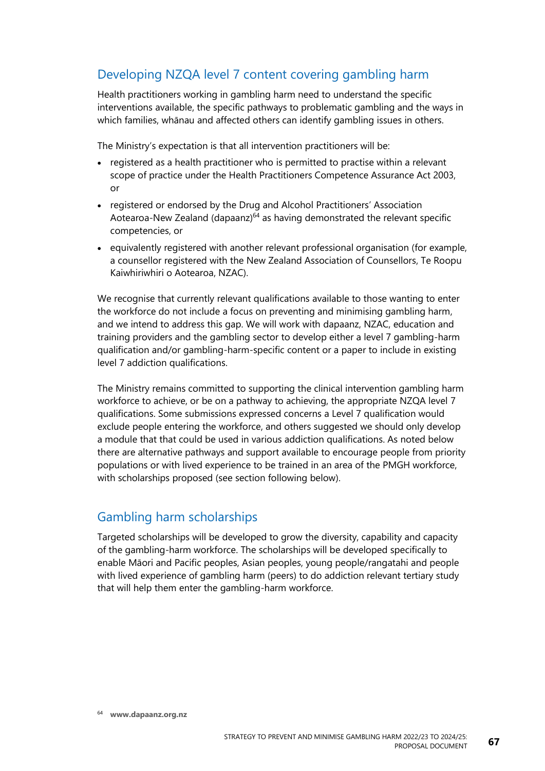### Developing NZQA level 7 content covering gambling harm

Health practitioners working in gambling harm need to understand the specific interventions available, the specific pathways to problematic gambling and the ways in which families, whānau and affected others can identify gambling issues in others.

The Ministry's expectation is that all intervention practitioners will be:

- registered as a health practitioner who is permitted to practise within a relevant scope of practice under the Health Practitioners Competence Assurance Act 2003, or
- registered or endorsed by the Drug and Alcohol Practitioners' Association Aotearoa-New Zealand (dapaanz)<sup>64</sup> as having demonstrated the relevant specific competencies, or
- equivalently registered with another relevant professional organisation (for example, a counsellor registered with the New Zealand Association of Counsellors, Te Roopu Kaiwhiriwhiri o Aotearoa, NZAC).

We recognise that currently relevant qualifications available to those wanting to enter the workforce do not include a focus on preventing and minimising gambling harm, and we intend to address this gap. We will work with dapaanz, NZAC, education and training providers and the gambling sector to develop either a level 7 gambling-harm qualification and/or gambling-harm-specific content or a paper to include in existing level 7 addiction qualifications.

The Ministry remains committed to supporting the clinical intervention gambling harm workforce to achieve, or be on a pathway to achieving, the appropriate NZQA level 7 qualifications. Some submissions expressed concerns a Level 7 qualification would exclude people entering the workforce, and others suggested we should only develop a module that that could be used in various addiction qualifications. As noted below there are alternative pathways and support available to encourage people from priority populations or with lived experience to be trained in an area of the PMGH workforce, with scholarships proposed (see section following below).

### Gambling harm scholarships

Targeted scholarships will be developed to grow the diversity, capability and capacity of the gambling-harm workforce. The scholarships will be developed specifically to enable Māori and Pacific peoples, Asian peoples, young people/rangatahi and people with lived experience of gambling harm (peers) to do addiction relevant tertiary study that will help them enter the gambling-harm workforce.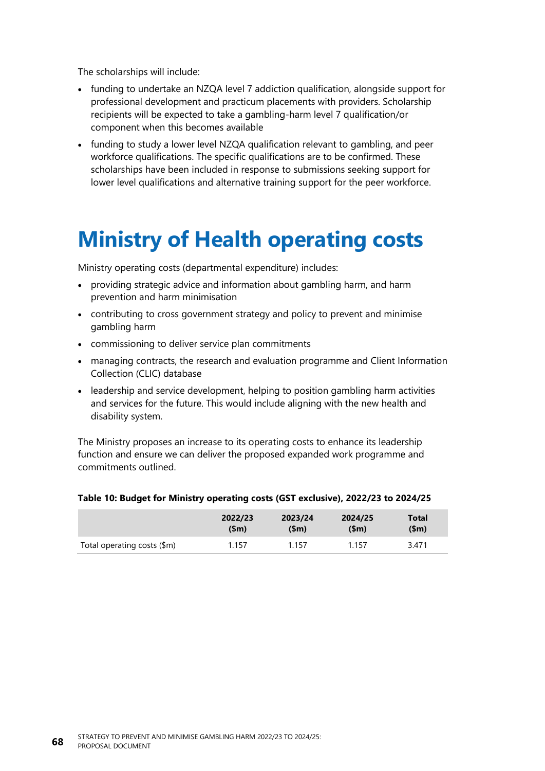The scholarships will include:

- funding to undertake an NZQA level 7 addiction qualification, alongside support for professional development and practicum placements with providers. Scholarship recipients will be expected to take a gambling-harm level 7 qualification/or component when this becomes available
- funding to study a lower level NZQA qualification relevant to gambling, and peer workforce qualifications. The specific qualifications are to be confirmed. These scholarships have been included in response to submissions seeking support for lower level qualifications and alternative training support for the peer workforce.

## **Ministry of Health operating costs**

Ministry operating costs (departmental expenditure) includes:

- providing strategic advice and information about gambling harm, and harm prevention and harm minimisation
- contributing to cross government strategy and policy to prevent and minimise gambling harm
- commissioning to deliver service plan commitments
- managing contracts, the research and evaluation programme and Client Information Collection (CLIC) database
- leadership and service development, helping to position gambling harm activities and services for the future. This would include aligning with the new health and disability system.

The Ministry proposes an increase to its operating costs to enhance its leadership function and ensure we can deliver the proposed expanded work programme and commitments outlined.

#### **Table 10: Budget for Ministry operating costs (GST exclusive), 2022/23 to 2024/25**

|                             | 2022/23 | 2023/24 | 2024/25 | <b>Total</b> |
|-----------------------------|---------|---------|---------|--------------|
|                             | (\$m)   | (Sm)    | (Sm)    | (Sm)         |
| Total operating costs (\$m) | 1.157   | 1.157   | 1.157   | 3.471        |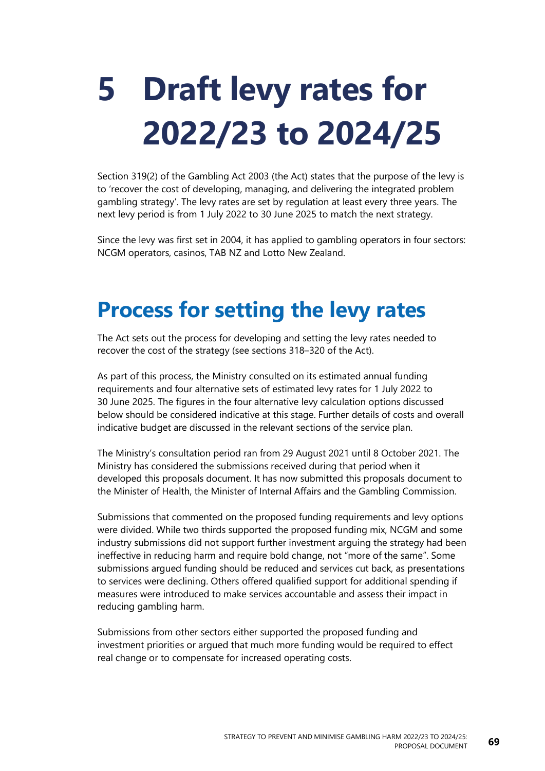# **5 Draft levy rates for 2022/23 to 2024/25**

Section 319(2) of the Gambling Act 2003 (the Act) states that the purpose of the levy is to 'recover the cost of developing, managing, and delivering the integrated problem gambling strategy'. The levy rates are set by regulation at least every three years. The next levy period is from 1 July 2022 to 30 June 2025 to match the next strategy.

Since the levy was first set in 2004, it has applied to gambling operators in four sectors: NCGM operators, casinos, TAB NZ and Lotto New Zealand.

## **Process for setting the levy rates**

The Act sets out the process for developing and setting the levy rates needed to recover the cost of the strategy (see sections 318–320 of the Act).

As part of this process, the Ministry consulted on its estimated annual funding requirements and four alternative sets of estimated levy rates for 1 July 2022 to 30 June 2025. The figures in the four alternative levy calculation options discussed below should be considered indicative at this stage. Further details of costs and overall indicative budget are discussed in the relevant sections of the service plan.

The Ministry's consultation period ran from 29 August 2021 until 8 October 2021. The Ministry has considered the submissions received during that period when it developed this proposals document. It has now submitted this proposals document to the Minister of Health, the Minister of Internal Affairs and the Gambling Commission.

Submissions that commented on the proposed funding requirements and levy options were divided. While two thirds supported the proposed funding mix, NCGM and some industry submissions did not support further investment arguing the strategy had been ineffective in reducing harm and require bold change, not "more of the same". Some submissions argued funding should be reduced and services cut back, as presentations to services were declining. Others offered qualified support for additional spending if measures were introduced to make services accountable and assess their impact in reducing gambling harm.

Submissions from other sectors either supported the proposed funding and investment priorities or argued that much more funding would be required to effect real change or to compensate for increased operating costs.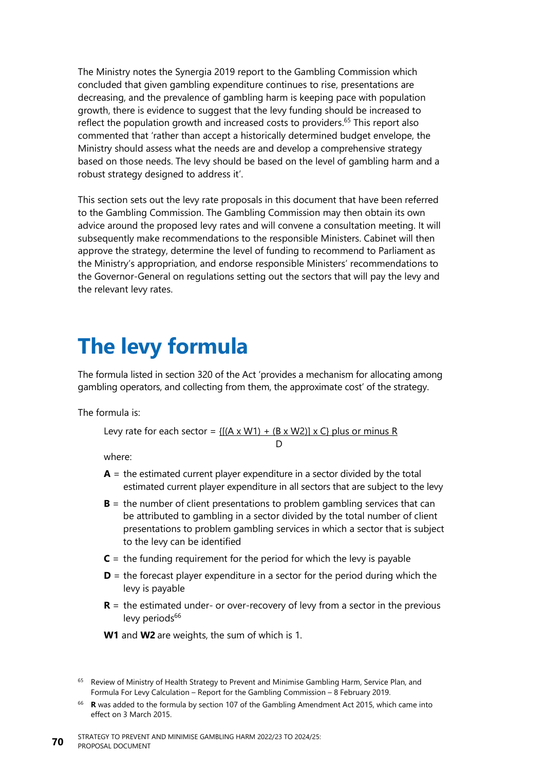The Ministry notes the Synergia 2019 report to the Gambling Commission which concluded that given gambling expenditure continues to rise, presentations are decreasing, and the prevalence of gambling harm is keeping pace with population growth, there is evidence to suggest that the levy funding should be increased to reflect the population growth and increased costs to providers.<sup>65</sup> This report also commented that 'rather than accept a historically determined budget envelope, the Ministry should assess what the needs are and develop a comprehensive strategy based on those needs. The levy should be based on the level of gambling harm and a robust strategy designed to address it'.

This section sets out the levy rate proposals in this document that have been referred to the Gambling Commission. The Gambling Commission may then obtain its own advice around the proposed levy rates and will convene a consultation meeting. It will subsequently make recommendations to the responsible Ministers. Cabinet will then approve the strategy, determine the level of funding to recommend to Parliament as the Ministry's appropriation, and endorse responsible Ministers' recommendations to the Governor-General on regulations setting out the sectors that will pay the levy and the relevant levy rates.

## **The levy formula**

The formula listed in section 320 of the Act 'provides a mechanism for allocating among gambling operators, and collecting from them, the approximate cost' of the strategy.

The formula is:

Levy rate for each sector =  $\{[(A \times W1) + (B \times W2)] \times C\}$  plus or minus R  $\mathsf{D}$ 

where:

- $A =$  the estimated current player expenditure in a sector divided by the total estimated current player expenditure in all sectors that are subject to the levy
- **B** = the number of client presentations to problem gambling services that can be attributed to gambling in a sector divided by the total number of client presentations to problem gambling services in which a sector that is subject to the levy can be identified
- $C =$  the funding requirement for the period for which the levy is payable
- **D** = the forecast player expenditure in a sector for the period during which the levy is payable
- **R** = the estimated under- or over-recovery of levy from a sector in the previous levy period $s^{66}$

**W1** and **W2** are weights, the sum of which is 1.

<sup>&</sup>lt;sup>65</sup> Review of Ministry of Health Strategy to Prevent and Minimise Gambling Harm, Service Plan, and Formula For Levy Calculation – Report for the Gambling Commission – 8 February 2019.

<sup>66</sup> **R** was added to the formula by section 107 of the Gambling Amendment Act 2015, which came into effect on 3 March 2015.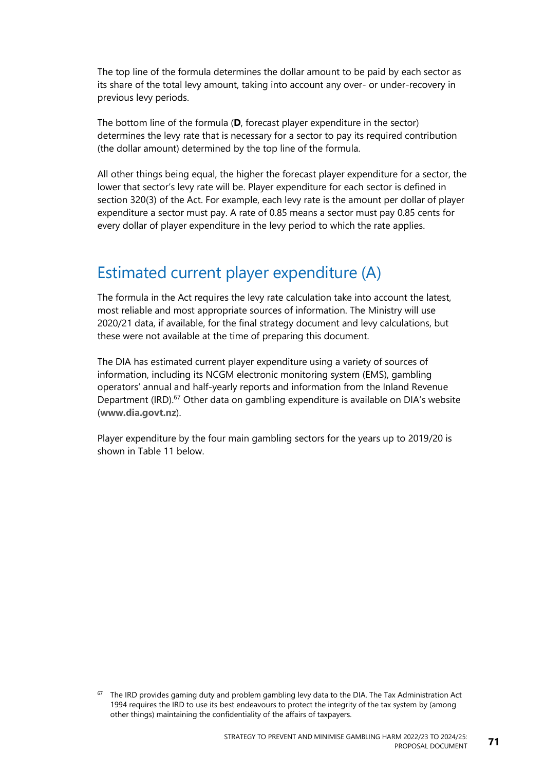The top line of the formula determines the dollar amount to be paid by each sector as its share of the total levy amount, taking into account any over- or under-recovery in previous levy periods.

The bottom line of the formula (**D**, forecast player expenditure in the sector) determines the levy rate that is necessary for a sector to pay its required contribution (the dollar amount) determined by the top line of the formula.

All other things being equal, the higher the forecast player expenditure for a sector, the lower that sector's levy rate will be. Player expenditure for each sector is defined in section 320(3) of the Act. For example, each levy rate is the amount per dollar of player expenditure a sector must pay. A rate of 0.85 means a sector must pay 0.85 cents for every dollar of player expenditure in the levy period to which the rate applies.

## Estimated current player expenditure (A)

The formula in the Act requires the levy rate calculation take into account the latest, most reliable and most appropriate sources of information. The Ministry will use 2020/21 data, if available, for the final strategy document and levy calculations, but these were not available at the time of preparing this document.

The DIA has estimated current player expenditure using a variety of sources of information, including its NCGM electronic monitoring system (EMS), gambling operators' annual and half-yearly reports and information from the Inland Revenue Department (IRD).<sup>67</sup> Other data on gambling expenditure is available on DIA's website (**[www.dia.govt.nz](http://www.dia.govt.nz/)**).

Player expenditure by the four main gambling sectors for the years up to 2019/20 is shown in [Table](#page-77-0) 11 below.

 $67$  The IRD provides gaming duty and problem gambling levy data to the DIA. The Tax Administration Act 1994 requires the IRD to use its best endeavours to protect the integrity of the tax system by (among other things) maintaining the confidentiality of the affairs of taxpayers.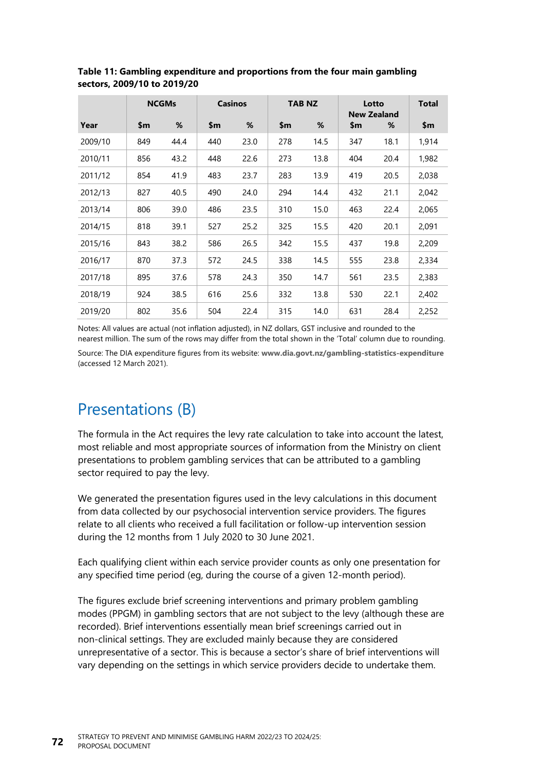|         |     | <b>NCGMs</b> |     | <b>Casinos</b> |     | <b>TAB NZ</b> |     | Lotto<br><b>New Zealand</b> | Total |
|---------|-----|--------------|-----|----------------|-----|---------------|-----|-----------------------------|-------|
| Year    | \$m | %            | \$m | %              | \$m | %             | \$m | %                           | \$m   |
| 2009/10 | 849 | 44.4         | 440 | 23.0           | 278 | 14.5          | 347 | 18.1                        | 1,914 |
| 2010/11 | 856 | 43.2         | 448 | 22.6           | 273 | 13.8          | 404 | 20.4                        | 1,982 |
| 2011/12 | 854 | 41.9         | 483 | 23.7           | 283 | 13.9          | 419 | 20.5                        | 2,038 |
| 2012/13 | 827 | 40.5         | 490 | 24.0           | 294 | 14.4          | 432 | 21.1                        | 2,042 |
| 2013/14 | 806 | 39.0         | 486 | 23.5           | 310 | 15.0          | 463 | 22.4                        | 2,065 |
| 2014/15 | 818 | 39.1         | 527 | 25.2           | 325 | 15.5          | 420 | 20.1                        | 2,091 |
| 2015/16 | 843 | 38.2         | 586 | 26.5           | 342 | 15.5          | 437 | 19.8                        | 2,209 |
| 2016/17 | 870 | 37.3         | 572 | 24.5           | 338 | 14.5          | 555 | 23.8                        | 2,334 |
| 2017/18 | 895 | 37.6         | 578 | 24.3           | 350 | 14.7          | 561 | 23.5                        | 2,383 |
| 2018/19 | 924 | 38.5         | 616 | 25.6           | 332 | 13.8          | 530 | 22.1                        | 2,402 |
| 2019/20 | 802 | 35.6         | 504 | 22.4           | 315 | 14.0          | 631 | 28.4                        | 2,252 |

<span id="page-77-0"></span>**Table 11: Gambling expenditure and proportions from the four main gambling sectors, 2009/10 to 2019/20**

Notes: All values are actual (not inflation adjusted), in NZ dollars, GST inclusive and rounded to the nearest million. The sum of the rows may differ from the total shown in the 'Total' column due to rounding. Source: The DIA expenditure figures from its website: **[www.dia.govt.nz/gambling-statistics-expenditure](http://www.dia.govt.nz/gambling-statistics-expenditure)** (accessed 12 March 2021).

## Presentations (B)

The formula in the Act requires the levy rate calculation to take into account the latest, most reliable and most appropriate sources of information from the Ministry on client presentations to problem gambling services that can be attributed to a gambling sector required to pay the levy.

We generated the presentation figures used in the levy calculations in this document from data collected by our psychosocial intervention service providers. The figures relate to all clients who received a full facilitation or follow-up intervention session during the 12 months from 1 July 2020 to 30 June 2021.

Each qualifying client within each service provider counts as only one presentation for any specified time period (eg, during the course of a given 12-month period).

The figures exclude brief screening interventions and primary problem gambling modes (PPGM) in gambling sectors that are not subject to the levy (although these are recorded). Brief interventions essentially mean brief screenings carried out in non-clinical settings. They are excluded mainly because they are considered unrepresentative of a sector. This is because a sector's share of brief interventions will vary depending on the settings in which service providers decide to undertake them.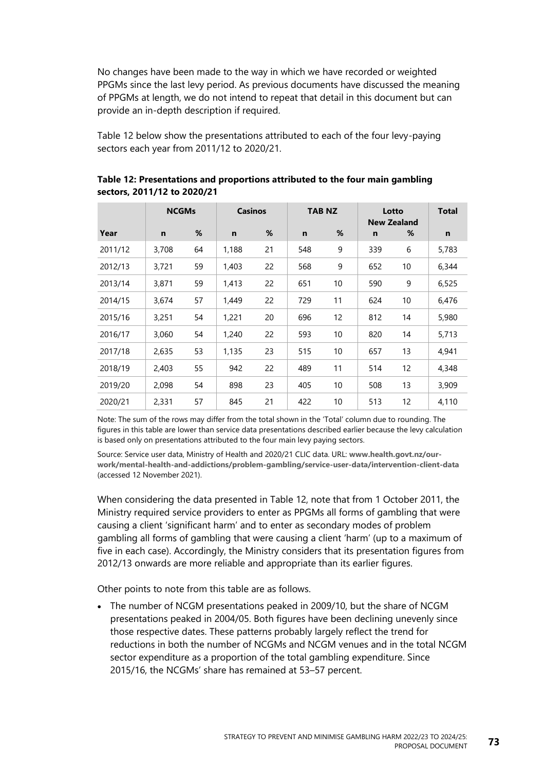No changes have been made to the way in which we have recorded or weighted PPGMs since the last levy period. As previous documents have discussed the meaning of PPGMs at length, we do not intend to repeat that detail in this document but can provide an in-depth description if required.

[Table](#page-78-0) 12 below show the presentations attributed to each of the four levy-paying sectors each year from 2011/12 to 2020/21.

|         | <b>NCGMs</b> |    | <b>Casinos</b> |    |     | TAB NZ |     | Lotto<br><b>New Zealand</b> | <b>Total</b> |
|---------|--------------|----|----------------|----|-----|--------|-----|-----------------------------|--------------|
| Year    | n            | %  | n              | %  | n   | %      | n   | %                           | n            |
| 2011/12 | 3,708        | 64 | 1,188          | 21 | 548 | 9      | 339 | 6                           | 5,783        |
| 2012/13 | 3,721        | 59 | 1,403          | 22 | 568 | 9      | 652 | 10                          | 6,344        |
| 2013/14 | 3,871        | 59 | 1,413          | 22 | 651 | 10     | 590 | 9                           | 6,525        |
| 2014/15 | 3,674        | 57 | 1,449          | 22 | 729 | 11     | 624 | 10                          | 6,476        |
| 2015/16 | 3,251        | 54 | 1,221          | 20 | 696 | 12     | 812 | 14                          | 5,980        |
| 2016/17 | 3,060        | 54 | 1,240          | 22 | 593 | 10     | 820 | 14                          | 5,713        |
| 2017/18 | 2,635        | 53 | 1,135          | 23 | 515 | 10     | 657 | 13                          | 4,941        |
| 2018/19 | 2,403        | 55 | 942            | 22 | 489 | 11     | 514 | 12                          | 4,348        |
| 2019/20 | 2,098        | 54 | 898            | 23 | 405 | 10     | 508 | 13                          | 3,909        |
| 2020/21 | 2,331        | 57 | 845            | 21 | 422 | 10     | 513 | 12                          | 4,110        |

<span id="page-78-0"></span>**Table 12: Presentations and proportions attributed to the four main gambling sectors, 2011/12 to 2020/21**

Note: The sum of the rows may differ from the total shown in the 'Total' column due to rounding. The figures in this table are lower than service data presentations described earlier because the levy calculation is based only on presentations attributed to the four main levy paying sectors.

Source: Service user data, Ministry of Health and 2020/21 CLIC data. URL: **[www.health.govt.nz/our](http://www.health.govt.nz/our-work/mental-health-and-addictions/problem-gambling/service-user-data/intervention-client-data)[work/mental-health-and-addictions/problem-gambling/service-user-data/intervention-client-data](http://www.health.govt.nz/our-work/mental-health-and-addictions/problem-gambling/service-user-data/intervention-client-data)** (accessed 12 November 2021).

When considering the data presented in [Table](#page-78-0) 12, note that from 1 October 2011, the Ministry required service providers to enter as PPGMs all forms of gambling that were causing a client 'significant harm' and to enter as secondary modes of problem gambling all forms of gambling that were causing a client 'harm' (up to a maximum of five in each case). Accordingly, the Ministry considers that its presentation figures from 2012/13 onwards are more reliable and appropriate than its earlier figures.

Other points to note from this table are as follows.

• The number of NCGM presentations peaked in 2009/10, but the share of NCGM presentations peaked in 2004/05. Both figures have been declining unevenly since those respective dates. These patterns probably largely reflect the trend for reductions in both the number of NCGMs and NCGM venues and in the total NCGM sector expenditure as a proportion of the total gambling expenditure. Since 2015/16, the NCGMs' share has remained at 53–57 percent.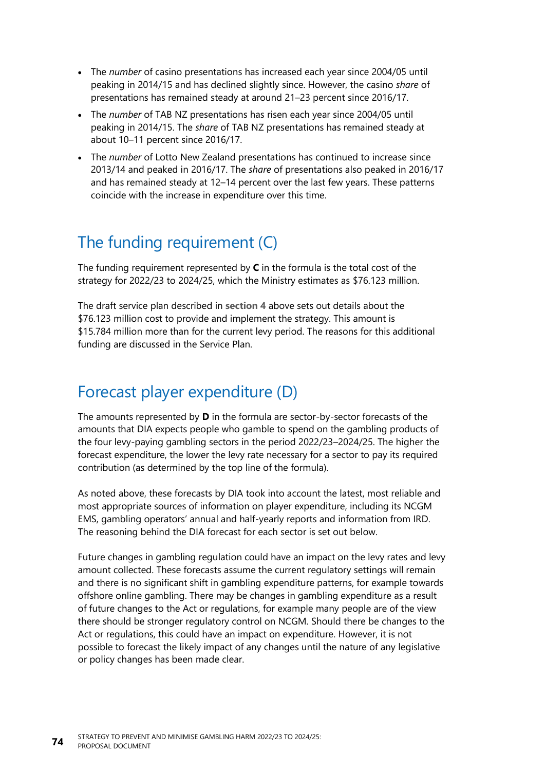- The *number* of casino presentations has increased each year since 2004/05 until peaking in 2014/15 and has declined slightly since. However, the casino *share* of presentations has remained steady at around 21–23 percent since 2016/17.
- The *number* of TAB NZ presentations has risen each year since 2004/05 until peaking in 2014/15. The *share* of TAB NZ presentations has remained steady at about 10–11 percent since 2016/17.
- The *number* of Lotto New Zealand presentations has continued to increase since 2013/14 and peaked in 2016/17. The *share* of presentations also peaked in 2016/17 and has remained steady at 12–14 percent over the last few years. These patterns coincide with the increase in expenditure over this time.

## The funding requirement (C)

The funding requirement represented by **C** in the formula is the total cost of the strategy for 2022/23 to 2024/25, which the Ministry estimates as \$76.123 million.

The draft service plan described in **[section 4](#page-47-0)** above sets out details about the \$76.123 million cost to provide and implement the strategy. This amount is \$15.784 million more than for the current levy period. The reasons for this additional funding are discussed in the Service Plan.

### Forecast player expenditure (D)

The amounts represented by **D** in the formula are sector-by-sector forecasts of the amounts that DIA expects people who gamble to spend on the gambling products of the four levy-paying gambling sectors in the period 2022/23–2024/25. The higher the forecast expenditure, the lower the levy rate necessary for a sector to pay its required contribution (as determined by the top line of the formula).

As noted above, these forecasts by DIA took into account the latest, most reliable and most appropriate sources of information on player expenditure, including its NCGM EMS, gambling operators' annual and half-yearly reports and information from IRD. The reasoning behind the DIA forecast for each sector is set out below.

Future changes in gambling regulation could have an impact on the levy rates and levy amount collected. These forecasts assume the current regulatory settings will remain and there is no significant shift in gambling expenditure patterns, for example towards offshore online gambling. There may be changes in gambling expenditure as a result of future changes to the Act or regulations, for example many people are of the view there should be stronger regulatory control on NCGM. Should there be changes to the Act or regulations, this could have an impact on expenditure. However, it is not possible to forecast the likely impact of any changes until the nature of any legislative or policy changes has been made clear.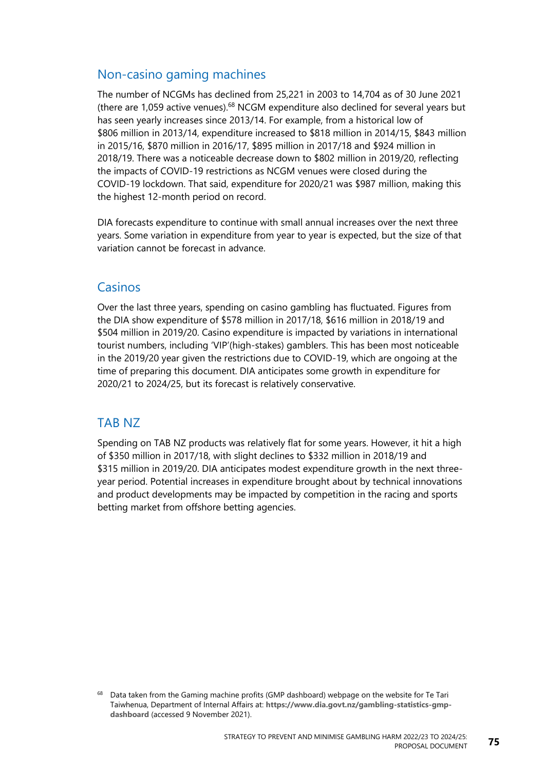### Non-casino gaming machines

The number of NCGMs has declined from 25,221 in 2003 to 14,704 as of 30 June 2021 (there are 1,059 active venues). $68$  NCGM expenditure also declined for several years but has seen yearly increases since 2013/14. For example, from a historical low of \$806 million in 2013/14, expenditure increased to \$818 million in 2014/15, \$843 million in 2015/16, \$870 million in 2016/17, \$895 million in 2017/18 and \$924 million in 2018/19. There was a noticeable decrease down to \$802 million in 2019/20, reflecting the impacts of COVID-19 restrictions as NCGM venues were closed during the COVID-19 lockdown. That said, expenditure for 2020/21 was \$987 million, making this the highest 12-month period on record.

DIA forecasts expenditure to continue with small annual increases over the next three years. Some variation in expenditure from year to year is expected, but the size of that variation cannot be forecast in advance.

### Casinos

Over the last three years, spending on casino gambling has fluctuated. Figures from the DIA show expenditure of \$578 million in 2017/18, \$616 million in 2018/19 and \$504 million in 2019/20. Casino expenditure is impacted by variations in international tourist numbers, including 'VIP'(high-stakes) gamblers. This has been most noticeable in the 2019/20 year given the restrictions due to COVID-19, which are ongoing at the time of preparing this document. DIA anticipates some growth in expenditure for 2020/21 to 2024/25, but its forecast is relatively conservative.

### TAB NZ

Spending on TAB NZ products was relatively flat for some years. However, it hit a high of \$350 million in 2017/18, with slight declines to \$332 million in 2018/19 and \$315 million in 2019/20. DIA anticipates modest expenditure growth in the next threeyear period. Potential increases in expenditure brought about by technical innovations and product developments may be impacted by competition in the racing and sports betting market from offshore betting agencies.

<sup>&</sup>lt;sup>68</sup> Data taken from the Gaming machine profits (GMP dashboard) webpage on the website for Te Tari Taiwhenua, Department of Internal Affairs at: **[https://www.dia.govt.nz/gambling-statistics-gmp](https://www.dia.govt.nz/gambling-statistics-gmp-dashboard)[dashboard](https://www.dia.govt.nz/gambling-statistics-gmp-dashboard)** (accessed 9 November 2021).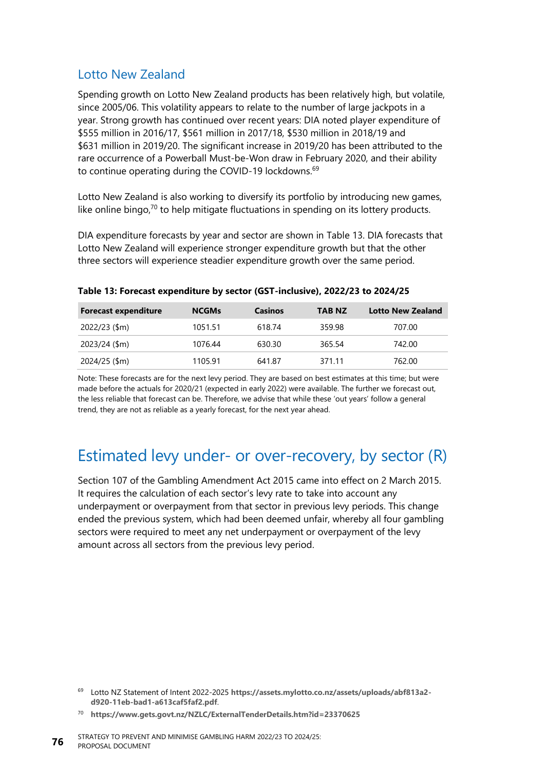### Lotto New Zealand

Spending growth on Lotto New Zealand products has been relatively high, but volatile, since 2005/06. This volatility appears to relate to the number of large jackpots in a year. Strong growth has continued over recent years: DIA noted player expenditure of \$555 million in 2016/17, \$561 million in 2017/18, \$530 million in 2018/19 and \$631 million in 2019/20. The significant increase in 2019/20 has been attributed to the rare occurrence of a Powerball Must-be-Won draw in February 2020, and their ability to continue operating during the COVID-19 lockdowns.<sup>69</sup>

Lotto New Zealand is also working to diversify its portfolio by introducing new games, like online bingo, $70$  to help mitigate fluctuations in spending on its lottery products.

DIA expenditure forecasts by year and sector are shown in [Table](#page-81-0) 13. DIA forecasts that Lotto New Zealand will experience stronger expenditure growth but that the other three sectors will experience steadier expenditure growth over the same period.

| <b>Forecast expenditure</b> | <b>NCGMs</b> | <b>Casinos</b> | TAB NZ | <b>Lotto New Zealand</b> |
|-----------------------------|--------------|----------------|--------|--------------------------|
| 2022/23 (\$m)               | 1051.51      | 618.74         | 359.98 | 707.00                   |
| 2023/24 (\$m)               | 1076.44      | 630.30         | 365.54 | 742.00                   |
| 2024/25 (\$m)               | 1105.91      | 641.87         | 371.11 | 762.00                   |

<span id="page-81-0"></span>**Table 13: Forecast expenditure by sector (GST-inclusive), 2022/23 to 2024/25**

Note: These forecasts are for the next levy period. They are based on best estimates at this time; but were made before the actuals for 2020/21 (expected in early 2022) were available. The further we forecast out, the less reliable that forecast can be. Therefore, we advise that while these 'out years' follow a general trend, they are not as reliable as a yearly forecast, for the next year ahead.

### Estimated levy under- or over-recovery, by sector (R)

Section 107 of the Gambling Amendment Act 2015 came into effect on 2 March 2015. It requires the calculation of each sector's levy rate to take into account any underpayment or overpayment from that sector in previous levy periods. This change ended the previous system, which had been deemed unfair, whereby all four gambling sectors were required to meet any net underpayment or overpayment of the levy amount across all sectors from the previous levy period.

<sup>69</sup> Lotto NZ Statement of Intent 2022-2025 **[https://assets.mylotto.co.nz/assets/uploads/abf813a2](https://assets.mylotto.co.nz/assets/uploads/abf813a2-d920-11eb-bad1-a613caf5faf2.pdf) [d920-11eb-bad1-a613caf5faf2.pdf](https://assets.mylotto.co.nz/assets/uploads/abf813a2-d920-11eb-bad1-a613caf5faf2.pdf)**.

<sup>70</sup> **<https://www.gets.govt.nz/NZLC/ExternalTenderDetails.htm?id=23370625>**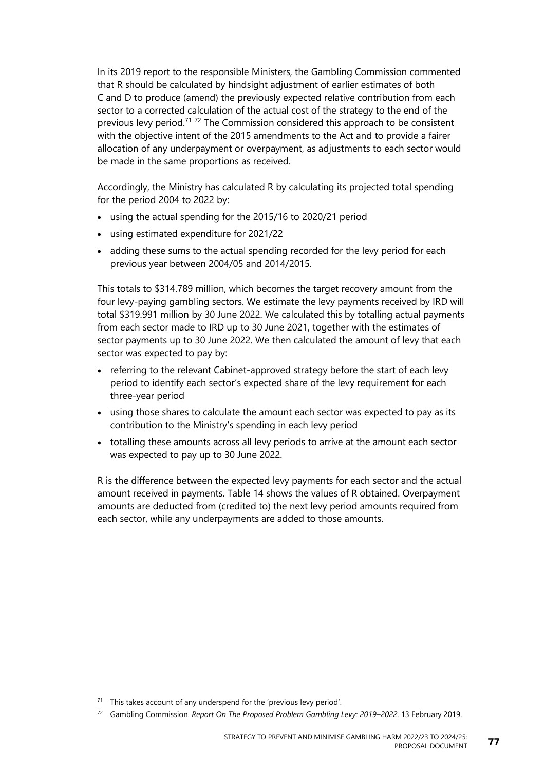In its 2019 report to the responsible Ministers, the Gambling Commission commented that R should be calculated by hindsight adjustment of earlier estimates of both C and D to produce (amend) the previously expected relative contribution from each sector to a corrected calculation of the actual cost of the strategy to the end of the previous levy period.<sup>71</sup> <sup>72</sup> The Commission considered this approach to be consistent with the objective intent of the 2015 amendments to the Act and to provide a fairer allocation of any underpayment or overpayment, as adjustments to each sector would be made in the same proportions as received.

Accordingly, the Ministry has calculated R by calculating its projected total spending for the period 2004 to 2022 by:

- using the actual spending for the 2015/16 to 2020/21 period
- using estimated expenditure for 2021/22
- adding these sums to the actual spending recorded for the levy period for each previous year between 2004/05 and 2014/2015.

This totals to \$314.789 million, which becomes the target recovery amount from the four levy-paying gambling sectors. We estimate the levy payments received by IRD will total \$319.991 million by 30 June 2022. We calculated this by totalling actual payments from each sector made to IRD up to 30 June 2021, together with the estimates of sector payments up to 30 June 2022. We then calculated the amount of levy that each sector was expected to pay by:

- referring to the relevant Cabinet-approved strategy before the start of each levy period to identify each sector's expected share of the levy requirement for each three-year period
- using those shares to calculate the amount each sector was expected to pay as its contribution to the Ministry's spending in each levy period
- totalling these amounts across all levy periods to arrive at the amount each sector was expected to pay up to 30 June 2022.

R is the difference between the expected levy payments for each sector and the actual amount received in payments. [Table](#page-83-0) 14 shows the values of R obtained. Overpayment amounts are deducted from (credited to) the next levy period amounts required from each sector, while any underpayments are added to those amounts.

 $71$  This takes account of any underspend for the 'previous levy period'.

<sup>72</sup> Gambling Commission. *Report On The Proposed Problem Gambling Levy: 2019–2022*. 13 February 2019.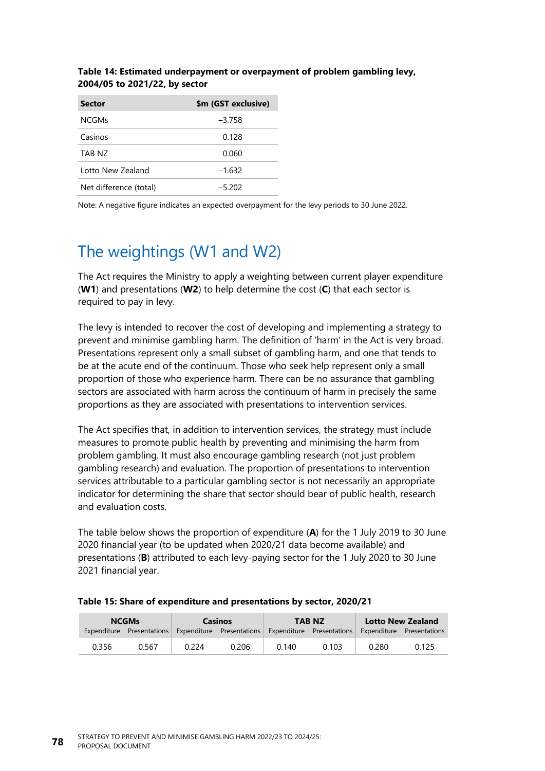| <b>Sector</b>          | \$m (GST exclusive) |
|------------------------|---------------------|
| <b>NCGMs</b>           | $-3.758$            |
| Casinos                | 0.128               |
| TAB N7                 | 0.060               |
| Lotto New Zealand      | $-1.632$            |
| Net difference (total) | $-5.202$            |

### <span id="page-83-0"></span>**Table 14: Estimated underpayment or overpayment of problem gambling levy, 2004/05 to 2021/22, by sector**

Note: A negative figure indicates an expected overpayment for the levy periods to 30 June 2022.

## The weightings (W1 and W2)

The Act requires the Ministry to apply a weighting between current player expenditure (**W1**) and presentations (**W2**) to help determine the cost (**C**) that each sector is required to pay in levy.

The levy is intended to recover the cost of developing and implementing a strategy to prevent and minimise gambling harm. The definition of 'harm' in the Act is very broad. Presentations represent only a small subset of gambling harm, and one that tends to be at the acute end of the continuum. Those who seek help represent only a small proportion of those who experience harm. There can be no assurance that gambling sectors are associated with harm across the continuum of harm in precisely the same proportions as they are associated with presentations to intervention services.

The Act specifies that, in addition to intervention services, the strategy must include measures to promote public health by preventing and minimising the harm from problem gambling. It must also encourage gambling research (not just problem gambling research) and evaluation. The proportion of presentations to intervention services attributable to a particular gambling sector is not necessarily an appropriate indicator for determining the share that sector should bear of public health, research and evaluation costs.

The table below shows the proportion of expenditure (**A**) for the 1 July 2019 to 30 June 2020 financial year (to be updated when 2020/21 data become available) and presentations (**B**) attributed to each levy-paying sector for the 1 July 2020 to 30 June 2021 financial year.

|       | <b>NCGMs</b><br><b>Casinos</b> |       |                                                                                                         | <b>TAB NZ</b> | <b>Lotto New Zealand</b> |       |       |
|-------|--------------------------------|-------|---------------------------------------------------------------------------------------------------------|---------------|--------------------------|-------|-------|
|       |                                |       | Expenditure Presentations Expenditure Presentations Expenditure Presentations Expenditure Presentations |               |                          |       |       |
| 0.356 | 0.567                          | በ 224 | 0.206                                                                                                   | 0.140         | 0.103                    | 0.280 | 0.125 |

#### **Table 15: Share of expenditure and presentations by sector, 2020/21**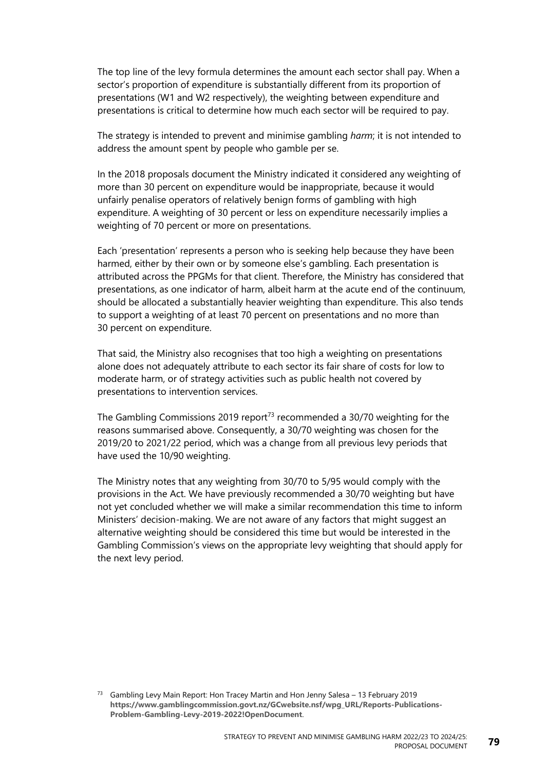The top line of the levy formula determines the amount each sector shall pay. When a sector's proportion of expenditure is substantially different from its proportion of presentations (W1 and W2 respectively), the weighting between expenditure and presentations is critical to determine how much each sector will be required to pay.

The strategy is intended to prevent and minimise gambling *harm*; it is not intended to address the amount spent by people who gamble per se.

In the 2018 proposals document the Ministry indicated it considered any weighting of more than 30 percent on expenditure would be inappropriate, because it would unfairly penalise operators of relatively benign forms of gambling with high expenditure. A weighting of 30 percent or less on expenditure necessarily implies a weighting of 70 percent or more on presentations.

Each 'presentation' represents a person who is seeking help because they have been harmed, either by their own or by someone else's gambling. Each presentation is attributed across the PPGMs for that client. Therefore, the Ministry has considered that presentations, as one indicator of harm, albeit harm at the acute end of the continuum, should be allocated a substantially heavier weighting than expenditure. This also tends to support a weighting of at least 70 percent on presentations and no more than 30 percent on expenditure.

That said, the Ministry also recognises that too high a weighting on presentations alone does not adequately attribute to each sector its fair share of costs for low to moderate harm, or of strategy activities such as public health not covered by presentations to intervention services.

The Gambling Commissions 2019 report<sup>73</sup> recommended a 30/70 weighting for the reasons summarised above. Consequently, a 30/70 weighting was chosen for the 2019/20 to 2021/22 period, which was a change from all previous levy periods that have used the 10/90 weighting.

The Ministry notes that any weighting from 30/70 to 5/95 would comply with the provisions in the Act. We have previously recommended a 30/70 weighting but have not yet concluded whether we will make a similar recommendation this time to inform Ministers' decision-making. We are not aware of any factors that might suggest an alternative weighting should be considered this time but would be interested in the Gambling Commission's views on the appropriate levy weighting that should apply for the next levy period.

<sup>&</sup>lt;sup>73</sup> Gambling Levy Main Report: Hon Tracey Martin and Hon Jenny Salesa  $-13$  February 2019 **[https://www.gamblingcommission.govt.nz/GCwebsite.nsf/wpg\\_URL/Reports-Publications-](https://www.gamblingcommission.govt.nz/GCwebsite.nsf/wpg_URL/Reports-Publications-Problem-Gambling-Levy-2019-2022!OpenDocument)[Problem-Gambling-Levy-2019-2022!OpenDocument](https://www.gamblingcommission.govt.nz/GCwebsite.nsf/wpg_URL/Reports-Publications-Problem-Gambling-Levy-2019-2022!OpenDocument)**.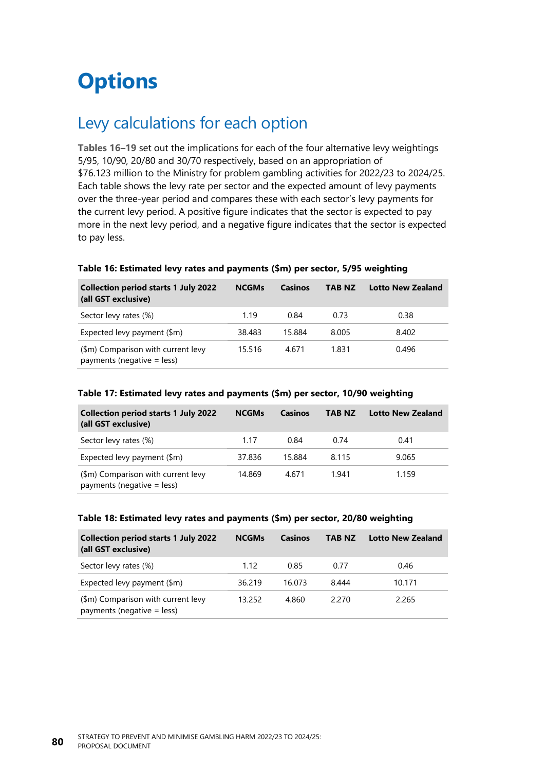## **Options**

## Levy calculations for each option

**[Tables 16](#page-85-0)**–**[19](#page-86-0)** set out the implications for each of the four alternative levy weightings 5/95, 10/90, 20/80 and 30/70 respectively, based on an appropriation of \$76.123 million to the Ministry for problem gambling activities for 2022/23 to 2024/25. Each table shows the levy rate per sector and the expected amount of levy payments over the three-year period and compares these with each sector's levy payments for the current levy period. A positive figure indicates that the sector is expected to pay more in the next levy period, and a negative figure indicates that the sector is expected to pay less.

| <b>Collection period starts 1 July 2022</b><br>(all GST exclusive) | <b>NCGMs</b> | Casinos | <b>TAB NZ</b> | <b>Lotto New Zealand</b> |
|--------------------------------------------------------------------|--------------|---------|---------------|--------------------------|
| Sector levy rates (%)                                              | 1.19         | 0.84    | 0.73          | 0.38                     |
| Expected levy payment (\$m)                                        | 38.483       | 15.884  | 8.005         | 8.402                    |
| (\$m) Comparison with current levy<br>payments (negative $=$ less) | 15.516       | 4.671   | 1.831         | 0.496                    |

#### <span id="page-85-0"></span>**Table 16: Estimated levy rates and payments (\$m) per sector, 5/95 weighting**

#### **Table 17: Estimated levy rates and payments (\$m) per sector, 10/90 weighting**

| <b>Collection period starts 1 July 2022</b><br>(all GST exclusive) | <b>NCGMs</b> | Casinos | <b>TAB NZ</b> | <b>Lotto New Zealand</b> |
|--------------------------------------------------------------------|--------------|---------|---------------|--------------------------|
| Sector levy rates (%)                                              | 1.17         | 0.84    | 0.74          | 0.41                     |
| Expected levy payment $(\$m)$                                      | 37.836       | 15.884  | 8.115         | 9.065                    |
| (\$m) Comparison with current levy<br>payments (negative $=$ less) | 14.869       | 4.671   | 1.941         | 1.159                    |

#### **Table 18: Estimated levy rates and payments (\$m) per sector, 20/80 weighting**

| <b>Collection period starts 1 July 2022</b><br>(all GST exclusive) | <b>NCGMs</b> | Casinos | <b>TAB NZ</b> | <b>Lotto New Zealand</b> |
|--------------------------------------------------------------------|--------------|---------|---------------|--------------------------|
| Sector levy rates (%)                                              | 1.12         | 0.85    | 0.77          | 0.46                     |
| Expected levy payment $(\$m)$                                      | 36.219       | 16.073  | 8.444         | 10.171                   |
| (\$m) Comparison with current levy<br>payments (negative = less)   | 13.252       | 4.860   | 2.270         | 2.265                    |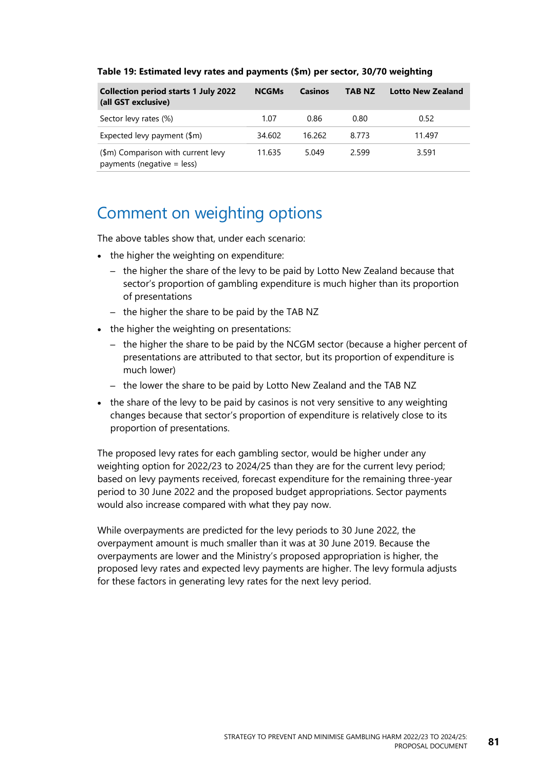| <b>Collection period starts 1 July 2022</b><br>(all GST exclusive) | <b>NCGMs</b> | Casinos | <b>TAB NZ</b> | <b>Lotto New Zealand</b> |
|--------------------------------------------------------------------|--------------|---------|---------------|--------------------------|
| Sector levy rates (%)                                              | 1.07         | 0.86    | 0.80          | 0.52                     |
| Expected levy payment $(\$m)$                                      | 34.602       | 16.262  | 8.773         | 11.497                   |
| (\$m) Comparison with current levy<br>payments (negative = less)   | 11.635       | 5.049   | 2.599         | 3.591                    |

#### <span id="page-86-0"></span>**Table 19: Estimated levy rates and payments (\$m) per sector, 30/70 weighting**

## Comment on weighting options

The above tables show that, under each scenario:

- the higher the weighting on expenditure:
	- the higher the share of the levy to be paid by Lotto New Zealand because that sector's proportion of gambling expenditure is much higher than its proportion of presentations
	- the higher the share to be paid by the TAB NZ
- the higher the weighting on presentations:
	- the higher the share to be paid by the NCGM sector (because a higher percent of presentations are attributed to that sector, but its proportion of expenditure is much lower)
	- the lower the share to be paid by Lotto New Zealand and the TAB NZ
- the share of the levy to be paid by casinos is not very sensitive to any weighting changes because that sector's proportion of expenditure is relatively close to its proportion of presentations.

The proposed levy rates for each gambling sector, would be higher under any weighting option for 2022/23 to 2024/25 than they are for the current levy period; based on levy payments received, forecast expenditure for the remaining three-year period to 30 June 2022 and the proposed budget appropriations. Sector payments would also increase compared with what they pay now.

While overpayments are predicted for the levy periods to 30 June 2022, the overpayment amount is much smaller than it was at 30 June 2019. Because the overpayments are lower and the Ministry's proposed appropriation is higher, the proposed levy rates and expected levy payments are higher. The levy formula adjusts for these factors in generating levy rates for the next levy period.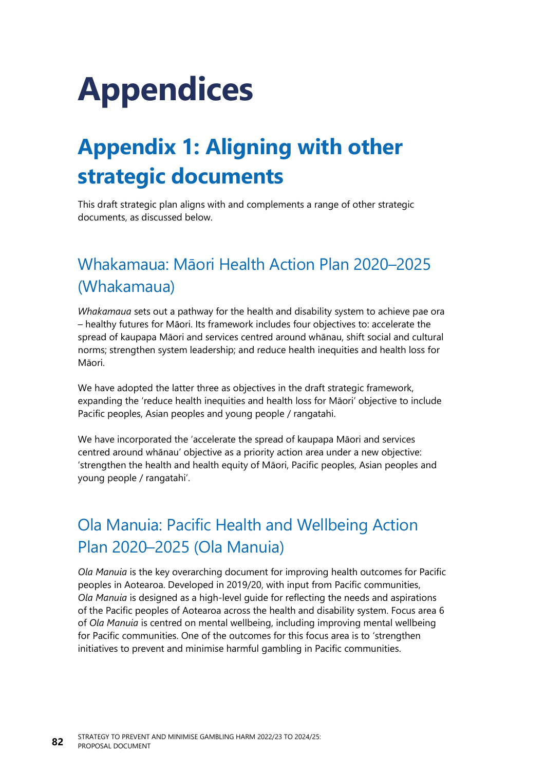# **Appendices**

## **Appendix 1: Aligning with other strategic documents**

This draft strategic plan aligns with and complements a range of other strategic documents, as discussed below.

## Whakamaua: Māori Health Action Plan 2020–2025 (Whakamaua)

*Whakamaua* sets out a pathway for the health and disability system to achieve pae ora – healthy futures for Māori. Its framework includes four objectives to: accelerate the spread of kaupapa Māori and services centred around whānau, shift social and cultural norms; strengthen system leadership; and reduce health inequities and health loss for Māori.

We have adopted the latter three as objectives in the draft strategic framework, expanding the 'reduce health inequities and health loss for Māori' objective to include Pacific peoples, Asian peoples and young people / rangatahi.

We have incorporated the 'accelerate the spread of kaupapa Māori and services centred around whānau' objective as a priority action area under a new objective: 'strengthen the health and health equity of Māori, Pacific peoples, Asian peoples and young people / rangatahi'.

## Ola Manuia: Pacific Health and Wellbeing Action Plan 2020–2025 (Ola Manuia)

*Ola Manuia* is the key overarching document for improving health outcomes for Pacific peoples in Aotearoa. Developed in 2019/20, with input from Pacific communities, *Ola Manuia* is designed as a high-level guide for reflecting the needs and aspirations of the Pacific peoples of Aotearoa across the health and disability system. Focus area 6 of *Ola Manuia* is centred on mental wellbeing, including improving mental wellbeing for Pacific communities. One of the outcomes for this focus area is to 'strengthen initiatives to prevent and minimise harmful gambling in Pacific communities.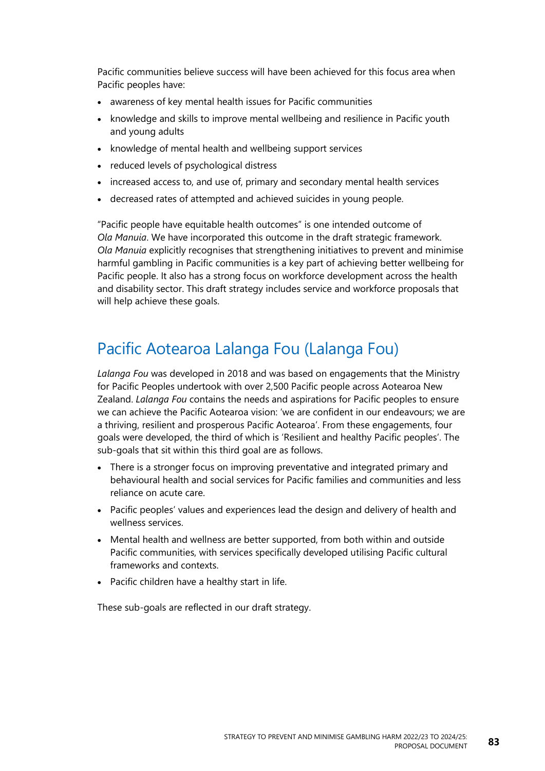Pacific communities believe success will have been achieved for this focus area when Pacific peoples have:

- awareness of key mental health issues for Pacific communities
- knowledge and skills to improve mental wellbeing and resilience in Pacific youth and young adults
- knowledge of mental health and wellbeing support services
- reduced levels of psychological distress
- increased access to, and use of, primary and secondary mental health services
- decreased rates of attempted and achieved suicides in young people.

"Pacific people have equitable health outcomes" is one intended outcome of *Ola Manuia*. We have incorporated this outcome in the draft strategic framework. *Ola Manuia* explicitly recognises that strengthening initiatives to prevent and minimise harmful gambling in Pacific communities is a key part of achieving better wellbeing for Pacific people. It also has a strong focus on workforce development across the health and disability sector. This draft strategy includes service and workforce proposals that will help achieve these goals.

## Pacific Aotearoa Lalanga Fou (Lalanga Fou)

*Lalanga Fou* was developed in 2018 and was based on engagements that the Ministry for Pacific Peoples undertook with over 2,500 Pacific people across Aotearoa New Zealand. *Lalanga Fou* contains the needs and aspirations for Pacific peoples to ensure we can achieve the Pacific Aotearoa vision: 'we are confident in our endeavours; we are a thriving, resilient and prosperous Pacific Aotearoa'. From these engagements, four goals were developed, the third of which is 'Resilient and healthy Pacific peoples'. The sub-goals that sit within this third goal are as follows.

- There is a stronger focus on improving preventative and integrated primary and behavioural health and social services for Pacific families and communities and less reliance on acute care.
- Pacific peoples' values and experiences lead the design and delivery of health and wellness services.
- Mental health and wellness are better supported, from both within and outside Pacific communities, with services specifically developed utilising Pacific cultural frameworks and contexts.
- Pacific children have a healthy start in life.

These sub-goals are reflected in our draft strategy.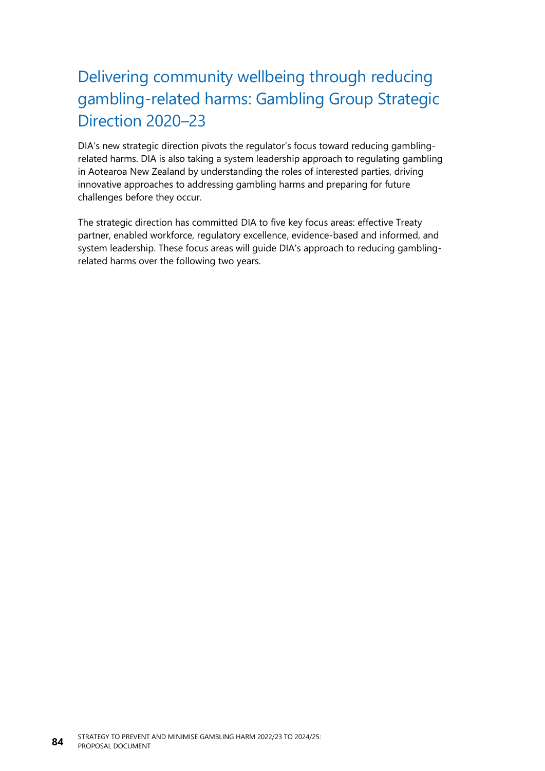## Delivering community wellbeing through reducing gambling-related harms: Gambling Group Strategic Direction 2020–23

DIA's new strategic direction pivots the regulator's focus toward reducing gamblingrelated harms. DIA is also taking a system leadership approach to regulating gambling in Aotearoa New Zealand by understanding the roles of interested parties, driving innovative approaches to addressing gambling harms and preparing for future challenges before they occur.

The strategic direction has committed DIA to five key focus areas: effective Treaty partner, enabled workforce, regulatory excellence, evidence-based and informed, and system leadership. These focus areas will guide DIA's approach to reducing gamblingrelated harms over the following two years.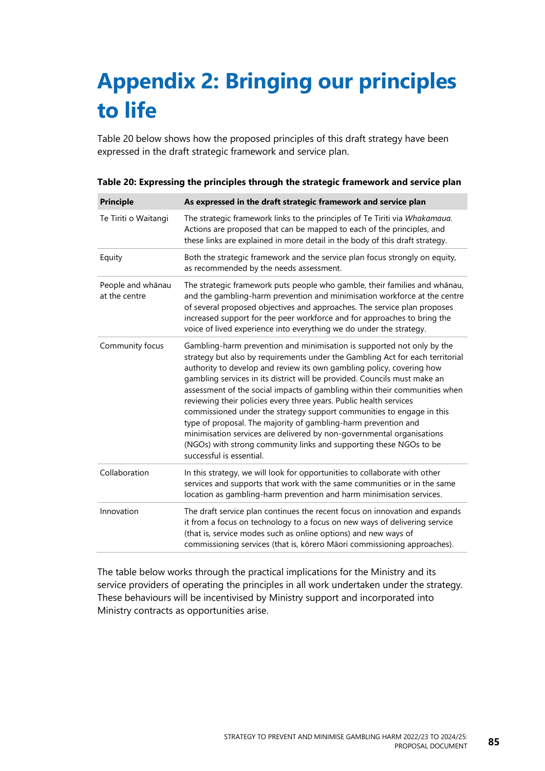## **Appendix 2: Bringing our principles to life**

[Table](#page-90-0) 20 below shows how the proposed principles of this draft strategy have been expressed in the draft strategic framework and service plan.

| <b>Principle</b>                   | As expressed in the draft strategic framework and service plan                                                                                                                                                                                                                                                                                                                                                                                                                                                                                                                                                                                                                                                                                                                          |
|------------------------------------|-----------------------------------------------------------------------------------------------------------------------------------------------------------------------------------------------------------------------------------------------------------------------------------------------------------------------------------------------------------------------------------------------------------------------------------------------------------------------------------------------------------------------------------------------------------------------------------------------------------------------------------------------------------------------------------------------------------------------------------------------------------------------------------------|
| Te Tiriti o Waitangi               | The strategic framework links to the principles of Te Tiriti via Whakamaua.<br>Actions are proposed that can be mapped to each of the principles, and<br>these links are explained in more detail in the body of this draft strategy.                                                                                                                                                                                                                                                                                                                                                                                                                                                                                                                                                   |
| Equity                             | Both the strategic framework and the service plan focus strongly on equity,<br>as recommended by the needs assessment.                                                                                                                                                                                                                                                                                                                                                                                                                                                                                                                                                                                                                                                                  |
| People and whānau<br>at the centre | The strategic framework puts people who gamble, their families and whānau,<br>and the gambling-harm prevention and minimisation workforce at the centre<br>of several proposed objectives and approaches. The service plan proposes<br>increased support for the peer workforce and for approaches to bring the<br>voice of lived experience into everything we do under the strategy.                                                                                                                                                                                                                                                                                                                                                                                                  |
| Community focus                    | Gambling-harm prevention and minimisation is supported not only by the<br>strategy but also by requirements under the Gambling Act for each territorial<br>authority to develop and review its own gambling policy, covering how<br>gambling services in its district will be provided. Councils must make an<br>assessment of the social impacts of gambling within their communities when<br>reviewing their policies every three years. Public health services<br>commissioned under the strategy support communities to engage in this<br>type of proposal. The majority of gambling-harm prevention and<br>minimisation services are delivered by non-governmental organisations<br>(NGOs) with strong community links and supporting these NGOs to be<br>successful is essential. |
| Collaboration                      | In this strategy, we will look for opportunities to collaborate with other<br>services and supports that work with the same communities or in the same<br>location as gambling-harm prevention and harm minimisation services.                                                                                                                                                                                                                                                                                                                                                                                                                                                                                                                                                          |
| Innovation                         | The draft service plan continues the recent focus on innovation and expands<br>it from a focus on technology to a focus on new ways of delivering service<br>(that is, service modes such as online options) and new ways of<br>commissioning services (that is, kōrero Māori commissioning approaches).                                                                                                                                                                                                                                                                                                                                                                                                                                                                                |

<span id="page-90-0"></span>

|  |  | Table 20: Expressing the principles through the strategic framework and service plan |  |
|--|--|--------------------------------------------------------------------------------------|--|
|  |  |                                                                                      |  |
|  |  |                                                                                      |  |

The table below works through the practical implications for the Ministry and its service providers of operating the principles in all work undertaken under the strategy. These behaviours will be incentivised by Ministry support and incorporated into Ministry contracts as opportunities arise.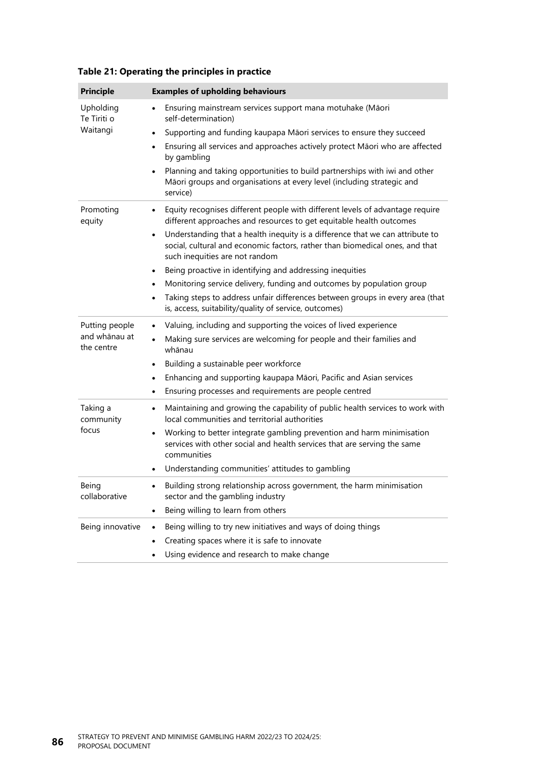| <b>Principle</b>            | <b>Examples of upholding behaviours</b>                                                                                                                                                                      |
|-----------------------------|--------------------------------------------------------------------------------------------------------------------------------------------------------------------------------------------------------------|
| Upholding<br>Te Tiriti o    | Ensuring mainstream services support mana motuhake (Māori<br>self-determination)                                                                                                                             |
| Waitangi                    | Supporting and funding kaupapa Māori services to ensure they succeed<br>$\bullet$                                                                                                                            |
|                             | Ensuring all services and approaches actively protect Māori who are affected<br>٠<br>by gambling                                                                                                             |
|                             | Planning and taking opportunities to build partnerships with iwi and other<br>$\bullet$<br>Māori groups and organisations at every level (including strategic and<br>service)                                |
| Promoting<br>equity         | Equity recognises different people with different levels of advantage require<br>٠<br>different approaches and resources to get equitable health outcomes                                                    |
|                             | Understanding that a health inequity is a difference that we can attribute to<br>$\bullet$<br>social, cultural and economic factors, rather than biomedical ones, and that<br>such inequities are not random |
|                             | Being proactive in identifying and addressing inequities<br>$\bullet$                                                                                                                                        |
|                             | Monitoring service delivery, funding and outcomes by population group<br>٠                                                                                                                                   |
|                             | Taking steps to address unfair differences between groups in every area (that<br>$\bullet$<br>is, access, suitability/quality of service, outcomes)                                                          |
| Putting people              | Valuing, including and supporting the voices of lived experience<br>$\bullet$                                                                                                                                |
| and whānau at<br>the centre | Making sure services are welcoming for people and their families and<br>whānau                                                                                                                               |
|                             | Building a sustainable peer workforce<br>$\bullet$                                                                                                                                                           |
|                             | Enhancing and supporting kaupapa Māori, Pacific and Asian services<br>$\bullet$                                                                                                                              |
|                             | Ensuring processes and requirements are people centred<br>$\bullet$                                                                                                                                          |
| Taking a<br>community       | Maintaining and growing the capability of public health services to work with<br>$\bullet$<br>local communities and territorial authorities                                                                  |
| focus                       | Working to better integrate gambling prevention and harm minimisation<br>services with other social and health services that are serving the same<br>communities                                             |
|                             | Understanding communities' attitudes to gambling<br>$\bullet$                                                                                                                                                |
| Being<br>collaborative      | Building strong relationship across government, the harm minimisation<br>$\bullet$<br>sector and the gambling industry                                                                                       |
|                             | Being willing to learn from others                                                                                                                                                                           |
| Being innovative            | Being willing to try new initiatives and ways of doing things                                                                                                                                                |
|                             | Creating spaces where it is safe to innovate                                                                                                                                                                 |
|                             | Using evidence and research to make change                                                                                                                                                                   |

**Table 21: Operating the principles in practice**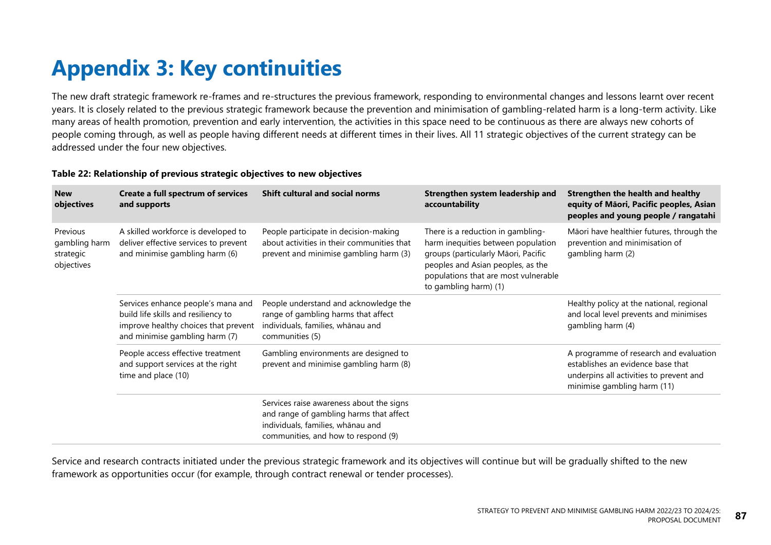## **Appendix 3: Key continuities**

The new draft strategic framework re-frames and re-structures the previous framework, responding to environmental changes and lessons learnt over recent years. It is closely related to the previous strategic framework because the prevention and minimisation of gambling-related harm is a long-term activity. Like many areas of health promotion, prevention and early intervention, the activities in this space need to be continuous as there are always new cohorts of people coming through, as well as people having different needs at different times in their lives. All 11 strategic objectives of the current strategy can be addressed under the four new objectives.

#### **Table 22: Relationship of previous strategic objectives to new objectives**

| <b>New</b><br>objectives                             | Create a full spectrum of services<br>and supports                                                                                                  | <b>Shift cultural and social norms</b>                                                                                                                          | Strengthen system leadership and<br>accountability                                                                                                                                                                   | Strengthen the health and healthy<br>equity of Māori, Pacific peoples, Asian<br>peoples and young people / rangatahi                                  |
|------------------------------------------------------|-----------------------------------------------------------------------------------------------------------------------------------------------------|-----------------------------------------------------------------------------------------------------------------------------------------------------------------|----------------------------------------------------------------------------------------------------------------------------------------------------------------------------------------------------------------------|-------------------------------------------------------------------------------------------------------------------------------------------------------|
| Previous<br>gambling harm<br>strategic<br>objectives | A skilled workforce is developed to<br>deliver effective services to prevent<br>and minimise gambling harm (6)                                      | People participate in decision-making<br>about activities in their communities that<br>prevent and minimise gambling harm (3)                                   | There is a reduction in gambling-<br>harm inequities between population<br>groups (particularly Māori, Pacific<br>peoples and Asian peoples, as the<br>populations that are most vulnerable<br>to gambling harm) (1) | Māori have healthier futures, through the<br>prevention and minimisation of<br>gambling harm (2)                                                      |
|                                                      | Services enhance people's mana and<br>build life skills and resiliency to<br>improve healthy choices that prevent<br>and minimise gambling harm (7) | People understand and acknowledge the<br>range of gambling harms that affect<br>individuals, families, whānau and<br>communities (5)                            |                                                                                                                                                                                                                      | Healthy policy at the national, regional<br>and local level prevents and minimises<br>gambling harm (4)                                               |
|                                                      | People access effective treatment<br>and support services at the right<br>time and place (10)                                                       | Gambling environments are designed to<br>prevent and minimise gambling harm (8)                                                                                 |                                                                                                                                                                                                                      | A programme of research and evaluation<br>establishes an evidence base that<br>underpins all activities to prevent and<br>minimise gambling harm (11) |
|                                                      |                                                                                                                                                     | Services raise awareness about the signs<br>and range of gambling harms that affect<br>individuals, families, whānau and<br>communities, and how to respond (9) |                                                                                                                                                                                                                      |                                                                                                                                                       |

Service and research contracts initiated under the previous strategic framework and its objectives will continue but will be gradually shifted to the new framework as opportunities occur (for example, through contract renewal or tender processes).